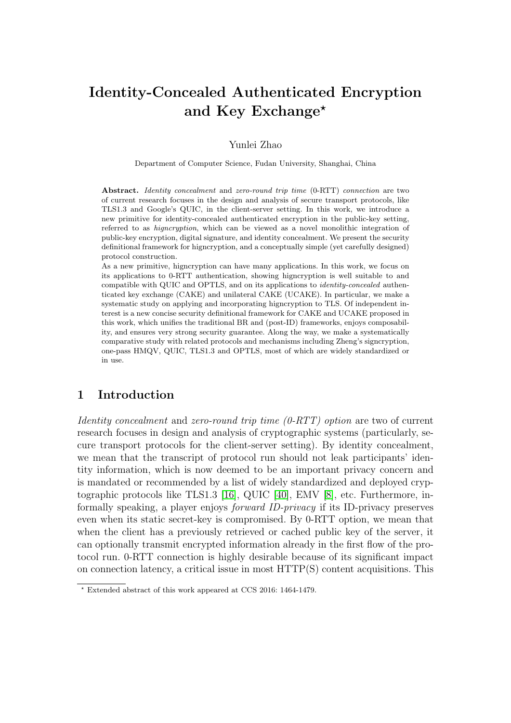# Identity-Concealed Authenticated Encryption and Key Exchange<sup>\*</sup>

Yunlei Zhao

Department of Computer Science, Fudan University, Shanghai, China

Abstract. Identity concealment and zero-round trip time (0-RTT) connection are two of current research focuses in the design and analysis of secure transport protocols, like TLS1.3 and Google's QUIC, in the client-server setting. In this work, we introduce a new primitive for identity-concealed authenticated encryption in the public-key setting, referred to as higncryption, which can be viewed as a novel monolithic integration of public-key encryption, digital signature, and identity concealment. We present the security definitional framework for higncryption, and a conceptually simple (yet carefully designed) protocol construction.

As a new primitive, higncryption can have many applications. In this work, we focus on its applications to 0-RTT authentication, showing higncryption is well suitable to and compatible with QUIC and OPTLS, and on its applications to identity-concealed authenticated key exchange (CAKE) and unilateral CAKE (UCAKE). In particular, we make a systematic study on applying and incorporating higncryption to TLS. Of independent interest is a new concise security definitional framework for CAKE and UCAKE proposed in this work, which unifies the traditional BR and (post-ID) frameworks, enjoys composability, and ensures very strong security guarantee. Along the way, we make a systematically comparative study with related protocols and mechanisms including Zheng's signcryption, one-pass HMQV, QUIC, TLS1.3 and OPTLS, most of which are widely standardized or in use.

## 1 Introduction

Identity concealment and zero-round trip time (0-RTT) option are two of current research focuses in design and analysis of cryptographic systems (particularly, secure transport protocols for the client-server setting). By identity concealment, we mean that the transcript of protocol run should not leak participants' identity information, which is now deemed to be an important privacy concern and is mandated or recommended by a list of widely standardized and deployed cryptographic protocols like TLS1.3 [\[16\]](#page-56-0), QUIC [\[40\]](#page-56-1), EMV [\[8\]](#page-55-0), etc. Furthermore, informally speaking, a player enjoys forward ID-privacy if its ID-privacy preserves even when its static secret-key is compromised. By 0-RTT option, we mean that when the client has a previously retrieved or cached public key of the server, it can optionally transmit encrypted information already in the first flow of the protocol run. 0-RTT connection is highly desirable because of its significant impact on connection latency, a critical issue in most HTTP(S) content acquisitions. This

<sup>?</sup> Extended abstract of this work appeared at CCS 2016: 1464-1479.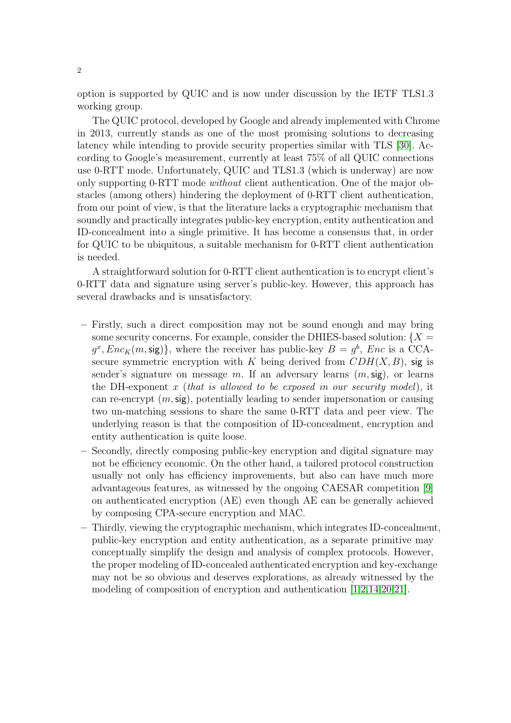option is supported by QUIC and is now under discussion by the IETF TLS1.3 working group.

The QUIC protocol, developed by Google and already implemented with Chrome in 2013, currently stands as one of the most promising solutions to decreasing latency while intending to provide security properties similar with TLS [\[30\]](#page-56-2). According to Google's measurement, currently at least 75% of all QUIC connections use 0-RTT mode. Unfortunately, QUIC and TLS1.3 (which is underway) are now only supporting 0-RTT mode without client authentication. One of the major obstacles (among others) hindering the deployment of 0-RTT client authentication, from our point of view, is that the literature lacks a cryptographic mechanism that soundly and practically integrates public-key encryption, entity authentication and ID-concealment into a single primitive. It has become a consensus that, in order for QUIC to be ubiquitous, a suitable mechanism for 0-RTT client authentication is needed.

A straightforward solution for 0-RTT client authentication is to encrypt client's 0-RTT data and signature using server's public-key. However, this approach has several drawbacks and is unsatisfactory.

- Firstly, such a direct composition may not be sound enough and may bring some security concerns. For example, consider the DHIES-based solution:  $\{X =$  $g^x, Enc_K(m, sig)$ , where the receiver has public-key  $B = g^b$ , *Enc* is a CCAsecure symmetric encryption with K being derived from  $CDH(X, B)$ , sig is sender's signature on message m. If an adversary learns  $(m, sig)$ , or learns the DH-exponent x (that is allowed to be exposed in our security model), it can re-encrypt  $(m, sig)$ , potentially leading to sender impersonation or causing two un-matching sessions to share the same 0-RTT data and peer view. The underlying reason is that the composition of ID-concealment, encryption and entity authentication is quite loose.
- Secondly, directly composing public-key encryption and digital signature may not be efficiency economic. On the other hand, a tailored protocol construction usually not only has efficiency improvements, but also can have much more advantageous features, as witnessed by the ongoing CAESAR competition [\[9\]](#page-55-1) on authenticated encryption (AE) even though AE can be generally achieved by composing CPA-secure encryption and MAC.
- Thirdly, viewing the cryptographic mechanism, which integrates ID-concealment, public-key encryption and entity authentication, as a separate primitive may conceptually simplify the design and analysis of complex protocols. However, the proper modeling of ID-concealed authenticated encryption and key-exchange may not be so obvious and deserves explorations, as already witnessed by the modeling of composition of encryption and authentication [\[1](#page-55-2)[,2,](#page-55-3)[14,](#page-56-3)[20](#page-56-4)[,21\]](#page-56-5).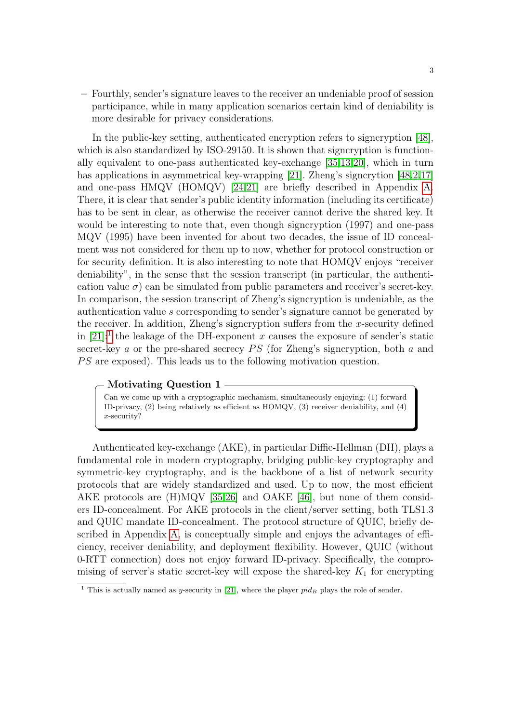– Fourthly, sender's signature leaves to the receiver an undeniable proof of session participance, while in many application scenarios certain kind of deniability is more desirable for privacy considerations.

In the public-key setting, authenticated encryption refers to signcryption [\[48\]](#page-57-0), which is also standardized by ISO-29150. It is shown that signcryption is functionally equivalent to one-pass authenticated key-exchange [\[35,](#page-56-6)[13,](#page-56-7)[20\]](#page-56-4), which in turn has applications in asymmetrical key-wrapping [\[21\]](#page-56-5). Zheng's signcrytion [\[48,](#page-57-0)[2,](#page-55-3)[17\]](#page-56-8) and one-pass HMQV (HOMQV) [\[24,](#page-56-9)[21\]](#page-56-5) are briefly described in Appendix [A.](#page-57-1) There, it is clear that sender's public identity information (including its certificate) has to be sent in clear, as otherwise the receiver cannot derive the shared key. It would be interesting to note that, even though signcryption (1997) and one-pass MQV (1995) have been invented for about two decades, the issue of ID concealment was not considered for them up to now, whether for protocol construction or for security definition. It is also interesting to note that HOMQV enjoys "receiver deniability", in the sense that the session transcript (in particular, the authentication value  $\sigma$ ) can be simulated from public parameters and receiver's secret-key. In comparison, the session transcript of Zheng's signcryption is undeniable, as the authentication value s corresponding to sender's signature cannot be generated by the receiver. In addition, Zheng's signcryption suffers from the x-security defined in [\[21\]](#page-56-5):<sup>[1](#page-2-0)</sup> the leakage of the DH-exponent x causes the exposure of sender's static secret-key a or the pre-shared secrecy  $PS$  (for Zheng's signcryption, both a and PS are exposed). This leads us to the following motivation question.

### Motivating Question 1

Can we come up with a cryptographic mechanism, simultaneously enjoying: (1) forward ID-privacy, (2) being relatively as efficient as HOMQV, (3) receiver deniability, and (4) x-security?

Authenticated key-exchange (AKE), in particular Diffie-Hellman (DH), plays a fundamental role in modern cryptography, bridging public-key cryptography and symmetric-key cryptography, and is the backbone of a list of network security protocols that are widely standardized and used. Up to now, the most efficient AKE protocols are (H)MQV [\[35,](#page-56-6)[26\]](#page-56-10) and OAKE [\[46\]](#page-57-2), but none of them considers ID-concealment. For AKE protocols in the client/server setting, both TLS1.3 and QUIC mandate ID-concealment. The protocol structure of QUIC, briefly described in Appendix [A,](#page-57-1) is conceptually simple and enjoys the advantages of efficiency, receiver deniability, and deployment flexibility. However, QUIC (without 0-RTT connection) does not enjoy forward ID-privacy. Specifically, the compromising of server's static secret-key will expose the shared-key  $K_1$  for encrypting

<span id="page-2-0"></span><sup>&</sup>lt;sup>1</sup> This is actually named as y-security in [\[21\]](#page-56-5), where the player  $pid_B$  plays the role of sender.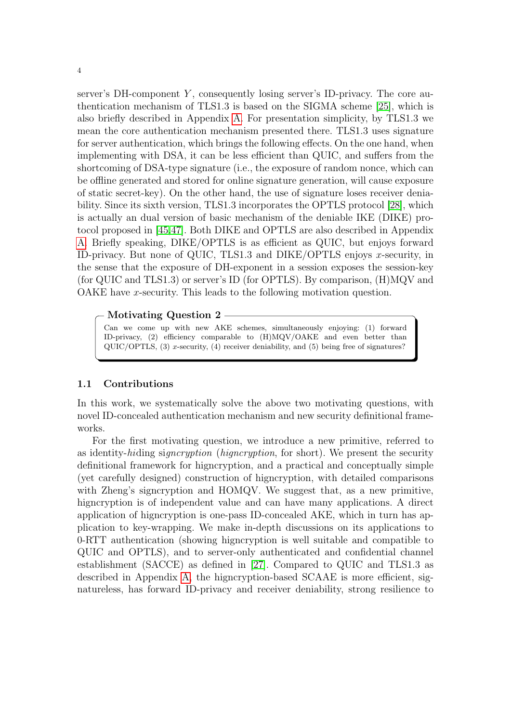server's  $DH$ -component  $Y$ , consequently losing server's  $ID$ -privacy. The core authentication mechanism of TLS1.3 is based on the SIGMA scheme [\[25\]](#page-56-11), which is also briefly described in Appendix [A.](#page-57-1) For presentation simplicity, by TLS1.3 we mean the core authentication mechanism presented there. TLS1.3 uses signature for server authentication, which brings the following effects. On the one hand, when implementing with DSA, it can be less efficient than QUIC, and suffers from the shortcoming of DSA-type signature (i.e., the exposure of random nonce, which can be offline generated and stored for online signature generation, will cause exposure of static secret-key). On the other hand, the use of signature loses receiver deniability. Since its sixth version, TLS1.3 incorporates the OPTLS protocol [\[28\]](#page-56-12), which is actually an dual version of basic mechanism of the deniable IKE (DIKE) protocol proposed in [\[45](#page-57-3)[,47\]](#page-57-4). Both DIKE and OPTLS are also described in Appendix [A.](#page-57-1) Briefly speaking, DIKE/OPTLS is as efficient as QUIC, but enjoys forward ID-privacy. But none of QUIC, TLS1.3 and DIKE/OPTLS enjoys x-security, in the sense that the exposure of DH-exponent in a session exposes the session-key (for QUIC and TLS1.3) or server's ID (for OPTLS). By comparison, (H)MQV and OAKE have x-security. This leads to the following motivation question.

### Motivating Question 2

Can we come up with new AKE schemes, simultaneously enjoying: (1) forward ID-privacy, (2) efficiency comparable to (H)MQV/OAKE and even better than  $\text{QUIC}/\text{OPTLS}$ , (3) x-security, (4) receiver deniability, and (5) being free of signatures?

### 1.1 Contributions

In this work, we systematically solve the above two motivating questions, with novel ID-concealed authentication mechanism and new security definitional frameworks.

For the first motivating question, we introduce a new primitive, referred to as identity-hiding signcryption (higncryption, for short). We present the security definitional framework for higncryption, and a practical and conceptually simple (yet carefully designed) construction of higncryption, with detailed comparisons with Zheng's signcryption and HOMQV. We suggest that, as a new primitive, higncryption is of independent value and can have many applications. A direct application of higncryption is one-pass ID-concealed AKE, which in turn has application to key-wrapping. We make in-depth discussions on its applications to 0-RTT authentication (showing higncryption is well suitable and compatible to QUIC and OPTLS), and to server-only authenticated and confidential channel establishment (SACCE) as defined in [\[27\]](#page-56-13). Compared to QUIC and TLS1.3 as described in Appendix [A,](#page-57-1) the higncryption-based SCAAE is more efficient, signatureless, has forward ID-privacy and receiver deniability, strong resilience to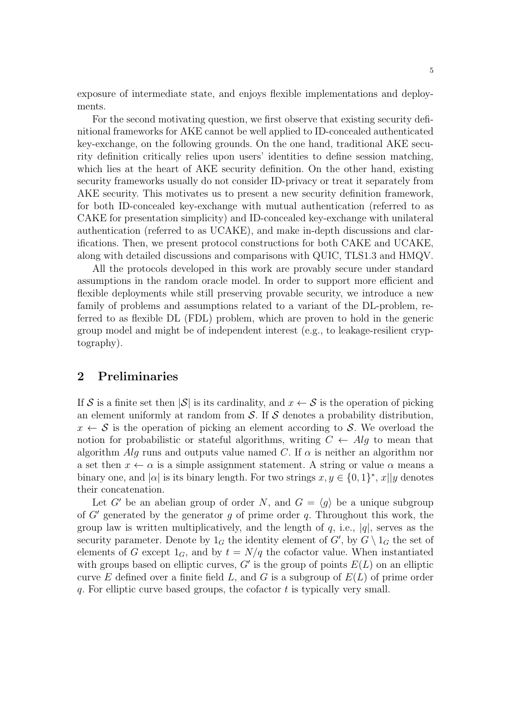exposure of intermediate state, and enjoys flexible implementations and deployments.

For the second motivating question, we first observe that existing security definitional frameworks for AKE cannot be well applied to ID-concealed authenticated key-exchange, on the following grounds. On the one hand, traditional AKE security definition critically relies upon users' identities to define session matching, which lies at the heart of AKE security definition. On the other hand, existing security frameworks usually do not consider ID-privacy or treat it separately from AKE security. This motivates us to present a new security definition framework, for both ID-concealed key-exchange with mutual authentication (referred to as CAKE for presentation simplicity) and ID-concealed key-exchange with unilateral authentication (referred to as UCAKE), and make in-depth discussions and clarifications. Then, we present protocol constructions for both CAKE and UCAKE, along with detailed discussions and comparisons with QUIC, TLS1.3 and HMQV.

All the protocols developed in this work are provably secure under standard assumptions in the random oracle model. In order to support more efficient and flexible deployments while still preserving provable security, we introduce a new family of problems and assumptions related to a variant of the DL-problem, referred to as flexible DL (FDL) problem, which are proven to hold in the generic group model and might be of independent interest (e.g., to leakage-resilient cryptography).

### <span id="page-4-0"></span>2 Preliminaries

If S is a finite set then  $|\mathcal{S}|$  is its cardinality, and  $x \leftarrow S$  is the operation of picking an element uniformly at random from  $S$ . If S denotes a probability distribution,  $x \leftarrow S$  is the operation of picking an element according to S. We overload the notion for probabilistic or stateful algorithms, writing  $C \leftarrow Alg$  to mean that algorithm Alg runs and outputs value named C. If  $\alpha$  is neither an algorithm nor a set then  $x \leftarrow \alpha$  is a simple assignment statement. A string or value  $\alpha$  means a binary one, and  $|\alpha|$  is its binary length. For two strings  $x, y \in \{0, 1\}^*, x||y$  denotes their concatenation.

Let G' be an abelian group of order N, and  $G = \langle q \rangle$  be a unique subgroup of  $G'$  generated by the generator q of prime order q. Throughout this work, the group law is written multiplicatively, and the length of  $q$ , i.e.,  $|q|$ , serves as the security parameter. Denote by  $1_G$  the identity element of  $G'$ , by  $G \setminus 1_G$  the set of elements of G except  $1_G$ , and by  $t = N/q$  the cofactor value. When instantiated with groups based on elliptic curves,  $G'$  is the group of points  $E(L)$  on an elliptic curve E defined over a finite field  $L$ , and G is a subgroup of  $E(L)$  of prime order q. For elliptic curve based groups, the cofactor  $t$  is typically very small.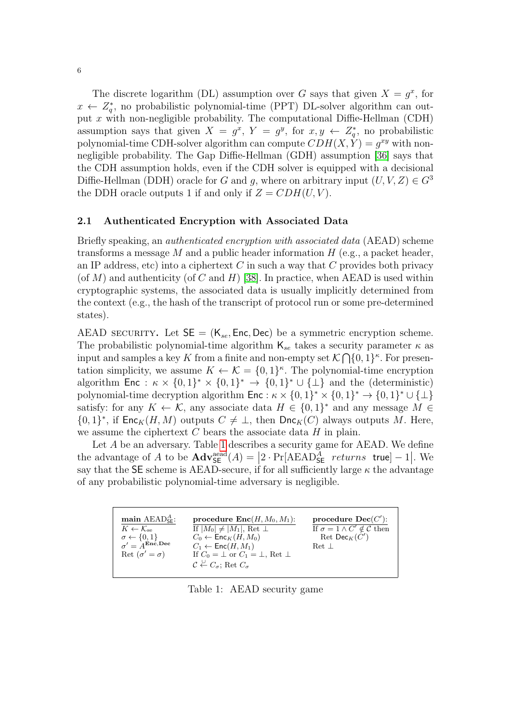The discrete logarithm (DL) assumption over G says that given  $X = g^x$ , for  $x \leftarrow Z_q^*$ , no probabilistic polynomial-time (PPT) DL-solver algorithm can output x with non-negligible probability. The computational Diffie-Hellman (CDH) assumption says that given  $X = g^x$ ,  $Y = g^y$ , for  $x, y \leftarrow Z_q^*$ , no probabilistic polynomial-time CDH-solver algorithm can compute  $CDH(X, \dot{Y}) = g^{xy}$  with nonnegligible probability. The Gap Diffie-Hellman (GDH) assumption [\[36\]](#page-56-14) says that the CDH assumption holds, even if the CDH solver is equipped with a decisional Diffie-Hellman (DDH) oracle for G and g, where on arbitrary input  $(U, V, Z) \in G<sup>3</sup>$ the DDH oracle outputs 1 if and only if  $Z = CDH(U, V)$ .

### <span id="page-5-1"></span>2.1 Authenticated Encryption with Associated Data

Briefly speaking, an authenticated encryption with associated data (AEAD) scheme transforms a message  $M$  and a public header information  $H$  (e.g., a packet header, an IP address, etc) into a ciphertext  $C$  in such a way that  $C$  provides both privacy (of M) and authenticity (of C and H) [\[38\]](#page-56-15). In practice, when AEAD is used within cryptographic systems, the associated data is usually implicitly determined from the context (e.g., the hash of the transcript of protocol run or some pre-determined states).

AEAD SECURITY. Let  $SE = (K_{se}, Enc, Dec)$  be a symmetric encryption scheme. The probabilistic polynomial-time algorithm  $\mathsf{K}_{se}$  takes a security parameter  $\kappa$  as input and samples a key K from a finite and non-empty set  $\mathcal{K} \bigcap \{0,1\}^{\kappa}$ . For presentation simplicity, we assume  $K \leftarrow \mathcal{K} = \{0,1\}^{\kappa}$ . The polynomial-time encryption algorithm Enc :  $\kappa \times \{0,1\}^* \times \{0,1\}^* \to \{0,1\}^* \cup \{\perp\}$  and the (deterministic) polynomial-time decryption algorithm  $\mathsf{Enc} : \kappa \times \{0,1\}^* \times \{0,1\}^* \to \{0,1\}^* \cup \{\perp\}$ satisfy: for any  $K \leftarrow \mathcal{K}$ , any associate data  $H \in \{0,1\}^*$  and any message  $M \in$  ${0,1}^*$ , if  $\mathsf{Enc}_K(H,M)$  outputs  $C \neq \bot$ , then  $\mathsf{Enc}_K(C)$  always outputs M. Here, we assume the ciphertext  $C$  bears the associate data  $H$  in plain.

Let A be an adversary. Table [1](#page-5-0) describes a security game for AEAD. We define the advantage of A to be  $\mathbf{Adv}^{\text{aead}}_{\mathsf{SE}}(A) = |2 \cdot \Pr[\text{AEAD}^A_{\mathsf{SE}} \text{ returns true}] - 1|$ . We say that the SE scheme is AEAD-secure, if for all sufficiently large  $\kappa$  the advantage of any probabilistic polynomial-time adversary is negligible.

<span id="page-5-0"></span>

Table 1: AEAD security game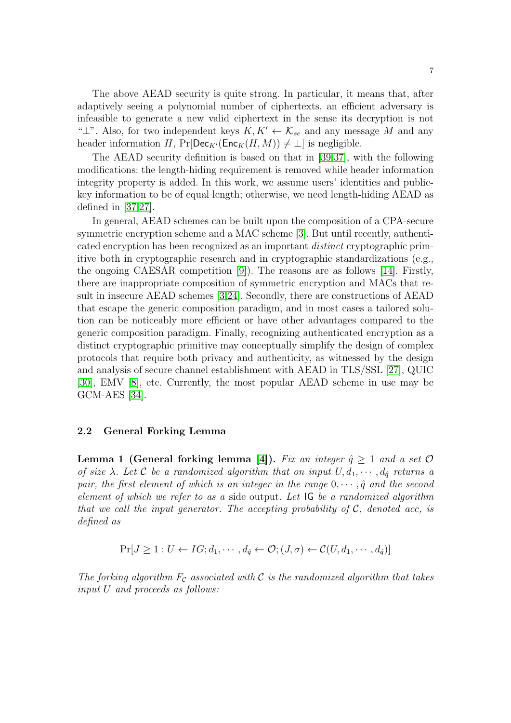The above AEAD security is quite strong. In particular, it means that, after adaptively seeing a polynomial number of ciphertexts, an efficient adversary is infeasible to generate a new valid ciphertext in the sense its decryption is not " $\perp$ ". Also, for two independent keys  $K, K' \leftarrow \mathcal{K}_{se}$  and any message M and any header information H,  $Pr[Dec_{K'}(Enc_{K}(H, M)) \neq \bot]$  is negligible.

The AEAD security definition is based on that in [\[39,](#page-56-16)[37\]](#page-56-17), with the following modifications: the length-hiding requirement is removed while header information integrity property is added. In this work, we assume users' identities and publickey information to be of equal length; otherwise, we need length-hiding AEAD as defined in [\[37](#page-56-17)[,27\]](#page-56-13).

In general, AEAD schemes can be built upon the composition of a CPA-secure symmetric encryption scheme and a MAC scheme [\[3\]](#page-55-4). But until recently, authenticated encryption has been recognized as an important distinct cryptographic primitive both in cryptographic research and in cryptographic standardizations (e.g., the ongoing CAESAR competition [\[9\]](#page-55-1)). The reasons are as follows [\[14\]](#page-56-3). Firstly, there are inappropriate composition of symmetric encryption and MACs that result in insecure AEAD schemes [\[3,](#page-55-4)[24\]](#page-56-9). Secondly, there are constructions of AEAD that escape the generic composition paradigm, and in most cases a tailored solution can be noticeably more efficient or have other advantages compared to the generic composition paradigm. Finally, recognizing authenticated encryption as a distinct cryptographic primitive may conceptually simplify the design of complex protocols that require both privacy and authenticity, as witnessed by the design and analysis of secure channel establishment with AEAD in TLS/SSL [\[27\]](#page-56-13), QUIC [\[30\]](#page-56-2), EMV [\[8\]](#page-55-0), etc. Currently, the most popular AEAD scheme in use may be GCM-AES [\[34\]](#page-56-18).

### 2.2 General Forking Lemma

Lemma 1 (General forking lemma [\[4\]](#page-55-5)). Fix an integer  $\hat{q} \geq 1$  and a set  $\mathcal{O}$ of size  $\lambda$ . Let C be a randomized algorithm that on input  $U, d_1, \cdots, d_{\hat{q}}$  returns a pair, the first element of which is an integer in the range  $0, \dots, \hat{q}$  and the second element of which we refer to as a side output. Let IG be a randomized algorithm that we call the input generator. The accepting probability of  $\mathcal{C}$ , denoted acc, is defined as

$$
Pr[J \ge 1: U \leftarrow IG; d_1, \cdots, d_{\hat{q}} \leftarrow \mathcal{O}; (J, \sigma) \leftarrow \mathcal{C}(U, d_1, \cdots, d_{\hat{q}})]
$$

The forking algorithm  $F_c$  associated with C is the randomized algorithm that takes input U and proceeds as follows: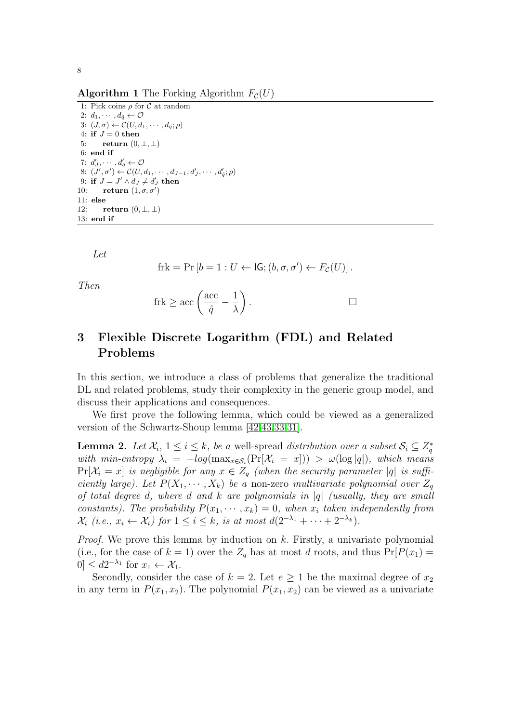**Algorithm 1** The Forking Algorithm  $F_c(U)$ 

1: Pick coins  $\rho$  for  ${\mathcal C}$  at random 2:  $d_1, \cdots, d_{\hat{q}} \leftarrow \mathcal{O}$ 3:  $(J, \sigma) \leftarrow C(U, d_1, \cdots, d_{\hat{q}}; \rho)$ 4: if  $J=0$  then 5: return  $(0, \perp, \perp)$ 6: end if 7:  $d'_{J}, \cdots, d'_{\hat{q}} \leftarrow \mathcal{O}$ 8:  $(J', \sigma') \leftarrow C(U, d_1, \cdots, d_{J-1}, d'_J, \cdots, d'_{\hat{q}}; \rho)$ 9: if  $J = J' \wedge d_J \neq d'_J$  then 10: return  $(1, \sigma, \sigma')$ 11: else 12: return  $(0, \perp, \perp)$ 13: end if

Let

$$
frk = Pr [b = 1 : U \leftarrow IG; (b, \sigma, \sigma') \leftarrow F_{\mathcal{C}}(U)].
$$

Then

<span id="page-7-0"></span>
$$
frk \ge \mathrm{acc}\left(\frac{\mathrm{acc}}{\hat{q}} - \frac{1}{\lambda}\right).
$$

## <span id="page-7-1"></span>3 Flexible Discrete Logarithm (FDL) and Related Problems

In this section, we introduce a class of problems that generalize the traditional DL and related problems, study their complexity in the generic group model, and discuss their applications and consequences.

We first prove the following lemma, which could be viewed as a generalized version of the Schwartz-Shoup lemma [\[42,](#page-56-19)[43,](#page-57-5)[33,](#page-56-20)[31\]](#page-56-21).

**Lemma 2.** Let  $\mathcal{X}_i$ ,  $1 \leq i \leq k$ , be a well-spread distribution over a subset  $\mathcal{S}_i \subseteq \mathbb{Z}_q^*$ with min-entropy  $\lambda_i = -log(max_{x \in S_i}(\Pr[X_i = x])) > \omega(log|q|)$ , which means  $Pr[\mathcal{X}_i = x]$  is negligible for any  $x \in Z_q$  (when the security parameter |q| is sufficiently large). Let  $P(X_1, \dots, X_k)$  be a non-zero multivariate polynomial over  $Z_q$ of total degree d, where d and k are polynomials in  $|q|$  (usually, they are small constants). The probability  $P(x_1, \dots, x_k) = 0$ , when  $x_i$  taken independently from  $\mathcal{X}_i$  (i.e.,  $x_i \leftarrow \mathcal{X}_i$ ) for  $1 \leq i \leq k$ , is at most  $d(2^{-\lambda_1} + \cdots + 2^{-\lambda_k})$ .

*Proof.* We prove this lemma by induction on  $k$ . Firstly, a univariate polynomial (i.e., for the case of  $k = 1$ ) over the  $Z_q$  has at most d roots, and thus  $Pr[P(x_1) =$  $[0] \leq d2^{-\lambda_1}$  for  $x_1 \leftarrow \mathcal{X}_1$ .

Secondly, consider the case of  $k = 2$ . Let  $e \geq 1$  be the maximal degree of  $x_2$ in any term in  $P(x_1, x_2)$ . The polynomial  $P(x_1, x_2)$  can be viewed as a univariate

8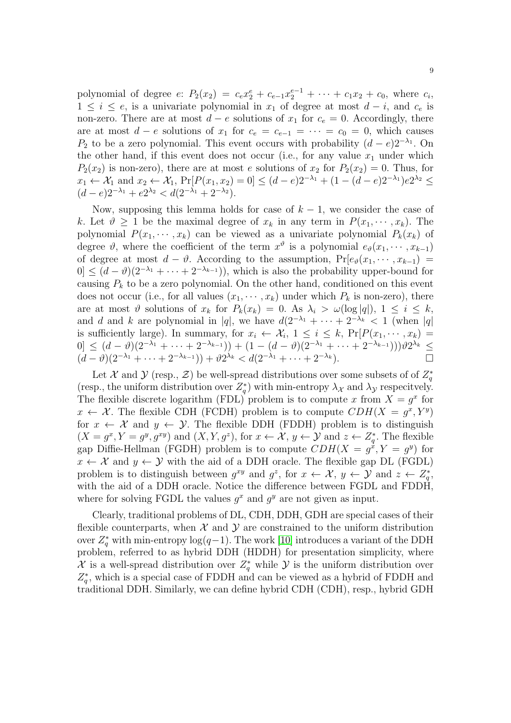polynomial of degree  $e: P_2(x_2) = c_e x_2^e + c_{e-1} x_2^{e-1} + \cdots + c_1 x_2 + c_0$ , where  $c_i$ ,  $1 \leq i \leq e$ , is a univariate polynomial in  $x_1$  of degree at most  $d - i$ , and  $c_e$  is non-zero. There are at most  $d - e$  solutions of  $x_1$  for  $c_e = 0$ . Accordingly, there are at most  $d - e$  solutions of  $x_1$  for  $c_e = c_{e-1} = \cdots = c_0 = 0$ , which causes P<sub>2</sub> to be a zero polynomial. This event occurs with probability  $(d-e)2^{-\lambda_1}$ . On the other hand, if this event does not occur (i.e., for any value  $x_1$  under which  $P_2(x_2)$  is non-zero), there are at most e solutions of  $x_2$  for  $P_2(x_2) = 0$ . Thus, for  $x_1 \leftarrow \mathcal{X}_1$  and  $x_2 \leftarrow \mathcal{X}_1$ ,  $Pr[P(x_1, x_2) = 0] \leq (d - e)2^{-\lambda_1} + (1 - (d - e)2^{-\lambda_1})e^{2\lambda_2} \leq$  $(d-e)2^{-\lambda_1}+e2^{\lambda_2} < d(2^{-\lambda_1}+2^{-\lambda_2}).$ 

Now, supposing this lemma holds for case of  $k - 1$ , we consider the case of k. Let  $\vartheta \geq 1$  be the maximal degree of  $x_k$  in any term in  $P(x_1, \dots, x_k)$ . The polynomial  $P(x_1, \dots, x_k)$  can be viewed as a univariate polynomial  $P_k(x_k)$  of degree  $\vartheta$ , where the coefficient of the term  $x^{\vartheta}$  is a polynomial  $e_{\vartheta}(x_1, \dots, x_{k-1})$ of degree at most  $d - \vartheta$ . According to the assumption,  $Pr[e_{\vartheta}(x_1, \dots, x_{k-1})] =$  $|0| \leq (d-\vartheta)(2^{-\lambda_1}+\cdots+2^{-\lambda_{k-1}})$ , which is also the probability upper-bound for causing  $P_k$  to be a zero polynomial. On the other hand, conditioned on this event does not occur (i.e., for all values  $(x_1, \dots, x_k)$  under which  $P_k$  is non-zero), there are at most  $\vartheta$  solutions of  $x_k$  for  $P_k(x_k) = 0$ . As  $\lambda_i > \omega(\log|q|), 1 \leq i \leq k$ , and d and k are polynomial in |q|, we have  $d(2^{-\lambda_1} + \cdots + 2^{-\lambda_k} < 1$  (when |q| is sufficiently large). In summary, for  $x_i \leftarrow \mathcal{X}_i$ ,  $1 \leq i \leq k$ ,  $\Pr[P(x_1, \dots, x_k)]$ 0 ≤  $(d - \vartheta)(2^{-\lambda_1} + \cdots + 2^{-\lambda_{k-1}}) + (1 - (d - \vartheta)(2^{-\lambda_1} + \cdots + 2^{-\lambda_{k-1}}))\vartheta 2^{\lambda_k}$  ≤  $(d - \vartheta)(2^{-\lambda_1} + \cdots + 2^{-\lambda_{k-1}})) + \vartheta 2^{\lambda_k} < d(2^{-\lambda_1} + \cdots + 2^{-\lambda_k}).$ 

Let X and  $\mathcal Y$  (resp.,  $\mathcal Z$ ) be well-spread distributions over some subsets of of  $Z_q^*$ (resp., the uniform distribution over  $Z_q^*$ ) with min-entropy  $\lambda_{\mathcal{X}}$  and  $\lambda_{\mathcal{Y}}$  respecitvely. The flexible discrete logarithm (FDL) problem is to compute x from  $X = g^x$  for  $x \leftarrow \mathcal{X}$ . The flexible CDH (FCDH) problem is to compute  $CDH(X = g^x, Y^y)$ for  $x \leftarrow \mathcal{X}$  and  $y \leftarrow \mathcal{Y}$ . The flexible DDH (FDDH) problem is to distinguish  $(X = g^x, Y = g^y, g^{xy})$  and  $(X, Y, g^z)$ , for  $x \leftarrow \mathcal{X}, y \leftarrow \mathcal{Y}$  and  $z \leftarrow Z_q^*$ . The flexible gap Diffie-Hellman (FGDH) problem is to compute  $CDH(X = g^{\dot{x}}, Y = g^{\dot{y}})$  for  $x \leftarrow \mathcal{X}$  and  $y \leftarrow \mathcal{Y}$  with the aid of a DDH oracle. The flexible gap DL (FGDL) problem is to distinguish between  $g^{xy}$  and  $g^z$ , for  $x \leftarrow \mathcal{X}, y \leftarrow \mathcal{Y}$  and  $z \leftarrow Z_q^*$ , with the aid of a DDH oracle. Notice the difference between FGDL and FDDH, where for solving FGDL the values  $g^x$  and  $g^y$  are not given as input.

Clearly, traditional problems of DL, CDH, DDH, GDH are special cases of their flexible counterparts, when  $\mathcal X$  and  $\mathcal Y$  are constrained to the uniform distribution over  $Z_q^*$  with min-entropy  $\log(q-1)$ . The work [\[10\]](#page-55-6) introduces a variant of the DDH problem, referred to as hybrid DDH (HDDH) for presentation simplicity, where X is a well-spread distribution over  $Z_q^*$  while  $\mathcal Y$  is the uniform distribution over  $Z_q^*$ , which is a special case of FDDH and can be viewed as a hybrid of FDDH and traditional DDH. Similarly, we can define hybrid CDH (CDH), resp., hybrid GDH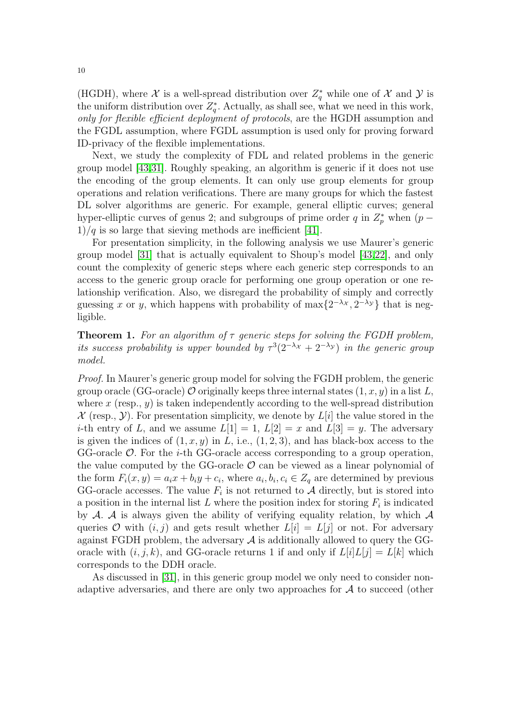(HGDH), where  $\mathcal X$  is a well-spread distribution over  $Z_q^*$  while one of  $\mathcal X$  and  $\mathcal Y$  is the uniform distribution over  $Z_q^*$ . Actually, as shall see, what we need in this work, only for flexible efficient deployment of protocols, are the HGDH assumption and the FGDL assumption, where FGDL assumption is used only for proving forward ID-privacy of the flexible implementations.

Next, we study the complexity of FDL and related problems in the generic group model [\[43](#page-57-5)[,31\]](#page-56-21). Roughly speaking, an algorithm is generic if it does not use the encoding of the group elements. It can only use group elements for group operations and relation verifications. There are many groups for which the fastest DL solver algorithms are generic. For example, general elliptic curves; general hyper-elliptic curves of genus 2; and subgroups of prime order q in  $Z_p^*$  when  $(p 1)/q$  is so large that sieving methods are inefficient [\[41\]](#page-56-22).

For presentation simplicity, in the following analysis we use Maurer's generic group model [\[31\]](#page-56-21) that is actually equivalent to Shoup's model [\[43,](#page-57-5)[22\]](#page-56-23), and only count the complexity of generic steps where each generic step corresponds to an access to the generic group oracle for performing one group operation or one relationship verification. Also, we disregard the probability of simply and correctly guessing x or y, which happens with probability of  $\max\{2^{-\lambda x}, 2^{-\lambda y}\}\)$  that is negligible.

**Theorem 1.** For an algorithm of  $\tau$  generic steps for solving the FGDH problem, its success probability is upper bounded by  $\tau^3(2^{-\lambda_{\mathcal{X}}}+2^{-\lambda_{\mathcal{Y}}})$  in the generic group model.

Proof. In Maurer's generic group model for solving the FGDH problem, the generic group oracle (GG-oracle)  $\mathcal O$  originally keeps three internal states  $(1, x, y)$  in a list L, where x (resp.,  $y$ ) is taken independently according to the well-spread distribution  $\mathcal{X}$  (resp.,  $\mathcal{Y}$ ). For presentation simplicity, we denote by  $L[i]$  the value stored in the *i*-th entry of L, and we assume  $L[1] = 1$ ,  $L[2] = x$  and  $L[3] = y$ . The adversary is given the indices of  $(1, x, y)$  in L, i.e.,  $(1, 2, 3)$ , and has black-box access to the  $GG$ -oracle  $O$ . For the *i*-th  $GG$ -oracle access corresponding to a group operation, the value computed by the GG-oracle  $\mathcal O$  can be viewed as a linear polynomial of the form  $F_i(x, y) = a_i x + b_i y + c_i$ , where  $a_i, b_i, c_i \in Z_q$  are determined by previous GG-oracle accesses. The value  $F_i$  is not returned to A directly, but is stored into a position in the internal list  $L$  where the position index for storing  $F_i$  is indicated by  $A$ .  $A$  is always given the ability of verifying equality relation, by which  $A$ queries O with  $(i, j)$  and gets result whether  $L[i] = L[j]$  or not. For adversary against FGDH problem, the adversary  $A$  is additionally allowed to query the GGoracle with  $(i, j, k)$ , and GG-oracle returns 1 if and only if  $L[i]L[j] = L[k]$  which corresponds to the DDH oracle.

As discussed in [\[31\]](#page-56-21), in this generic group model we only need to consider nonadaptive adversaries, and there are only two approaches for  $A$  to succeed (other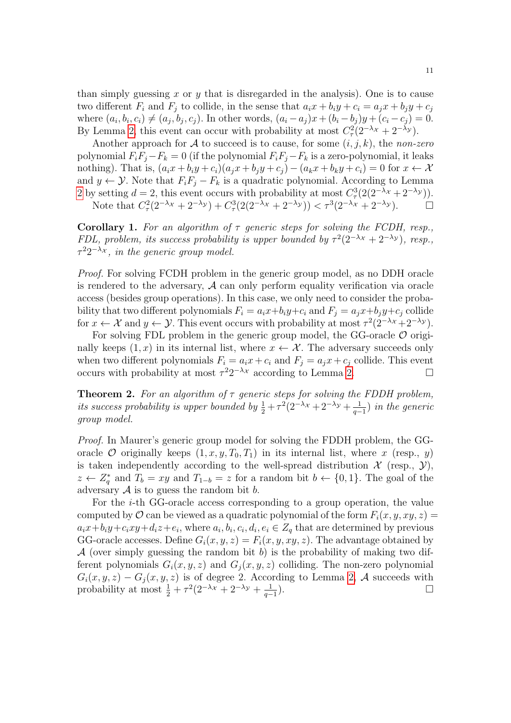than simply guessing x or y that is disregarded in the analysis). One is to cause two different  $F_i$  and  $F_j$  to collide, in the sense that  $a_ix + b_iy + c_i = a_jx + b_jy + c_j$ where  $(a_i, b_i, c_i) \neq (a_j, b_j, c_j)$ . In other words,  $(a_i - a_j)x + (b_i - b_j)y + (c_i - c_j) = 0$ . By Lemma [2,](#page-7-0) this event can occur with probability at most  $C^2(\mathcal{2}^{-\lambda x} + 2^{-\lambda y})$ .

Another approach for A to succeed is to cause, for some  $(i, j, k)$ , the non-zero polynomial  $F_iF_j-F_k=0$  (if the polynomial  $F_iF_j-F_k$  is a zero-polynomial, it leaks nothing). That is,  $(a_ix + b_iy + c_i)(a_ix + b_jy + c_j) - (a_kx + b_ky + c_i) = 0$  for  $x \leftarrow \mathcal{X}$ and  $y \leftarrow \mathcal{Y}$ . Note that  $F_i F_j - F_k$  is a quadratic polynomial. According to Lemma [2](#page-7-0) by setting  $d = 2$ , this event occurs with probability at most  $C^3_\tau(2(2^{-\lambda_{\mathcal{X}}} + 2^{-\lambda_{\mathcal{Y}}}))$ . Note that  $C_{\tau}^2(2^{-\lambda_{\mathcal{X}}}+2^{-\lambda_{\mathcal{Y}}})+C_{\tau}^3(2(2^{-\lambda_{\mathcal{X}}}+2^{-\lambda_{\mathcal{Y}}})) < \tau^3(2^{-\lambda_{\mathcal{X}}}+2^{-\lambda_{\mathcal{Y}}}).$ 

Corollary 1. For an algorithm of  $\tau$  generic steps for solving the FCDH, resp., FDL, problem, its success probability is upper bounded by  $\tau^2(2^{-\lambda x} + 2^{-\lambda y})$ , resp.,  $\tau^2 2^{-\lambda_{\mathcal{X}}},$  in the generic group model.

Proof. For solving FCDH problem in the generic group model, as no DDH oracle is rendered to the adversary,  $A$  can only perform equality verification via oracle access (besides group operations). In this case, we only need to consider the probability that two different polynomials  $F_i = a_i x + b_i y + c_i$  and  $F_j = a_j x + b_j y + c_j$  collide for  $x \leftarrow \mathcal{X}$  and  $y \leftarrow \mathcal{Y}$ . This event occurs with probability at most  $\tau^2(2^{-\lambda x} + 2^{-\lambda y})$ .

For solving FDL problem in the generic group model, the GG-oracle  $\mathcal O$  originally keeps  $(1, x)$  in its internal list, where  $x \leftarrow \mathcal{X}$ . The adversary succeeds only when two different polynomials  $F_i = a_i x + c_i$  and  $F_j = a_j x + c_j$  collide. This event occurs with probability at most  $\tau^2 2^{-\lambda x}$  according to Lemma [2.](#page-7-0)

**Theorem 2.** For an algorithm of  $\tau$  generic steps for solving the FDDH problem, its success probability is upper bounded by  $\frac{1}{2} + \tau^2 (2^{-\lambda_X} + 2^{-\lambda_Y} + \frac{1}{q^-})$  $\frac{1}{q-1}$ ) in the generic group model.

Proof. In Maurer's generic group model for solving the FDDH problem, the GGoracle O originally keeps  $(1, x, y, T_0, T_1)$  in its internal list, where x (resp., y) is taken independently according to the well-spread distribution  $\mathcal X$  (resp.,  $\mathcal Y$ ),  $z \leftarrow Z_q^*$  and  $T_b = xy$  and  $T_{1-b} = z$  for a random bit  $b \leftarrow \{0, 1\}$ . The goal of the adversary  $A$  is to guess the random bit  $b$ .

For the i-th GG-oracle access corresponding to a group operation, the value computed by  $\mathcal O$  can be viewed as a quadratic polynomial of the form  $F_i(x, y, xy, z) =$  $a_i x + b_i y + c_i xy + d_i z + e_i$ , where  $a_i, b_i, c_i, d_i, e_i \in Z_q$  that are determined by previous GG-oracle accesses. Define  $G_i(x, y, z) = F_i(x, y, xy, z)$ . The advantage obtained by  $\mathcal A$  (over simply guessing the random bit b) is the probability of making two different polynomials  $G_i(x, y, z)$  and  $G_i(x, y, z)$  colliding. The non-zero polynomial  $G_i(x, y, z) - G_j(x, y, z)$  is of degree 2. According to Lemma [2,](#page-7-0) A succeeds with probability at most  $\frac{1}{2} + \tau^2 (2^{-\lambda_{\mathcal{X}}} + 2^{-\lambda_{\mathcal{Y}}} + \frac{1}{q-1})$  $q-1$ ).  $\qquad \qquad \Box$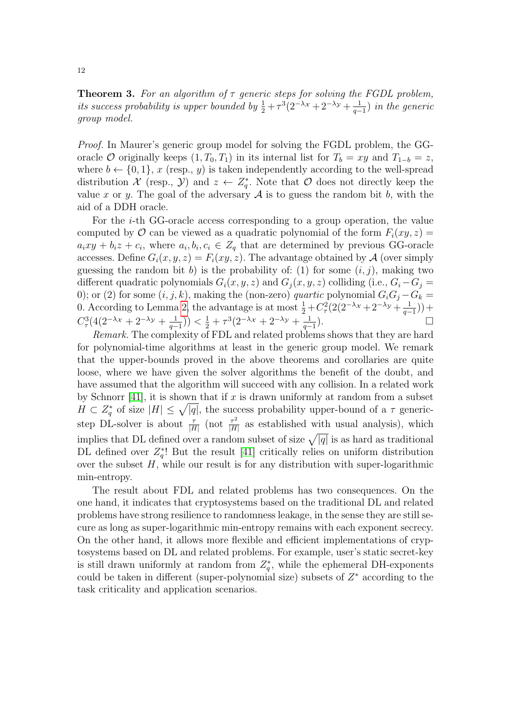**Theorem 3.** For an algorithm of  $\tau$  generic steps for solving the FGDL problem, its success probability is upper bounded by  $\frac{1}{2} + \tau^3 (2^{-\lambda_X} + 2^{-\lambda_Y} + \frac{1}{q^-})$  $\frac{1}{q-1}$ ) in the generic group model.

Proof. In Maurer's generic group model for solving the FGDL problem, the GGoracle O originally keeps  $(1, T_0, T_1)$  in its internal list for  $T_b = xy$  and  $T_{1-b} = z$ , where  $b \leftarrow \{0, 1\}, x$  (resp., y) is taken independently according to the well-spread distribution X (resp., Y) and  $z \leftarrow Z_q^*$ . Note that O does not directly keep the value x or y. The goal of the adversary  $A$  is to guess the random bit b, with the aid of a DDH oracle.

For the i-th GG-oracle access corresponding to a group operation, the value computed by  $\mathcal O$  can be viewed as a quadratic polynomial of the form  $F_i(xy, z) =$  $a_i xy + b_i z + c_i$ , where  $a_i, b_i, c_i \in Z_q$  that are determined by previous GG-oracle accesses. Define  $G_i(x, y, z) = F_i(xy, z)$ . The advantage obtained by A (over simply guessing the random bit b) is the probability of: (1) for some  $(i, j)$ , making two different quadratic polynomials  $G_i(x, y, z)$  and  $G_i(x, y, z)$  colliding (i.e.,  $G_i - G_j =$ 0); or (2) for some  $(i, j, k)$ , making the (non-zero) *quartic* polynomial  $G_iG_j - G_k =$ 0. According to Lemma [2,](#page-7-0) the advantage is at most  $\frac{1}{2} + C_{\tau}^{2} (2(2^{-\lambda_{\mathcal{X}}} + 2^{-\lambda_{\mathcal{Y}}} + \frac{1}{q^{-\lambda_{\mathcal{X}}}})$  $\frac{1}{q-1})$  +  $C^3_\tau(4(2^{-\lambda_{\mathcal{X}}}+2^{-\lambda_{\mathcal{Y}}}+\frac{1}{q-1}))$  $\frac{1}{q-1})$ )  $<\frac{1}{2} + \tau^3(2^{-\lambda_{\mathcal{X}}} + 2^{-\lambda_{\mathcal{Y}}} + \frac{1}{q-1})$  $\frac{1}{q-1}$ ).

Remark. The complexity of FDL and related problems shows that they are hard for polynomial-time algorithms at least in the generic group model. We remark that the upper-bounds proved in the above theorems and corollaries are quite loose, where we have given the solver algorithms the benefit of the doubt, and have assumed that the algorithm will succeed with any collision. In a related work by Schnorr [\[41\]](#page-56-22), it is shown that if x is drawn uniformly at random from a subset  $H \subset Z_q^*$  of size  $|H| \leq \sqrt{|q|}$ , the success probability upper-bound of a  $\tau$  genericstep DL-solver is about  $\frac{\tau}{|H|}$  (not  $\frac{\tau^2}{|H|}$  $\frac{\tau^2}{|H|}$  as established with usual analysis), which implies that DL defined over a random subset of size  $\sqrt{|q|}$  is as hard as traditional DL defined over  $Z_q^*$ ! But the result [\[41\]](#page-56-22) critically relies on uniform distribution over the subset  $H$ , while our result is for any distribution with super-logarithmic min-entropy.

The result about FDL and related problems has two consequences. On the one hand, it indicates that cryptosystems based on the traditional DL and related problems have strong resilience to randomness leakage, in the sense they are still secure as long as super-logarithmic min-entropy remains with each exponent secrecy. On the other hand, it allows more flexible and efficient implementations of cryptosystems based on DL and related problems. For example, user's static secret-key is still drawn uniformly at random from  $Z_q^*$ , while the ephemeral DH-exponents could be taken in different (super-polynomial size) subsets of  $Z^*$  according to the task criticality and application scenarios.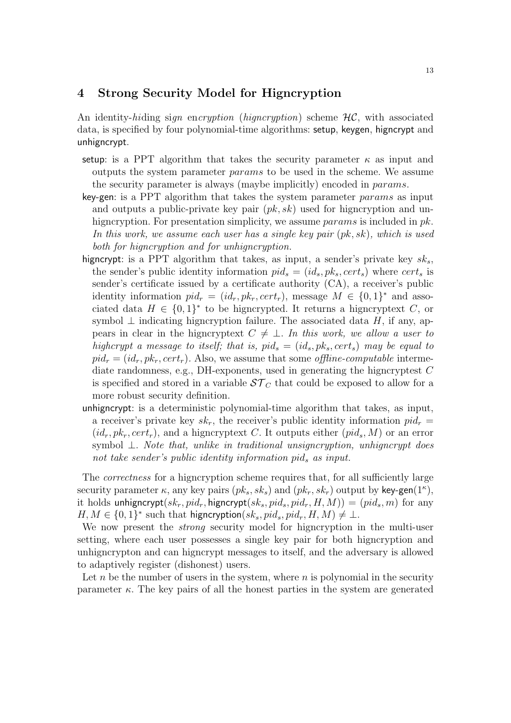## 4 Strong Security Model for Higncryption

An identity-hiding sign encryption (higncryption) scheme  $\mathcal{HC}$ , with associated data, is specified by four polynomial-time algorithms: setup, keygen, higncrypt and unhigncrypt.

- setup: is a PPT algorithm that takes the security parameter  $\kappa$  as input and outputs the system parameter params to be used in the scheme. We assume the security parameter is always (maybe implicitly) encoded in params.
- key-gen: is a PPT algorithm that takes the system parameter params as input and outputs a public-private key pair  $(pk, sk)$  used for higncryption and unhigncryption. For presentation simplicity, we assume *params* is included in  $pk$ . In this work, we assume each user has a single key pair (pk, sk), which is used both for higncryption and for unhigncryption.
- higncrypt: is a PPT algorithm that takes, as input, a sender's private key  $sk_s$ , the sender's public identity information  $pid_s = (id_s, pk_s, cert_s)$  where  $cert_s$  is sender's certificate issued by a certificate authority (CA), a receiver's public identity information  $pid_r = (id_r, pk_r, cert_r)$ , message  $M \in \{0,1\}^*$  and associated data  $H \in \{0,1\}^*$  to be higncrypted. It returns a higncryptext C, or symbol  $\perp$  indicating higncryption failure. The associated data H, if any, appears in clear in the higncryptext  $C \neq \perp$ . In this work, we allow a user to highcrypt a message to itself; that is,  $pid_s = (id_s, pk_s, cert_s)$  may be equal to  $pid_r = (id_r, pk_r, cert_r)$ . Also, we assume that some *offline-computable* intermediate randomness, e.g., DH-exponents, used in generating the higncryptest  $C$ is specified and stored in a variable  $ST_C$  that could be exposed to allow for a more robust security definition.
- unhigncrypt: is a deterministic polynomial-time algorithm that takes, as input, a receiver's private key  $sk_r$ , the receiver's public identity information  $pid_r =$  $(id_r, pk_r, cert_r)$ , and a higncryptext C. It outputs either  $(pid_s, M)$  or an error symbol ⊥. Note that, unlike in traditional unsigncryption, unhigncrypt does not take sender's public identity information pid<sub>s</sub> as input.

The *correctness* for a higncryption scheme requires that, for all sufficiently large security parameter  $\kappa$ , any key pairs  $(pk_s, sk_s)$  and  $(pk_r, sk_r)$  output by key-gen $(1^{\kappa})$ , it holds unhigncrypt( $sk_r$ ,  $pid_r$ , higncrypt( $sk_s$ ,  $pid_s$ ,  $pid_r$ ,  $H$ ,  $M$ )) = ( $pid_s$ ,  $m$ ) for any  $H, M \in \{0,1\}^*$  such that higncryption $(sk_s, pid_s,pid_r, H, M) \neq \bot$ .

We now present the *strong* security model for higncryption in the multi-user setting, where each user possesses a single key pair for both higncryption and unhigncrypton and can higncrypt messages to itself, and the adversary is allowed to adaptively register (dishonest) users.

Let  $n$  be the number of users in the system, where  $n$  is polynomial in the security parameter  $\kappa$ . The key pairs of all the honest parties in the system are generated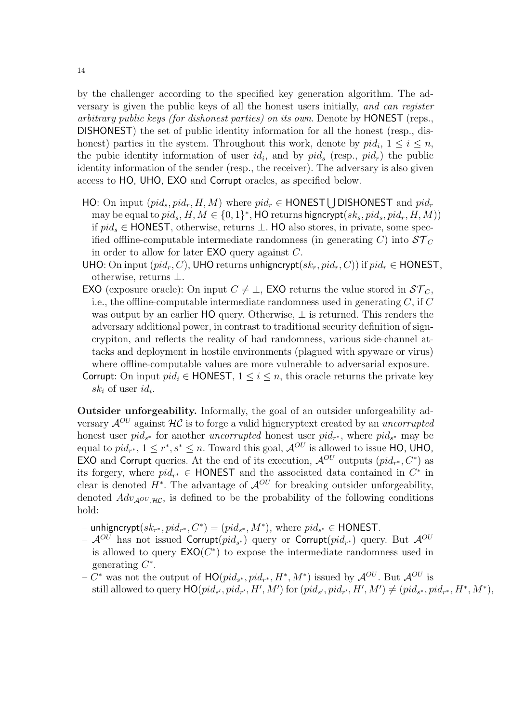by the challenger according to the specified key generation algorithm. The adversary is given the public keys of all the honest users initially, and can register arbitrary public keys (for dishonest parties) on its own. Denote by HONEST (reps., DISHONEST) the set of public identity information for all the honest (resp., dishonest) parties in the system. Throughout this work, denote by  $pid_i$ ,  $1 \leq i \leq n$ , the pubic identity information of user  $id_i$ , and by  $pid_s$  (resp.,  $pid_r$ ) the public identity information of the sender (resp., the receiver). The adversary is also given access to HO, UHO, EXO and Corrupt oracles, as specified below.

- HO: On input  $(pid_s, pid_r, H, M)$  where  $pid_r \in$  HONEST U DISHONEST and  $pid_r$ may be equal to  $pid_s$ ,  $H, M \in \{0,1\}^*$ , HO returns higncrypt $(sk_s, pid_s,pid_r, H, M)$ if  $pid_s$  ∈ HONEST, otherwise, returns  $\bot$ . HO also stores, in private, some specified offline-computable intermediate randomness (in generating C) into  $ST_C$ in order to allow for later EXO query against C.
- UHO: On input  $(pid_r, C)$ , UHO returns unhigncrypt $(sk_r, pid_r, C)$ ) if  $pid_r \in$  HONEST, otherwise, returns ⊥.
- EXO (exposure oracle): On input  $C \neq \perp$ , EXO returns the value stored in  $ST_C$ , i.e., the offline-computable intermediate randomness used in generating  $C$ , if  $C$ was output by an earlier HO query. Otherwise,  $\perp$  is returned. This renders the adversary additional power, in contrast to traditional security definition of signcrypiton, and reflects the reality of bad randomness, various side-channel attacks and deployment in hostile environments (plagued with spyware or virus) where offline-computable values are more vulnerable to adversarial exposure.
- Corrupt: On input  $pid_i \in$  HONEST,  $1 \leq i \leq n$ , this oracle returns the private key  $sk_i$  of user  $id_i$ .

Outsider unforgeability. Informally, the goal of an outsider unforgeability adversary  $\mathcal{A}^{OU}$  against  $\mathcal{HC}$  is to forge a valid higncryptext created by an uncorrupted honest user  $pid_{s^*}$  for another *uncorrupted* honest user  $pid_{r^*}$ , where  $pid_{s^*}$  may be equal to  $pid_{r^*}$ ,  $1 \leq r^*$ ,  $s^* \leq n$ . Toward this goal,  $\mathcal{A}^{OU}$  is allowed to issue HO, UHO, **EXO** and Corrupt queries. At the end of its execution,  $\mathcal{A}^{OU}$  outputs  $(pid_{r^*}, C^*)$  as its forgery, where  $pid_{r^*} \in \text{HONEST}$  and the associated data contained in  $C^*$  in clear is denoted  $H^*$ . The advantage of  $\mathcal{A}^{OU}$  for breaking outsider unforgeability, denoted  $Adv_{A^{OU},HC}$ , is defined to be the probability of the following conditions hold:

− unhigncrypt $(sk_{r^*}, pid_{r^*}, C^*) = (pid_{s^*}, M^*)$ , where  $pid_{s^*}$  ∈ HONEST.

- ${\cal A}^{OU}$  has not issued Corrupt $(pid_{s^*})$  query or Corrupt $(pid_{r^*})$  query. But  ${\cal A}^{OU}$ is allowed to query  $\mathsf{EXO}(C^*)$  to expose the intermediate randomness used in generating  $C^*$ .
- $-C^*$  was not the output of  $\mathsf{HO}(pid_{s^*},pid_{r^*},H^*,M^*)$  issued by  $\mathcal{A}^{OU}$ . But  $\mathcal{A}^{OU}$  is still allowed to query  $\textsf{HO}(pid_{s'},pid_{r'}, H', M')$  for  $(pid_{s'},pid_{r'}, H', M') \neq (pid_{s^*},pid_{r^*}, H^*, M^*),$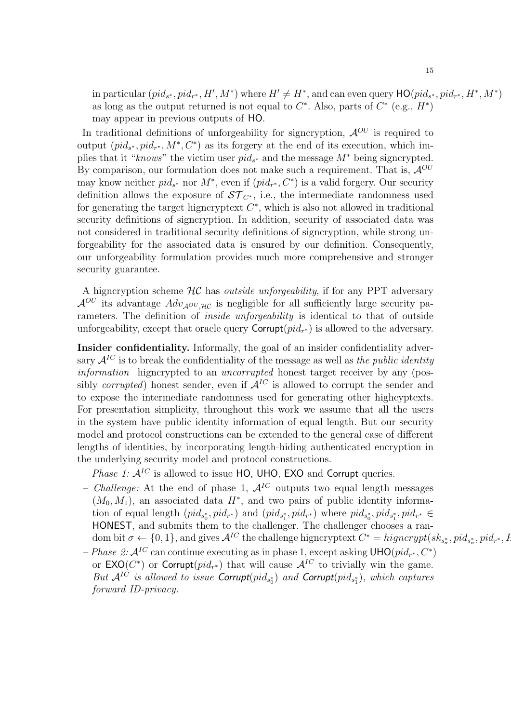in particular  $(pid_{s^*}, pid_{r^*}, H', M^*)$  where  $H' \neq H^*$ , and can even query  $\textsf{HO}(pid_{s^*}, pid_{r^*}, H^*, M^*)$ as long as the output returned is not equal to  $C^*$ . Also, parts of  $C^*$  (e.g.,  $H^*$ ) may appear in previous outputs of HO.

In traditional definitions of unforgeability for signcryption,  $\mathcal{A}^{OU}$  is required to output  $(pid_{s^*}, pid_{r^*}, M^*, C^*)$  as its forgery at the end of its execution, which implies that it "knows" the victim user  $pid_{s^*}$  and the message  $M^*$  being signcrypted. By comparison, our formulation does not make such a requirement. That is,  $\mathcal{A}^{OU}$ may know neither  $pid_{s^*}$  nor  $M^*$ , even if  $(pid_{r^*}, C^*)$  is a valid forgery. Our security definition allows the exposure of  $ST_{C^*}$ , i.e., the intermediate randomness used for generating the target higncryptext  $C^*$ , which is also not allowed in traditional security definitions of signcryption. In addition, security of associated data was not considered in traditional security definitions of signcryption, while strong unforgeability for the associated data is ensured by our definition. Consequently, our unforgeability formulation provides much more comprehensive and stronger security guarantee.

A higncryption scheme  $H\mathcal{C}$  has *outside unforgeability*, if for any PPT adversary  $\mathcal{A}^{OU}$  its advantage  $Adv_{\mathcal{A}^{OU},\mathcal{H}^{C}}$  is negligible for all sufficiently large security parameters. The definition of *inside unforgeability* is identical to that of outside unforgeability, except that oracle query  $\text{Corrupt}(pid_{r^*})$  is allowed to the adversary.

Insider confidentiality. Informally, the goal of an insider confidentiality adversary  $\mathcal{A}^{IC}$  is to break the confidentiality of the message as well as the public identity information higncrypted to an uncorrupted honest target receiver by any (possibly *corrupted*) honest sender, even if  $A^{IC}$  is allowed to corrupt the sender and to expose the intermediate randomness used for generating other highcyptexts. For presentation simplicity, throughout this work we assume that all the users in the system have public identity information of equal length. But our security model and protocol constructions can be extended to the general case of different lengths of identities, by incorporating length-hiding authenticated encryption in the underlying security model and protocol constructions.

- Phase 1:  $A^{IC}$  is allowed to issue HO, UHO, EXO and Corrupt queries.
- *Challenge:* At the end of phase 1,  $A^{IC}$  outputs two equal length messages  $(M_0, M_1)$ , an associated data  $H^*$ , and two pairs of public identity information of equal length  $(pid_{s_0^*}, pid_{r^*})$  and  $(pid_{s_1^*}, pid_{r^*})$  where  $pid_{s_0^*},pid_{s_1^*},pid_{r^*} \in$ HONEST, and submits them to the challenger. The challenger chooses a random bit  $\sigma \leftarrow \{0, 1\}$ , and gives  $\mathcal{A}^{IC}$  the challenge higncryptext  $C^* = higncrypt(s_{k_{s_{\sigma}}}, pid_{s_{\sigma}}^*,pid_{r^*},F_{\sigma})$
- $-Phase\ \mathcal{Q}:\mathcal{A}^{IC}$  can continue executing as in phase 1, except asking  $\mathsf{UHO}(pid_{r^*},C^*)$ or  $\mathsf{EXO}(C^*)$  or Corrupt $(pid_{r^*})$  that will cause  $\mathcal{A}^{IC}$  to trivially win the game. But  $\mathcal{A}^{IC}$  is allowed to issue Corrupt $(pid_{s_0^*})$  and Corrupt $(pid_{s_1^*})$ , which captures forward ID-privacy.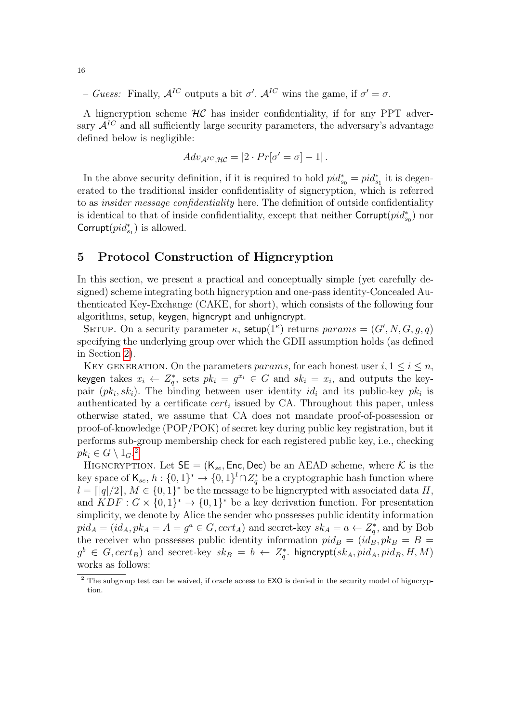- Guess: Finally,  $\mathcal{A}^{IC}$  outputs a bit  $\sigma'$ .  $\mathcal{A}^{IC}$  wins the game, if  $\sigma' = \sigma$ .

A higncryption scheme  $H\mathcal{C}$  has insider confidentiality, if for any PPT adversary  $\mathcal{A}^{IC}$  and all sufficiently large security parameters, the adversary's advantage defined below is negligible:

$$
Adv_{\mathcal{A}^{IC},\mathcal{HC}} = |2 \cdot Pr[\sigma' = \sigma] - 1|.
$$

In the above security definition, if it is required to hold  $pid^*_{s_0} = pid^*_{s_1}$  it is degenerated to the traditional insider confidentiality of signcryption, which is referred to as insider message confidentiality here. The definition of outside confidentiality is identical to that of inside confidentiality, except that neither  $\text{Corrupt}(pid^*_{s_0})$  nor Corrupt $(pid_{s_1}^*)$  is allowed.

### 5 Protocol Construction of Higncryption

In this section, we present a practical and conceptually simple (yet carefully designed) scheme integrating both higncryption and one-pass identity-Concealed Authenticated Key-Exchange (CAKE, for short), which consists of the following four algorithms, setup, keygen, higncrypt and unhigncrypt.

SETUP. On a security parameter  $\kappa$ , setup $(1^{\kappa})$  returns  $params = (G', N, G, g, q)$ specifying the underlying group over which the GDH assumption holds (as defined in Section [2\)](#page-4-0).

KEY GENERATION. On the parameters params, for each honest user  $i, 1 \leq i \leq n$ , keygen takes  $x_i \leftarrow Z_q^*$ , sets  $pk_i = g^{x_i} \in G$  and  $sk_i = x_i$ , and outputs the keypair  $(pk_i, sk_i)$ . The binding between user identity  $id_i$  and its public-key  $pk_i$  is authenticated by a certificate  $cert_i$  issued by CA. Throughout this paper, unless otherwise stated, we assume that CA does not mandate proof-of-possession or proof-of-knowledge (POP/POK) of secret key during public key registration, but it performs sub-group membership check for each registered public key, i.e., checking  $pk_i \in G \setminus 1_G$ .<sup>[2](#page-15-0)</sup>

HIGNCRYPTION. Let  $SE = (K_{se}, Enc, Dec)$  be an AEAD scheme, where K is the key space of  $\mathsf{K}_{se}, h: \{0,1\}^* \to \{0,1\}^l \cap Z_q^*$  be a cryptographic hash function where  $l = \lfloor |q|/2 \rfloor, M \in \{0,1\}^*$  be the message to be higncrypted with associated data H, and  $KDF: G \times \{0,1\}^* \rightarrow \{0,1\}^*$  be a key derivation function. For presentation simplicity, we denote by Alice the sender who possesses public identity information  $pid_A = (id_A, pk_A = A = g^a \in G, cert_A)$  and secret-key  $sk_A = a \leftarrow Z_q^*$ , and by Bob the receiver who possesses public identity information  $pid_B = (id_B, pk_B = B =$  $g^b \in G, cert_B$  and secret-key  $sk_B = b \leftarrow Z_q^*$ . higncrypt $(sk_A, pid_A, pid_B, H, M)$ works as follows:

<span id="page-15-0"></span><sup>2</sup> The subgroup test can be waived, if oracle access to EXO is denied in the security model of higncryption.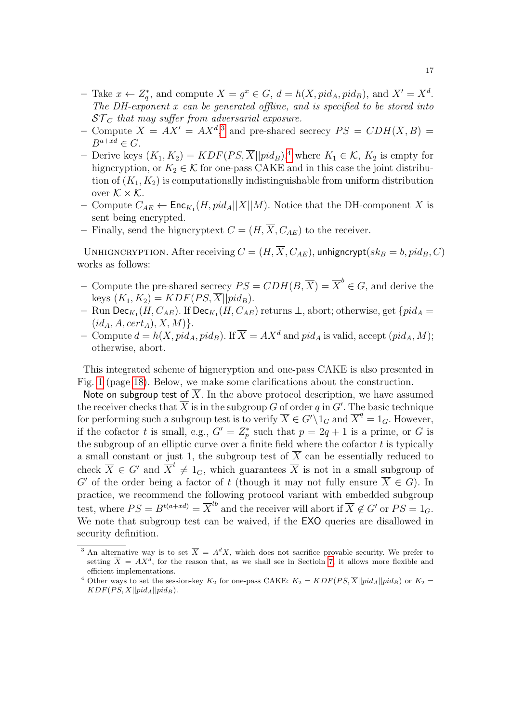- Take  $x \leftarrow Z_q^*$ , and compute  $X = g^x \in G$ ,  $d = h(X, pid_A, pid_B)$ , and  $X' = X^d$ . The DH-exponent x can be generated offline, and is specified to be stored into  $ST_C$  that may suffer from adversarial exposure.
- Compute  $\overline{X} = AX' = AX^d$ , and pre-shared secrecy  $PS = CDH(\overline{X}, B) =$  $B^{a+xd} \in G$ .
- Derive keys  $(K_1, K_2) = KDF(PS, \overline{X} || pid_B)$ ,<sup>[4](#page-16-1)</sup> where  $K_1 \in \mathcal{K}$ ,  $K_2$  is empty for higncryption, or  $K_2 \in \mathcal{K}$  for one-pass CAKE and in this case the joint distribution of  $(K_1, K_2)$  is computationally indistinguishable from uniform distribution over  $K \times K$ .
- Compute  $C_{AE}$  ← Enc<sub>K<sub>1</sub></sub>( $H$ ,  $pid_A||X||M$ ). Notice that the DH-component X is sent being encrypted.
- Finally, send the higncryptext  $C = (H, \overline{X}, C_{AE})$  to the receiver.

UNHIGNCRYPTION. After receiving  $C = (H, \overline{X}, C_{AE})$ , unhigncrypt $(sk_B = b$ ,  $pid_B$ , C) works as follows:

- Compute the pre-shared secrecy  $PS = CDH(B, \overline{X}) = \overline{X}^b \in G$ , and derive the keys  $(K_1, K_2) = KDF(PS, \overline{X} || pid_B).$
- − Run Dec $_{K_1}(H, C_{AE})$ . If Dec $_{K_1}(H, C_{AE})$  returns  $\bot$ , abort; otherwise, get  $\{pid_A =$  $(id_A, A, cert_A), X, M$  }.
- Compute  $d = h(X, pid_A, pid_B)$ . If  $\overline{X} = AX^d$  and pid<sub>A</sub> is valid, accept  $(pid_A, M)$ ; otherwise, abort.

This integrated scheme of higncryption and one-pass CAKE is also presented in Fig. [1](#page-17-0) (page [18\)](#page-17-0). Below, we make some clarifications about the construction.

Note on subgroup test of  $\overline{X}$ . In the above protocol description, we have assumed the receiver checks that  $\overline{X}$  is in the subgroup G of order q in G'. The basic technique for performing such a subgroup test is to verify  $\overline{X} \in G' \setminus \overline{1_G}$  and  $\overline{X}^q = 1_G$ . However, if the cofactor t is small, e.g.,  $G' = Z_p^*$  such that  $p = 2q + 1$  is a prime, or G is the subgroup of an elliptic curve over a finite field where the cofactor  $t$  is typically a small constant or just 1, the subgroup test of  $\overline{X}$  can be essentially reduced to check  $\overline{X} \in G'$  and  $\overline{X}^t \neq 1_G$ , which guarantees  $\overline{X}$  is not in a small subgroup of G' of the order being a factor of t (though it may not fully ensure  $X \in G$ ). In practice, we recommend the following protocol variant with embedded subgroup test, where  $PS = B^{t(a+xd)} = \overline{X}^{tb}$  and the receiver will abort if  $\overline{X} \not\in G'$  or  $PS = 1_G$ . We note that subgroup test can be waived, if the **EXO** queries are disallowed in security definition.

<span id="page-16-0"></span><sup>&</sup>lt;sup>3</sup> An alternative way is to set  $\overline{X} = A^d X$ , which does not sacrifice provable security. We prefer to setting  $\overline{X} = AX^d$ , for the reason that, as we shall see in Section [7,](#page-24-0) it allows more flexible and efficient implementations.

<span id="page-16-1"></span><sup>&</sup>lt;sup>4</sup> Other ways to set the session-key  $K_2$  for one-pass CAKE:  $K_2 = KDF(PS, \overline{X}||pid_A||pid_B)$  or  $K_2 =$  $KDF(PS, X||pid_A||pid_B).$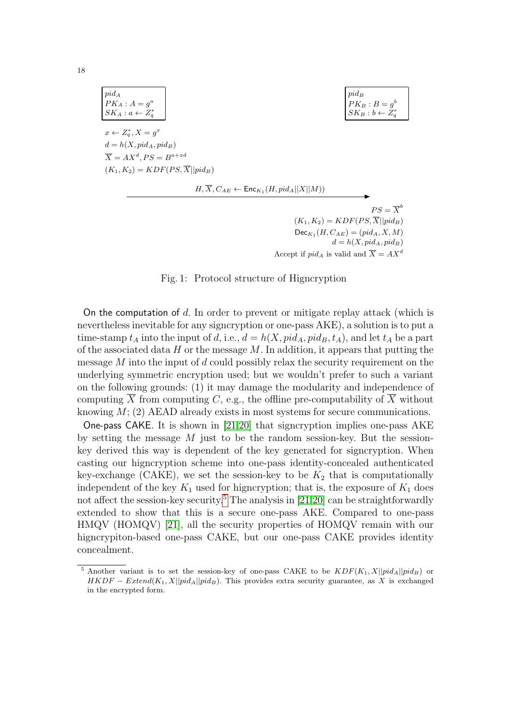$$
pid_A
$$
  
\n
$$
PK_A: A = g^a
$$
  
\n
$$
SK_A: a \leftarrow Z_q^*
$$
  
\n
$$
x \leftarrow Z_q^*, X = g^x
$$
  
\n
$$
d = h(X, pid_A, pid_B)
$$
  
\n
$$
\overline{X} = AX^d, PS = B^{a+xd}
$$
  
\n
$$
(K_1, K_2) = KDF(PS, \overline{X} || pid_B)
$$
  
\n
$$
H, \overline{X}, C_{AE} \leftarrow Enc_{K_1}(H, pid_A ||X||M))
$$
  
\n
$$
PS = \overline{X}^b
$$

 $(K_1, K_2) = KDF(PS, \overline{X} || pid_B)$  $Dec_{K_1}(H, C_{AE}) = (pid_A, X, M)$  $d = h(X, pid_A, pid_B)$ Accept if  $pid_A$  is valid and  $\overline{X} = AX^d$ 

Fig. 1: Protocol structure of Higncryption

<span id="page-17-0"></span>On the computation of d. In order to prevent or mitigate replay attack (which is nevertheless inevitable for any signcryption or one-pass AKE), a solution is to put a time-stamp  $t_A$  into the input of d, i.e.,  $d = h(X, pid_A, pid_B, t_A)$ , and let  $t_A$  be a part of the associated data  $H$  or the message  $M$ . In addition, it appears that putting the message  $M$  into the input of  $d$  could possibly relax the security requirement on the underlying symmetric encryption used; but we wouldn't prefer to such a variant on the following grounds: (1) it may damage the modularity and independence of computing  $\overline{X}$  from computing C, e.g., the offline pre-computability of  $\overline{X}$  without knowing  $M$ ; (2) AEAD already exists in most systems for secure communications.

One-pass CAKE. It is shown in [\[21](#page-56-5)[,20\]](#page-56-4) that signcryption implies one-pass AKE by setting the message  $M$  just to be the random session-key. But the sessionkey derived this way is dependent of the key generated for signcryption. When casting our higncryption scheme into one-pass identity-concealed authenticated key-exchange (CAKE), we set the session-key to be  $K_2$  that is computationally independent of the key  $K_1$  used for higncryption; that is, the exposure of  $K_1$  does not affect the session-key security.<sup>[5](#page-17-1)</sup> The analysis in [\[21](#page-56-5)[,20\]](#page-56-4) can be straightforwardly extended to show that this is a secure one-pass AKE. Compared to one-pass HMQV (HOMQV) [\[21\]](#page-56-5), all the security properties of HOMQV remain with our higncrypiton-based one-pass CAKE, but our one-pass CAKE provides identity concealment.

18

<span id="page-17-1"></span>Another variant is to set the session-key of one-pass CAKE to be  $KDF(K_1, X||pid_A||pid_B)$  or  $HKDF - Extend(K_1, X||pid_A||pid_B)$ . This provides extra security guarantee, as X is exchanged in the encrypted form.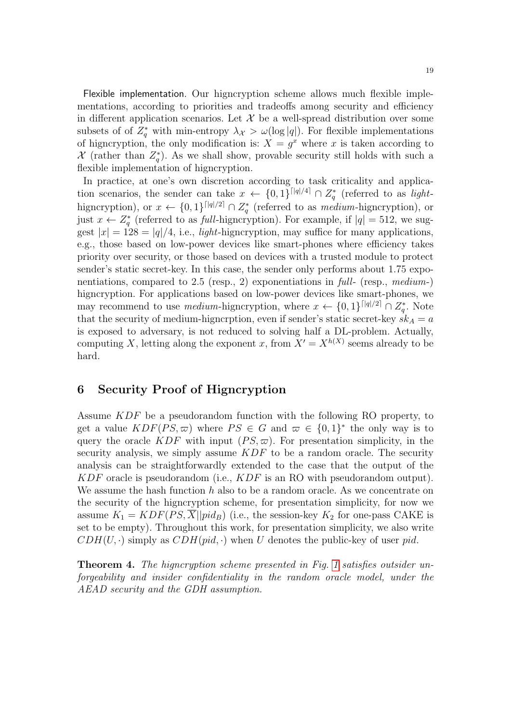Flexible implementation. Our higncryption scheme allows much flexible implementations, according to priorities and tradeoffs among security and efficiency in different application scenarios. Let  $\mathcal X$  be a well-spread distribution over some subsets of of  $Z_q^*$  with min-entropy  $\lambda_{\mathcal{X}} > \omega(\log|q|)$ . For flexible implementations of higncryption, the only modification is:  $X = g^x$  where x is taken according to X (rather than  $Z_q^*$ ). As we shall show, provable security still holds with such a flexible implementation of higncryption.

In practice, at one's own discretion according to task criticality and application scenarios, the sender can take  $x \leftarrow \{0,1\}^{\lceil |q|/4 \rceil} \cap Z_q^*$  (referred to as lighthigncryption), or  $x \leftarrow \{0,1\}^{\lceil |q|/2 \rceil} \cap Z_q^*$  (referred to as *medium*-higncryption), or just  $x \leftarrow Z_q^*$  (referred to as full-higncryption). For example, if  $|q| = 512$ , we suggest  $|x| = 128 = |q|/4$ , i.e., *light*-higncryption, may suffice for many applications, e.g., those based on low-power devices like smart-phones where efficiency takes priority over security, or those based on devices with a trusted module to protect sender's static secret-key. In this case, the sender only performs about 1.75 exponentiations, compared to 2.5 (resp., 2) exponentiations in full- (resp., medium-) higncryption. For applications based on low-power devices like smart-phones, we may recommend to use *medium*-higncryption, where  $x \leftarrow \{0,1\}^{\lceil |q|/2 \rceil} \cap Z_q^*$ . Note that the security of medium-higncrption, even if sender's static secret-key  $s\overline{k}_A = a$ is exposed to adversary, is not reduced to solving half a DL-problem. Actually, computing X, letting along the exponent x, from  $X' = X^{h(X)}$  seems already to be hard.

## 6 Security Proof of Higncryption

Assume KDF be a pseudorandom function with the following RO property, to get a value  $KDF(PS, \varpi)$  where  $PS \in G$  and  $\varpi \in \{0, 1\}^*$  the only way is to query the oracle KDF with input  $(PS, \varpi)$ . For presentation simplicity, in the security analysis, we simply assume  $KDF$  to be a random oracle. The security analysis can be straightforwardly extended to the case that the output of the KDF oracle is pseudorandom (i.e., KDF is an RO with pseudorandom output). We assume the hash function h also to be a random oracle. As we concentrate on the security of the higncryption scheme, for presentation simplicity, for now we assume  $K_1 = KDF(PS, \overline{X} || pid_B)$  (i.e., the session-key  $K_2$  for one-pass CAKE is set to be empty). Throughout this work, for presentation simplicity, we also write  $CDH(U, \cdot)$  simply as  $CDH(pid, \cdot)$  when U denotes the public-key of user pid.

Theorem 4. The higncryption scheme presented in Fig. [1](#page-17-0) satisfies outsider unforgeability and insider confidentiality in the random oracle model, under the AEAD security and the GDH assumption.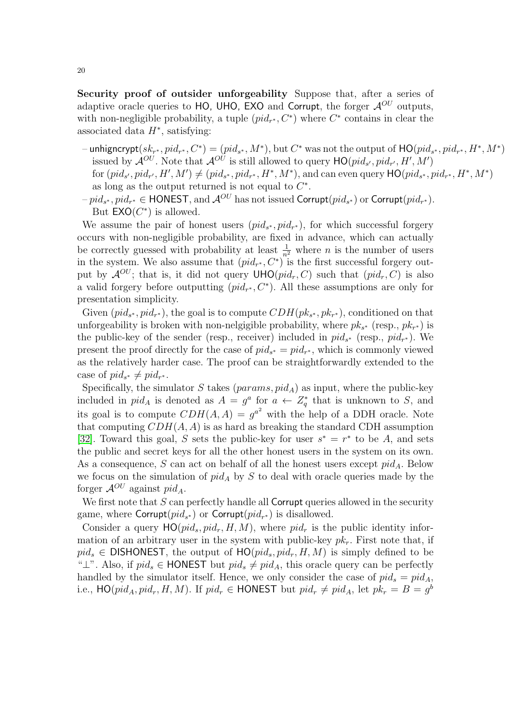Security proof of outsider unforgeability Suppose that, after a series of adaptive oracle queries to HO, UHO, EXO and Corrupt, the forger  $\mathcal{A}^{OU}$  outputs, with non-negligible probability, a tuple  $(pid_{r^*}, C^*)$  where  $C^*$  contains in clear the associated data  $H^*$ , satisfying:

- $-$  unhigncrypt $(sk_{r^*}, pid_{r^*}, C^*) = (pid_{s^*}, M^*)$ , but  $C^*$  was not the output of  $\mathsf{HO}(pid_{s^*},pid_{r^*}, H^*, M^*)$ issued by  $\mathcal{A}^{OU}$ . Note that  $\mathcal{A}^{OU}$  is still allowed to query  $\mathsf{HO}(pid_{s'},pid_{r'},H',M')$ for  $(pid_{s'}, pid_{r'}, H', M') \neq (pid_{s^*}, pid_{r^*}, H^*, M^*)$ , and can even query  $\text{HO}(pid_{s^*}, pid_{r^*}, H^*, M^*)$ as long as the output returned is not equal to  $C^*$ .
- $-pid_{s^*}, pid_{r^*}\in \mathsf{HONEST}, \text{and } \mathcal{A}^{OU} \text{ has not issued Corrupt}(pid_{s^*}) \text{ or Corrupt}(pid_{r^*}).$ But  $\mathsf{EXO}(C^*)$  is allowed.

We assume the pair of honest users  $(pid_{s^*}, pid_{r^*})$ , for which successful forgery occurs with non-negligible probability, are fixed in advance, which can actually be correctly guessed with probability at least  $\frac{1}{n^2}$  where *n* is the number of users in the system. We also assume that  $(pid_{r^*}, C^*)$  is the first successful forgery output by  $\mathcal{A}^{OU}$ ; that is, it did not query  $\mathsf{UHO}(pid_r, C)$  such that  $(pid_r, C)$  is also a valid forgery before outputting  $(pid_{r^*}, C^*)$ . All these assumptions are only for presentation simplicity.

Given  $(pid_{s^*}, pid_{r^*})$ , the goal is to compute  $CDH(pk_{s^*}, pk_{r^*})$ , conditioned on that unforgeability is broken with non-nelgigible probability, where  $pk_{s^*}$  (resp.,  $pk_{r^*}$ ) is the public-key of the sender (resp., receiver) included in  $pid_{s^*}$  (resp.,  $pid_{r^*}$ ). We present the proof directly for the case of  $pid_{s^*} = pid_{r^*}$ , which is commonly viewed as the relatively harder case. The proof can be straightforwardly extended to the case of  $pid_{s^*} \neq pid_{r^*}$ .

Specifically, the simulator S takes  $(params, pid_A)$  as input, where the public-key included in  $pid_A$  is denoted as  $A = g^a$  for  $a \leftarrow Z_q^*$  that is unknown to S, and its goal is to compute  $CDH(A, A) = g^{a^2}$  with the help of a DDH oracle. Note that computing  $CDH(A, A)$  is as hard as breaking the standard CDH assumption [\[32\]](#page-56-24). Toward this goal, S sets the public-key for user  $s^* = r^*$  to be A, and sets the public and secret keys for all the other honest users in the system on its own. As a consequence, S can act on behalf of all the honest users except  $pid_A$ . Below we focus on the simulation of  $pid_A$  by S to deal with oracle queries made by the forger  $\mathcal{A}^{OU}$  against  $pid_A$ .

We first note that  $S$  can perfectly handle all **Corrupt** queries allowed in the security game, where Corrupt $(pid_{s^*})$  or Corrupt $(pid_{r^*})$  is disallowed.

Consider a query  $HO(pid_s, pid_r, H, M)$ , where  $pid_r$  is the public identity information of an arbitrary user in the system with public-key  $pk<sub>r</sub>$ . First note that, if  $pid_s \in$  DISHONEST, the output of  $HO(pid_s, pid_r, H, M)$  is simply defined to be " $\perp$ ". Also, if  $pid_s \in \text{HONES}$  but  $pid_s \neq pid_A$ , this oracle query can be perfectly handled by the simulator itself. Hence, we only consider the case of  $pid_s = pid_A$ , i.e.,  $\textsf{HO}(pid_A,pid_r,H,M)$ . If  $pid_r \in \textsf{HONEST}$  but  $pid_r \neq pid_A$ , let  $pk_r = B = g^b$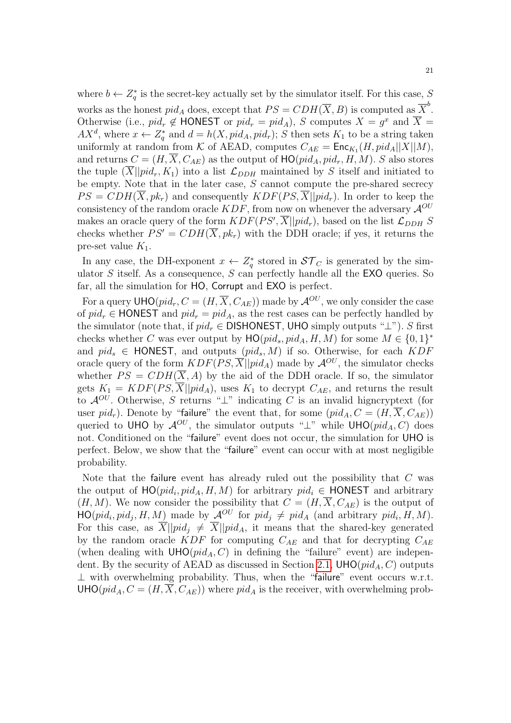where  $b \leftarrow Z_q^*$  is the secret-key actually set by the simulator itself. For this case, S works as the honest  $pid_A$  does, except that  $PS = CDH(\overline{X}, B)$  is computed as  $\overline{X}^b$ . Otherwise (i.e.,  $pid_r \notin \textsf{HONEST}$  or  $pid_r = pid_A$ ), S computes  $X = g^x$  and  $\overline{X} = g^y$  $AX^d$ , where  $x \leftarrow Z_q^*$  and  $d = h(X, pid_A, pid_r); S$  then sets  $K_1$  to be a string taken uniformly at random from K of AEAD, computes  $C_{AE} = \text{Enc}_{K_1}(H, pid_A||X||M)$ , and returns  $C = (H, \overline{X}, C_{AE})$  as the output of  $HO(pid_A, pid_r, H, M)$ . S also stores the tuple  $(X||pid_r, K_1)$  into a list  $\mathcal{L}_{DDH}$  maintained by S itself and initiated to be empty. Note that in the later case, S cannot compute the pre-shared secrecy  $PS = CDH(\overline{X}, pk_r)$  and consequently  $KDF(PS, \overline{X} || pid_r)$ . In order to keep the consistency of the random oracle  $KDF$ , from now on whenever the adversary  $\mathcal{A}^{OU}$ makes an oracle query of the form  $KDF(PS', \overline{X} || pid_r)$ , based on the list  $\mathcal{L}_{DDH}$  S checks whether  $PS' = CDH(\overline{X}, pk_r)$  with the DDH oracle; if yes, it returns the pre-set value  $K_1$ .

In any case, the DH-exponent  $x \leftarrow Z_q^*$  stored in  $\mathcal{ST}_C$  is generated by the simulator  $S$  itself. As a consequence,  $S$  can perfectly handle all the **EXO** queries. So far, all the simulation for HO, Corrupt and EXO is perfect.

For a query  $\mathsf{UHO}(pid_r, C = (H, \overline{X}, C_{AE}))$  made by  $\mathcal{A}^{OU}$ , we only consider the case of  $pid_r \in$  HONEST and  $pid_r = pid_A$ , as the rest cases can be perfectly handled by the simulator (note that, if  $pid_r \in$  DISHONEST, UHO simply outputs " $\perp$ "). S first checks whether C was ever output by  $HO(pid_s, pid_A, H, M)$  for some  $M \in \{0, 1\}^*$ and  $pid_s \in$  HONEST, and outputs  $(pid_s, M)$  if so. Otherwise, for each  $KDF$ oracle query of the form  $KDF(PS, \overline{X}||pid_A)$  made by  $\mathcal{A}^{OU}$ , the simulator checks whether  $PS = CDH(\overline{X}, A)$  by the aid of the DDH oracle. If so, the simulator gets  $K_1 = KDF(PS, \overline{X} || pid_A)$ , uses  $K_1$  to decrypt  $C_{AE}$ , and returns the result to  $\mathcal{A}^{OU}$ . Otherwise, S returns "⊥" indicating C is an invalid higncryptext (for user pid<sub>r</sub>). Denote by "failure" the event that, for some  $(pid_A, C = (H, \overline{X}, C_{AE}))$ queried to UHO by  $\mathcal{A}^{OU}$ , the simulator outputs " $\perp$ " while UHO(pid<sub>A</sub>, C) does not. Conditioned on the "failure" event does not occur, the simulation for UHO is perfect. Below, we show that the "failure" event can occur with at most negligible probability.

Note that the failure event has already ruled out the possibility that C was the output of  $HO(pid_i, pid_A, H, M)$  for arbitrary  $pid_i \in HONEST$  and arbitrary  $(H, M)$ . We now consider the possibility that  $C = (H, \overline{X}, C_{AE})$  is the output of  $HO(pid_i, pid_j, H, M)$  made by  $\mathcal{A}^{OU}$  for  $pid_j \neq pid_A$  (and arbitrary  $pid_i, H, M$ ). For this case, as  $\overline{X}||pid_j \neq \overline{X}||pid_A$ , it means that the shared-key generated by the random oracle  $KDF$  for computing  $C_{AE}$  and that for decrypting  $C_{AE}$ (when dealing with  $\mathsf{UHO}(pid_A, C)$  in defining the "failure" event) are indepen-dent. By the security of AEAD as discussed in Section [2.1,](#page-5-1)  $\mathsf{UHO}(pid_A, C)$  outputs ⊥ with overwhelming probability. Thus, when the "failure" event occurs w.r.t.  $UHO(pid_A, C = (H, \overline{X}, C_{AE}))$  where  $pid_A$  is the receiver, with overwhelming prob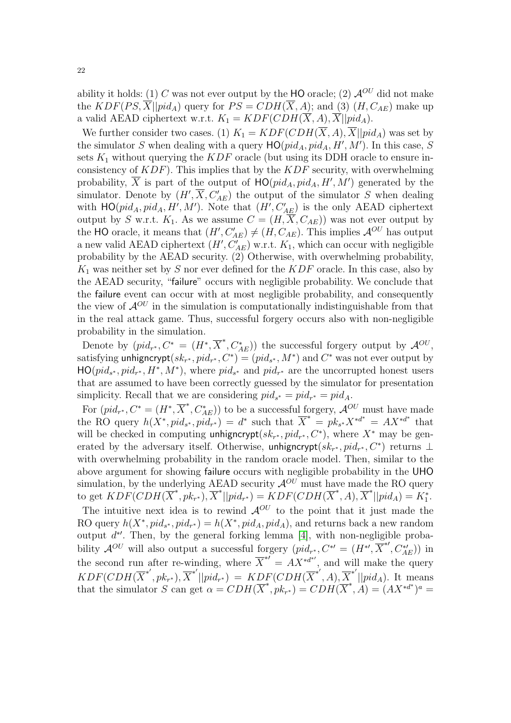ability it holds: (1) C was not ever output by the HO oracle; (2)  $\mathcal{A}^{OU}$  did not make the  $KDF(PS, \overline{X} || pid_A)$  query for  $PS = CDH(\overline{X}, A)$ ; and (3)  $(H, C_{AE})$  make up a valid AEAD ciphertext w.r.t.  $K_1 = KDF(CDH(\overline{X}, A), \overline{X} || pid_A)$ .

We further consider two cases. (1)  $K_1 = KDF(CDH(\overline{X}, A), \overline{X}||pid_A)$  was set by the simulator S when dealing with a query  $HO(pid_A, pid_A, H', M')$ . In this case, S sets  $K_1$  without querying the  $KDF$  oracle (but using its DDH oracle to ensure inconsistency of  $KDF$ ). This implies that by the  $KDF$  security, with overwhelming probability,  $\overline{X}$  is part of the output of  $HO(pid_A, pid_A, H', M')$  generated by the simulator. Denote by  $(H', \overline{X}, C'_{AE})$  the output of the simulator S when dealing with  $HO(pid_A, pid_A, H', M')$ . Note that  $(H', C'_{AE})$  is the only AEAD ciphertext output by S w.r.t.  $K_1$ . As we assume  $C = (H, \overline{X}, C_{AE})$  was not ever output by the HO oracle, it means that  $(H', C'_{AE}) \neq (H, C_{AE})$ . This implies  $\mathcal{A}^{OU}$  has output a new valid AEAD ciphertext  $(H', C'_{AE})$  w.r.t.  $K_1$ , which can occur with negligible probability by the AEAD security. (2) Otherwise, with overwhelming probability,  $K_1$  was neither set by S nor ever defined for the  $KDF$  oracle. In this case, also by the AEAD security, "failure" occurs with negligible probability. We conclude that the failure event can occur with at most negligible probability, and consequently the view of  $\mathcal{A}^{OU}$  in the simulation is computationally indistinguishable from that in the real attack game. Thus, successful forgery occurs also with non-negligible probability in the simulation.

Denote by  $(pid_{r^*}, C^* = (H^*, \overline{X}^*, C_{AE}^*))$  the successful forgery output by  $\mathcal{A}^{OU}$ , satisfying unhigncrypt $(sk_{r^*}, pid_{r^*}, C^*) = (pid_{s^*}, M^*)$  and  $C^*$  was not ever output by  $HO(pid_{s^*}, pid_{r^*}, H^*, M^*)$ , where  $pid_{s^*}$  and  $pid_{r^*}$  are the uncorrupted honest users that are assumed to have been correctly guessed by the simulator for presentation simplicity. Recall that we are considering  $pid_{s^*} = pid_{r^*} = pid_A$ .

For  $(pid_{r^*}, C^* = (H^*, \overline{X}^*, C_{AE}^*))$  to be a successful forgery,  $\mathcal{A}^{OU}$  must have made the RO query  $h(X^*, pid_{s^*},pid_{r^*}) = d^*$  such that  $\overline{X}^* = pk_{s^*}X^{*d^*} = AX^{*d^*}$  that will be checked in computing unhigncrypt $(sk_{r^*}, pid_{r^*}, C^*)$ , where  $X^*$  may be generated by the adversary itself. Otherwise, unhigncrypt $(sk_{r^*}, pid_{r^*}, C^*)$  returns  $\perp$ with overwhelming probability in the random oracle model. Then, similar to the above argument for showing failure occurs with negligible probability in the UHO simulation, by the underlying AEAD security  $\mathcal{A}^{OU}$  must have made the RO query to get  $\widehat{KDF}(\widehat{CDH}(\overline{X}^*, p k_{r^*}), \overline{X}^*||pid_{r^*}) = \widehat{KDF}(\widehat{CDH}(\overline{X}^*, A), \overline{X}^*||pid_A) = K_1^*.$ The intuitive next idea is to rewind  $\mathcal{A}^{OU}$  to the point that it just made the RO query  $h(X^*, pid_{s^*},pid_{r^*}) = h(X^*,pid_A,pid_A)$ , and returns back a new random output  $d^*$ . Then, by the general forking lemma [\[4\]](#page-55-5), with non-negligible probability  $\mathcal{A}^{OU}$  will also output a successful forgery  $(pid_{r^*}, C^{*'} = (H^{*'} , \overline{X}^{*'} , C^{*'}_{AE}))$  in the second run after re-winding, where  $\overline{X}^{*\prime} = AX^{*\overline{d}*\prime}$ , and will make the query  $KDF(CDH(\overline{X}^{*'},pk_{r^*}),\overline{X}^{*'}||pid_{r^*}) = KDF(CDH(\overline{X}^{*'},A),\overline{X}^{*'}||pid_A)$ . It means that the simulator S can get  $\alpha = CDH(\overline{X}^*, p k_{r^*}) = CDH(\overline{X}^*, A) = (AX^{*d^*})^a =$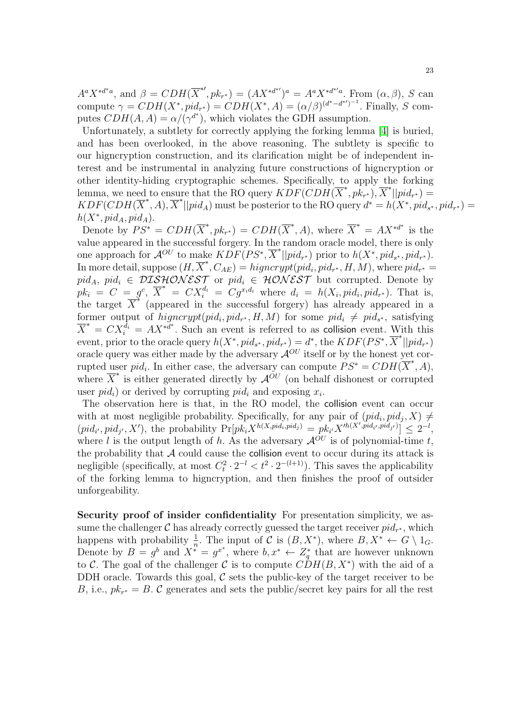$A^a X^{*d^*a}$ , and  $\beta = CDH(\overline{X}^{*t}, pk_{r^*}) = (AX^{*d^{*t}})^a = A^a X^{*d^{*t}a}$ . From  $(\alpha, \beta)$ , S can compute  $\gamma = CDH(X^*, pid_{r^*}) = CDH(X^*,A) = (\alpha/\beta)^{(d^* - d^{*'})^{-1}}$ . Finally, S computes  $CDH(A, A) = \alpha/(\gamma^{d^*})$ , which violates the GDH assumption.

Unfortunately, a subtlety for correctly applying the forking lemma [\[4\]](#page-55-5) is buried, and has been overlooked, in the above reasoning. The subtlety is specific to our higncryption construction, and its clarification might be of independent interest and be instrumental in analyzing future constructions of higncryption or other identity-hiding cryptographic schemes. Specifically, to apply the forking lemma, we need to ensure that the RO query  $KDF(CDH(\overline{X}^*, p k_{r^*}), \overline{X}^*||pid_{r^*}) =$  $KDF(CDH(\overline{X}^*,A),\overline{X}^*||pid_A)$  must be posterior to the RO query  $d^* = h(X^*,pid_{s^*},pid_{r^*}) =$  $h(X^*, pid_A, pid_A).$ 

Denote by  $PS^* = CDH(\overline{X}^*, pk_{r^*}) = CDH(\overline{X}^*, A)$ , where  $\overline{X}^* = AX^{*d^*}$  is the value appeared in the successful forgery. In the random oracle model, there is only one approach for  $\mathcal{A}^{OU}$  to make  $KDF(PS^*,\overline{X}^*||pid_{r^*})$  prior to  $h(X^*,pid_{s^*},pid_{r^*})$ . In more detail, suppose  $(H, \overline{X}^*, C_{AE}) = higncrypt(pid_i, pid_{r^*}, H, M)$ , where  $pid_{r^*} =$  $pid_A$ ,  $pid_i \in DISHONEST$  or  $pid_i \in HONEST$  but corrupted. Denote by  $pk_i = C = g^c, \ \overline{X}^* = CX_i^{d_i} = Cg^{x_i d_i}$  where  $d_i = h(X_i, pid_i, pid_{r^*})$ . That is, the target  $\overline{X}^*$  (appeared in the successful forgery) has already appeared in a former output of  $higncrypt(pid_i, pid_{r^*}, H, M)$  for some  $pid_i \neq pid_{s^*}$ , satisfying  $\overline{X}^* = C X_i^{\overline{d}_i} = A X^{*d^*}$ . Such an event is referred to as collision event. With this event, prior to the oracle query  $h(X^*, pid_{s^*},pid_{r^*}) = d^*$ , the  $KDF(PS^*,\overline{X}^*||pid_{r^*})$ oracle query was either made by the adversary  $\mathcal{A}^{OU}$  itself or by the honest yet corrupted user  $pid_i$ . In either case, the adversary can compute  $PS^* = CDH(\overline{X}^*, A)$ , where  $\overline{X}^*$  is either generated directly by  $\overline{A}^{\sigma U}$  (on behalf dishonest or corrupted user  $pid_i$ ) or derived by corrupting  $pid_i$  and exposing  $x_i$ .

The observation here is that, in the RO model, the collision event can occur with at most negligible probability. Specifically, for any pair of  $(pid_i, pid_j, X) \neq$  $(pid_{i'}, pid_{j'}, X')$ , the probability  $\Pr[pk_i X^{h(X,pid_i,pid_j)} = pk_{i'} X'^{h(X',pid_{i'},pid_{j'})}] \leq 2^{-l}$ , where l is the output length of h. As the adversary  $\mathcal{A}^{OU}$  is of polynomial-time t, the probability that  $A$  could cause the collision event to occur during its attack is negligible (specifically, at most  $C_t^2 \cdot 2^{-l} < t^2 \cdot 2^{-(l+1)}$ ). This saves the applicability of the forking lemma to higncryption, and then finishes the proof of outsider unforgeability.

Security proof of insider confidentiality For presentation simplicity, we assume the challenger  $\mathcal C$  has already correctly guessed the target receiver  $pid_{r^*}$ , which happens with probability  $\frac{1}{n}$ . The input of C is  $(B, X^*)$ , where  $B, X^* \leftarrow G \setminus 1_G$ . happens with probability <sub>n</sub>. The input of C is  $(D, X)$ , where  $D, X \to G \setminus T_G$ .<br>Denote by  $B = g^b$  and  $X^* = g^{x^*}$ , where  $b, x^* \leftarrow Z_q^*$  that are however unknown to C. The goal of the challenger C is to compute  $CDH(B, X^*)$  with the aid of a DDH oracle. Towards this goal,  $\mathcal C$  sets the public-key of the target receiver to be B, i.e.,  $pk_{r^*} = B$ . C generates and sets the public/secret key pairs for all the rest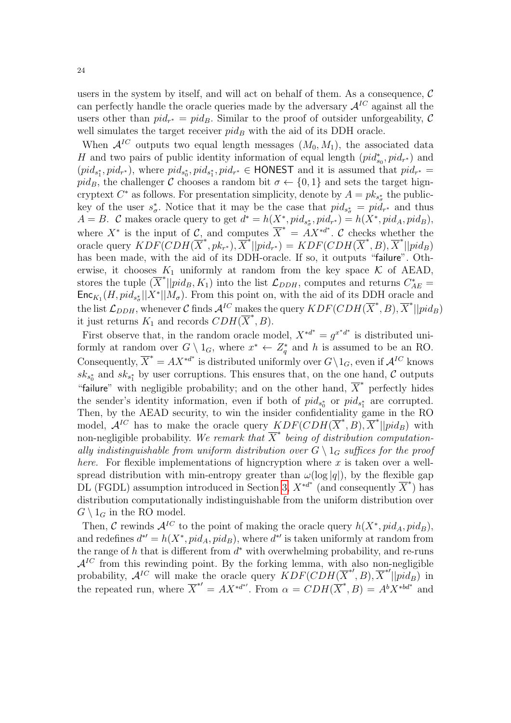users in the system by itself, and will act on behalf of them. As a consequence,  $\mathcal C$ can perfectly handle the oracle queries made by the adversary  $A^{IC}$  against all the users other than  $pid_{r^*} = pid_B$ . Similar to the proof of outsider unforgeability, C well simulates the target receiver  $pid_B$  with the aid of its DDH oracle.

When  $\mathcal{A}^{IC}$  outputs two equal length messages  $(M_0, M_1)$ , the associated data H and two pairs of public identity information of equal length  $(pid_{s_0}^*, pid_{r^*})$  and  $(pid_{s_1^*}, pid_{r^*})$ , where  $pid_{s_0^*},pid_{s_1^*},pid_{r^*} \in \text{HONEST}$  and it is assumed that  $pid_{r^*} =$ pid<sub>B</sub>, the challenger C chooses a random bit  $\sigma \leftarrow \{0, 1\}$  and sets the target higncryptext  $C^*$  as follows. For presentation simplicity, denote by  $A = pk_{s^*_{\sigma}}$  the publickey of the user  $s^*_{\sigma}$ . Notice that it may be the case that  $pid_{s^*_{\sigma}} = pid_{r^*}$  and thus  $A = B$ . C makes oracle query to get  $d^* = h(X^*, pid_{s^*_{\sigma}}, pid_{r^*}) = h(X^*,pid_A,pid_B)$ , where  $X^*$  is the input of  $\mathcal{C}$ , and computes  $\overline{X}^* = AX^{*d^*}$ .  $\mathcal{C}$  checks whether the oracle query  $KDF(CDH(\overline{X}^*, p k_{r^*}), \overline{X}^*||pid_{r^*}) = KDF(CDH(\overline{X}^*, B), \overline{X}^*||pid_B)$ has been made, with the aid of its DDH-oracle. If so, it outputs "failure". Otherwise, it chooses  $K_1$  uniformly at random from the key space  $K$  of AEAD, stores the tuple  $(\overline{X}^*||pid_B, K_1)$  into the list  $\mathcal{L}_{DDH}$ , computes and returns  $C_{AE}^*$  =  $\mathsf{Enc}_{K_1}(H, pid_{s^*_{\sigma}}||X^*||M_{\sigma})$ . From this point on, with the aid of its DDH oracle and the list  $\mathcal{L}_{DDH}$ , whenever C finds  $\mathcal{A}^{IC}$  makes the query  $KDF(CDH(\overline{X}^*,B), \overline{X}^*||pid_B)$ it just returns  $K_1$  and records  $CDH(\overline{X}^*,B)$ .

First observe that, in the random oracle model,  $X^{*d^*} = g^{x^*d^*}$  is distributed uniformly at random over  $G \setminus 1_G$ , where  $x^* \leftarrow Z_q^*$  and h is assumed to be an RO. Consequently,  $\overline{X}^* = AX^{*d^*}$  is distributed uniformly over  $G \setminus 1_G$ , even if  $\mathcal{A}^{IC}$  knows  $sk_{s_0^*}$  and  $sk_{s_1^*}$  by user corruptions. This ensures that, on the one hand, C outputs "failure" with negligible probability; and on the other hand,  $\overline{X}^*$  perfectly hides the sender's identity information, even if both of  $pid_{s_0^*}$  or  $pid_{s_1^*}$  are corrupted. Then, by the AEAD security, to win the insider confidentiality game in the RO model,  $\mathcal{A}^{IC}$  has to make the oracle query  $KDF(CDH(\overline{X}^*, B), \overline{X}^*||pid_B)$  with non-negligible probability. We remark that  $\overline{X}^*$  being of distribution computationally indistinguishable from uniform distribution over  $G \setminus 1_G$  suffices for the proof *here.* For flexible implementations of higncryption where x is taken over a wellspread distribution with min-entropy greater than  $\omega(\log|q|)$ , by the flexible gap DL (FGDL) assumption introduced in Section [3,](#page-7-1)  $X^{*d^*}$  (and consequently  $\overline{X}^*$ ) has distribution computationally indistinguishable from the uniform distribution over  $G \setminus 1_G$  in the RO model.

Then, C rewinds  $\mathcal{A}^{IC}$  to the point of making the oracle query  $h(X^*, pid_A,pid_B)$ , and redefines  $d^{*'} = h(X^*, pid_A, pid_B)$ , where  $d^{*'}$  is taken uniformly at random from the range of  $h$  that is different from  $d^*$  with overwhelming probability, and re-runs  $\mathcal{A}^{IC}$  from this rewinding point. By the forking lemma, with also non-negligible probability,  $\mathcal{A}^{IC}$  will make the oracle query  $\overline{KDF(CDH(\overline{X}^{*},B),\overline{X}^{*'}||pid_B)}$  in the repeated run, where  $\overline{X}^{*\prime} = AX^{*d^{*\prime}}$ . From  $\alpha = CDH(\overline{X}^*, B) = A^b X^{*b d^{*}}$  and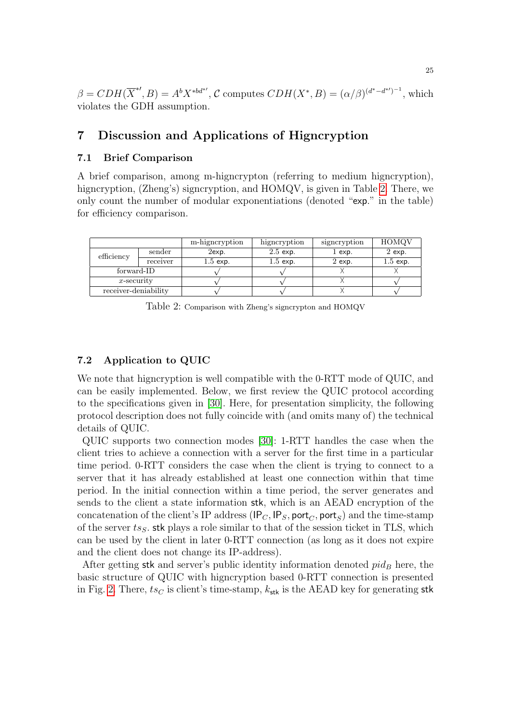$\beta = CDH(\overline{X}^{*}, B) = A^b X^{*bd^{*}}, C$  computes  $CDH(X^*, B) = (\alpha/\beta)^{(d^* - d^{*'})^{-1}}$ , which violates the GDH assumption.

## <span id="page-24-0"></span>7 Discussion and Applications of Higncryption

### 7.1 Brief Comparison

A brief comparison, among m-higncrypton (referring to medium higncryption), higncryption, (Zheng's) signcryption, and HOMQV, is given in Table [2.](#page-24-1) There, we only count the number of modular exponentiations (denoted "exp." in the table) for efficiency comparison.

|                      |          | m-higneryption | higncryption | signcryption | HOMQV      |
|----------------------|----------|----------------|--------------|--------------|------------|
| efficiency           | sender   | $2$ exp.       | $2.5$ exp.   | $1$ exp.     | $2$ exp.   |
|                      | receiver | $1.5$ exp.     | $1.5$ exp.   | $2$ exp.     | $1.5$ exp. |
| forward-ID           |          |                |              |              |            |
| $x$ -security        |          |                |              |              |            |
| receiver-deniability |          |                |              |              |            |
|                      |          |                |              |              |            |

<span id="page-24-1"></span>Table 2: Comparison with Zheng's signcrypton and HOMQV

### 7.2 Application to QUIC

We note that higncryption is well compatible with the 0-RTT mode of QUIC, and can be easily implemented. Below, we first review the QUIC protocol according to the specifications given in [\[30\]](#page-56-2). Here, for presentation simplicity, the following protocol description does not fully coincide with (and omits many of) the technical details of QUIC.

QUIC supports two connection modes [\[30\]](#page-56-2): 1-RTT handles the case when the client tries to achieve a connection with a server for the first time in a particular time period. 0-RTT considers the case when the client is trying to connect to a server that it has already established at least one connection within that time period. In the initial connection within a time period, the server generates and sends to the client a state information stk, which is an AEAD encryption of the concatenation of the client's IP address ( $IP_C, IP_S, port_C, port_S$ ) and the time-stamp of the server  $ts<sub>S</sub>$ . stk plays a role similar to that of the session ticket in TLS, which can be used by the client in later 0-RTT connection (as long as it does not expire and the client does not change its IP-address).

After getting stk and server's public identity information denoted  $pid_B$  here, the basic structure of QUIC with higncryption based 0-RTT connection is presented in Fig. [2.](#page-25-0) There,  $ts_C$  is client's time-stamp,  $k_{\text{stk}}$  is the AEAD key for generating stk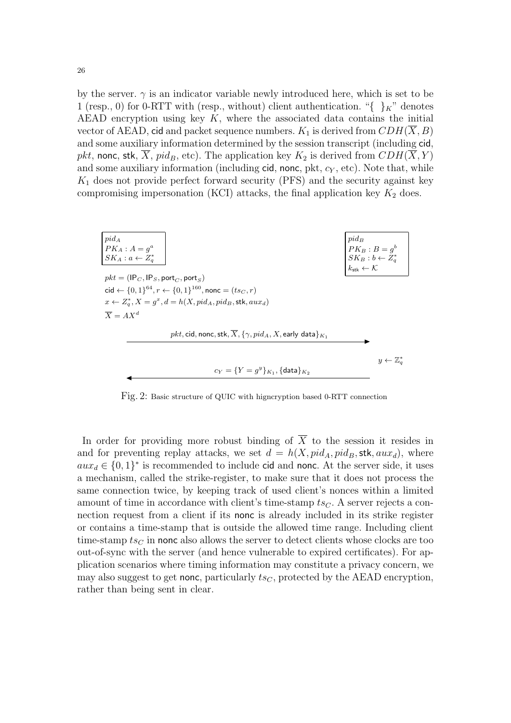by the server.  $\gamma$  is an indicator variable newly introduced here, which is set to be 1 (resp., 0) for 0-RTT with (resp., without) client authentication. "{ $\chi$ " denotes AEAD encryption using key  $K$ , where the associated data contains the initial vector of AEAD, cid and packet sequence numbers.  $K_1$  is derived from  $CDH(X, B)$ and some auxiliary information determined by the session transcript (including cid, *pkt*, nonc, stk,  $\overline{X}$ , pid<sub>B</sub>, etc). The application key  $K_2$  is derived from  $CDH(\overline{X}, Y)$ and some auxiliary information (including cid, nonc, pkt,  $c_Y$ , etc). Note that, while  $K_1$  does not provide perfect forward security (PFS) and the security against key compromising impersonation (KCI) attacks, the final application key  $K_2$  does.



<span id="page-25-0"></span>Fig. 2: Basic structure of QUIC with higncryption based 0-RTT connection

In order for providing more robust binding of  $\overline{X}$  to the session it resides in and for preventing replay attacks, we set  $d = h(X, pid_A, pid_B,$ **stk**,  $aux_d)$ , where  $aux_d \in \{0,1\}^*$  is recommended to include cid and nonc. At the server side, it uses a mechanism, called the strike-register, to make sure that it does not process the same connection twice, by keeping track of used client's nonces within a limited amount of time in accordance with client's time-stamp  $ts_C$ . A server rejects a connection request from a client if its nonc is already included in its strike register or contains a time-stamp that is outside the allowed time range. Including client time-stamp  $ts_C$  in nonc also allows the server to detect clients whose clocks are too out-of-sync with the server (and hence vulnerable to expired certificates). For application scenarios where timing information may constitute a privacy concern, we may also suggest to get nonc, particularly  $ts<sub>C</sub>$ , protected by the AEAD encryption, rather than being sent in clear.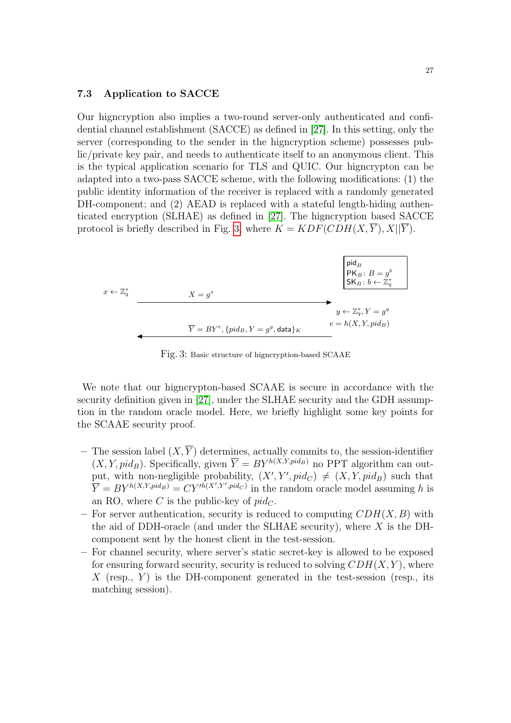#### 7.3 Application to SACCE

Our higncryption also implies a two-round server-only authenticated and confidential channel establishment (SACCE) as defined in [\[27\]](#page-56-13). In this setting, only the server (corresponding to the sender in the higncryption scheme) possesses public/private key pair, and needs to authenticate itself to an anonymous client. This is the typical application scenario for TLS and QUIC. Our higncrypton can be adapted into a two-pass SACCE scheme, with the following modifications: (1) the public identity information of the receiver is replaced with a randomly generated DH-component; and (2) AEAD is replaced with a stateful length-hiding authenticated encryption (SLHAE) as defined in [\[27\]](#page-56-13). The higncryption based SACCE protocol is briefly described in Fig. [3,](#page-26-0) where  $K = KDF(CDH(X, Y), X||Y)$ .



<span id="page-26-0"></span>Fig. 3: Basic structure of higncryption-based SCAAE

We note that our higncrypton-based SCAAE is secure in accordance with the security definition given in [\[27\]](#page-56-13), under the SLHAE security and the GDH assumption in the random oracle model. Here, we briefly highlight some key points for the SCAAE security proof.

- The session label  $(X, \overline{Y})$  determines, actually commits to, the session-identifier  $(X, Y, pid_B)$ . Specifically, given  $\overline{Y} = BY^{h(X,Y,pid_B)}$  no PPT algorithm can output, with non-negligible probability,  $(X', Y', pid_C) \neq (X, Y, pid_B)$  such that  $\overline{Y} = BY^{h(X,Y,pid_B)} = CY'^{h(X',Y',pid_C)}$  in the random oracle model assuming h is an RO, where C is the public-key of  $pid_C$ .
- For server authentication, security is reduced to computing  $CDH(X, B)$  with the aid of DDH-oracle (and under the SLHAE security), where  $X$  is the DHcomponent sent by the honest client in the test-session.
- For channel security, where server's static secret-key is allowed to be exposed for ensuring forward security, security is reduced to solving  $CDH(X, Y)$ , where X (resp.,  $Y$ ) is the DH-component generated in the test-session (resp., its matching session).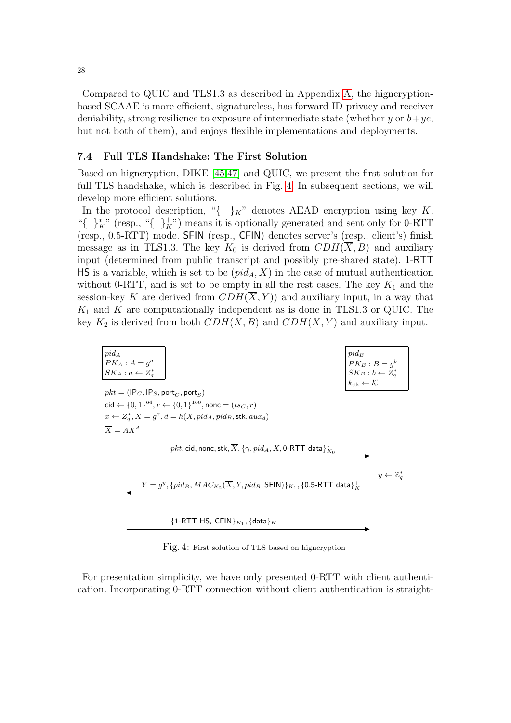Compared to QUIC and TLS1.3 as described in Appendix [A,](#page-57-1) the higncryptionbased SCAAE is more efficient, signatureless, has forward ID-privacy and receiver deniability, strong resilience to exposure of intermediate state (whether y or  $b+ye$ , but not both of them), and enjoys flexible implementations and deployments.

### 7.4 Full TLS Handshake: The First Solution

Based on higncryption, DIKE [\[45,](#page-57-3)[47\]](#page-57-4) and QUIC, we present the first solution for full TLS handshake, which is described in Fig. [4.](#page-27-0) In subsequent sections, we will develop more efficient solutions.

In the protocol description, "{ $\}^K$ " denotes AEAD encryption using key K, "{ }<sup>\*</sup><sub>K</sub>" (resp., "{ }<sup>+</sup><sub>K</sub>") means it is optionally generated and sent only for 0-RTT (resp., 0.5-RTT) mode. SFIN (resp., CFIN) denotes server's (resp., client's) finish message as in TLS1.3. The key  $K_0$  is derived from  $CDH(X, B)$  and auxiliary input (determined from public transcript and possibly pre-shared state). 1-RTT HS is a variable, which is set to be  $(pid<sub>A</sub>, X)$  in the case of mutual authentication without 0-RTT, and is set to be empty in all the rest cases. The key  $K_1$  and the session-key K are derived from  $CDH(\overline{X}, Y)$  and auxiliary input, in a way that  $K_1$  and  $K$  are computationally independent as is done in TLS1.3 or QUIC. The key  $K_2$  is derived from both  $CDH(\overline{X}, B)$  and  $CDH(\overline{X}, Y)$  and auxiliary input.

| $pid_A$<br>$PK_A$ : $A = q^a$<br>$SK_A : a \leftarrow Z_a^*$ |                                                                                                                  | $pid_B$<br>$PK_B: B=g^b$<br>$\begin{array}{l}\n\overline{\begin{array}{c}\nSK_B : b \leftarrow Z_q^* \\ K_{\text{stk}} \leftarrow K\n\end{array}}\n\end{array}$ |
|--------------------------------------------------------------|------------------------------------------------------------------------------------------------------------------|-----------------------------------------------------------------------------------------------------------------------------------------------------------------|
| $pkt = (IP_C, IP_S, port_C, port_S)$                         |                                                                                                                  |                                                                                                                                                                 |
|                                                              | cid ← $\{0, 1\}^{64}, r$ ← $\{0, 1\}^{160}$ , nonc = $(tsc, r)$                                                  |                                                                                                                                                                 |
|                                                              | $x \leftarrow Z_a^*$ , $X = g^x$ , $d = h(X, pid_A, pid_B,$ stk, $aux_d)$                                        |                                                                                                                                                                 |
| $\overline{X} = A X^d$                                       |                                                                                                                  |                                                                                                                                                                 |
|                                                              | pkt, cid, nonc, stk, $\overline{X}$ , $\{\gamma, pid_A, X$ , 0-RTT data $\}_{K_0}^*$                             |                                                                                                                                                                 |
|                                                              |                                                                                                                  | $y \leftarrow \mathbb{Z}_q^*$                                                                                                                                   |
|                                                              | $Y = g^y$ , $\{pid_B, MAC_{K_2}(\overline{X}, Y, pid_B, \textsf{SEIN})\}_{K_1}, \{0.5\text{-RTT data}\}_{K_1}^+$ |                                                                                                                                                                 |
|                                                              |                                                                                                                  |                                                                                                                                                                 |
|                                                              | ${1-RTT}$ HS, CFIN $K_1$ , ${data}_K$                                                                            |                                                                                                                                                                 |
|                                                              |                                                                                                                  |                                                                                                                                                                 |

Fig. 4: First solution of TLS based on higncryption

<span id="page-27-0"></span>For presentation simplicity, we have only presented 0-RTT with client authentication. Incorporating 0-RTT connection without client authentication is straight-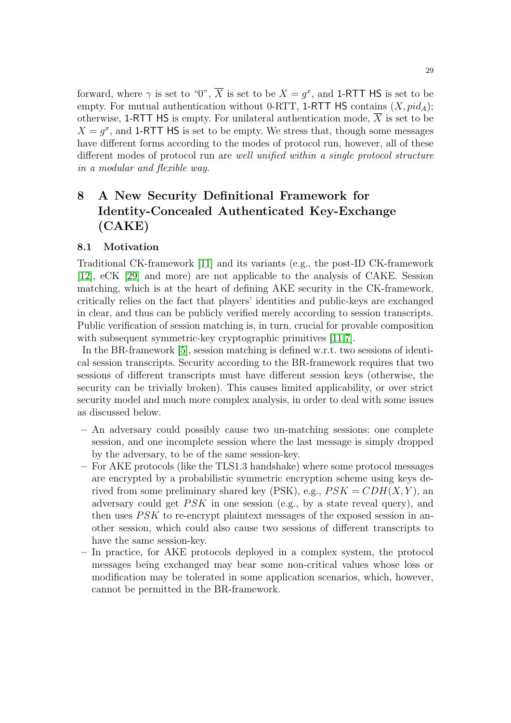forward, where  $\gamma$  is set to "0",  $\overline{X}$  is set to be  $X = g^x$ , and 1-RTT HS is set to be empty. For mutual authentication without 0-RTT, 1-RTT HS contains  $(X, pid_A);$ otherwise, 1-RTT HS is empty. For unilateral authentication mode,  $\overline{X}$  is set to be  $X = g^x$ , and 1-RTT HS is set to be empty. We stress that, though some messages have different forms according to the modes of protocol run, however, all of these different modes of protocol run are well unified within a single protocol structure in a modular and flexible way.

## 8 A New Security Definitional Framework for Identity-Concealed Authenticated Key-Exchange (CAKE)

### 8.1 Motivation

Traditional CK-framework [\[11\]](#page-55-7) and its variants (e.g., the post-ID CK-framework [\[12\]](#page-56-25), eCK [\[29\]](#page-56-26) and more) are not applicable to the analysis of CAKE. Session matching, which is at the heart of defining AKE security in the CK-framework, critically relies on the fact that players' identities and public-keys are exchanged in clear, and thus can be publicly verified merely according to session transcripts. Public verification of session matching is, in turn, crucial for provable composition with subsequent symmetric-key cryptographic primitives [\[11,](#page-55-7)[7\]](#page-55-8).

In the BR-framework [\[5\]](#page-55-9), session matching is defined w.r.t. two sessions of identical session transcripts. Security according to the BR-framework requires that two sessions of different transcripts must have different session keys (otherwise, the security can be trivially broken). This causes limited applicability, or over strict security model and much more complex analysis, in order to deal with some issues as discussed below.

- An adversary could possibly cause two un-matching sessions: one complete session, and one incomplete session where the last message is simply dropped by the adversary, to be of the same session-key.
- For AKE protocols (like the TLS1.3 handshake) where some protocol messages are encrypted by a probabilistic symmetric encryption scheme using keys derived from some preliminary shared key (PSK), e.g.,  $PSK = CDH(X, Y)$ , an adversary could get  $PSK$  in one session (e.g., by a state reveal query), and then uses  $PSK$  to re-encrypt plaintext messages of the exposed session in another session, which could also cause two sessions of different transcripts to have the same session-key.
- In practice, for AKE protocols deployed in a complex system, the protocol messages being exchanged may bear some non-critical values whose loss or modification may be tolerated in some application scenarios, which, however, cannot be permitted in the BR-framework.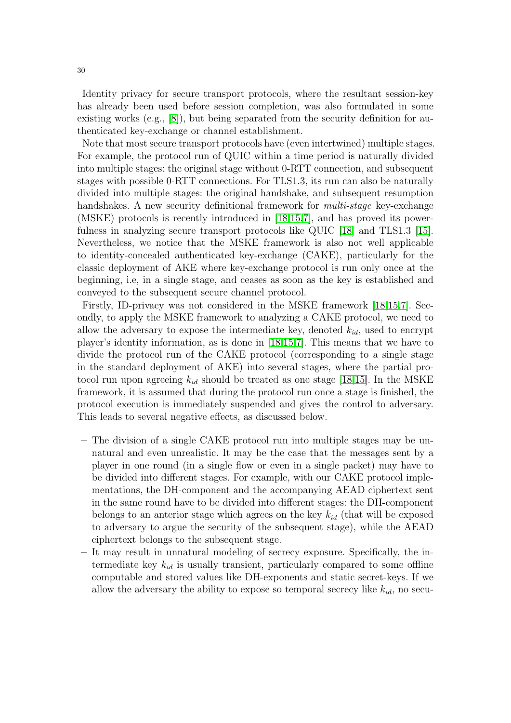Identity privacy for secure transport protocols, where the resultant session-key has already been used before session completion, was also formulated in some existing works  $(e.g., [8])$  $(e.g., [8])$  $(e.g., [8])$ , but being separated from the security definition for authenticated key-exchange or channel establishment.

Note that most secure transport protocols have (even intertwined) multiple stages. For example, the protocol run of QUIC within a time period is naturally divided into multiple stages: the original stage without 0-RTT connection, and subsequent stages with possible 0-RTT connections. For TLS1.3, its run can also be naturally divided into multiple stages: the original handshake, and subsequent resumption handshakes. A new security definitional framework for *multi-stage* key-exchange (MSKE) protocols is recently introduced in [\[18](#page-56-27)[,15](#page-56-28)[,7\]](#page-55-8), and has proved its powerfulness in analyzing secure transport protocols like QUIC [\[18\]](#page-56-27) and TLS1.3 [\[15\]](#page-56-28). Nevertheless, we notice that the MSKE framework is also not well applicable to identity-concealed authenticated key-exchange (CAKE), particularly for the classic deployment of AKE where key-exchange protocol is run only once at the beginning, i.e, in a single stage, and ceases as soon as the key is established and conveyed to the subsequent secure channel protocol.

Firstly, ID-privacy was not considered in the MSKE framework [\[18,](#page-56-27)[15,](#page-56-28)[7\]](#page-55-8). Secondly, to apply the MSKE framework to analyzing a CAKE protocol, we need to allow the adversary to expose the intermediate key, denoted  $k_{id}$ , used to encrypt player's identity information, as is done in [\[18,](#page-56-27)[15,](#page-56-28)[7\]](#page-55-8). This means that we have to divide the protocol run of the CAKE protocol (corresponding to a single stage in the standard deployment of AKE) into several stages, where the partial protocol run upon agreeing  $k_{id}$  should be treated as one stage [\[18](#page-56-27)[,15\]](#page-56-28). In the MSKE framework, it is assumed that during the protocol run once a stage is finished, the protocol execution is immediately suspended and gives the control to adversary. This leads to several negative effects, as discussed below.

- The division of a single CAKE protocol run into multiple stages may be unnatural and even unrealistic. It may be the case that the messages sent by a player in one round (in a single flow or even in a single packet) may have to be divided into different stages. For example, with our CAKE protocol implementations, the DH-component and the accompanying AEAD ciphertext sent in the same round have to be divided into different stages: the DH-component belongs to an anterior stage which agrees on the key  $k_{id}$  (that will be exposed to adversary to argue the security of the subsequent stage), while the AEAD ciphertext belongs to the subsequent stage.
- It may result in unnatural modeling of secrecy exposure. Specifically, the intermediate key  $k_{id}$  is usually transient, particularly compared to some offline computable and stored values like DH-exponents and static secret-keys. If we allow the adversary the ability to expose so temporal secrecy like  $k_{id}$ , no secu-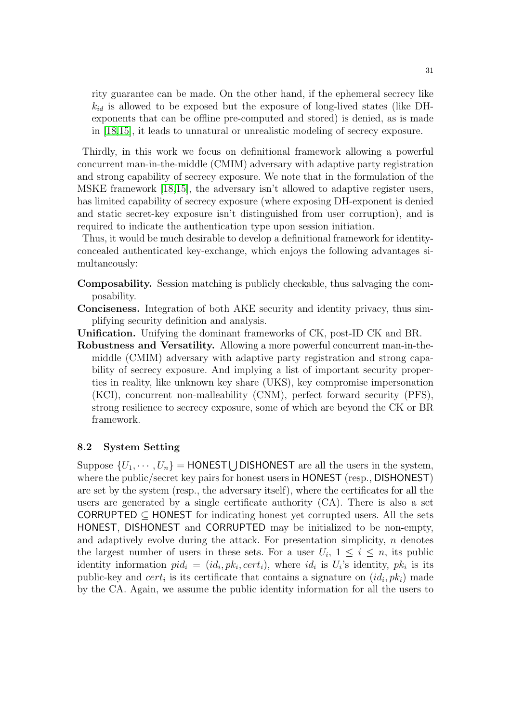rity guarantee can be made. On the other hand, if the ephemeral secrecy like  $k_{id}$  is allowed to be exposed but the exposure of long-lived states (like DHexponents that can be offline pre-computed and stored) is denied, as is made in [\[18,](#page-56-27)[15\]](#page-56-28), it leads to unnatural or unrealistic modeling of secrecy exposure.

Thirdly, in this work we focus on definitional framework allowing a powerful concurrent man-in-the-middle (CMIM) adversary with adaptive party registration and strong capability of secrecy exposure. We note that in the formulation of the MSKE framework [\[18,](#page-56-27)[15\]](#page-56-28), the adversary isn't allowed to adaptive register users, has limited capability of secrecy exposure (where exposing DH-exponent is denied and static secret-key exposure isn't distinguished from user corruption), and is required to indicate the authentication type upon session initiation.

Thus, it would be much desirable to develop a definitional framework for identityconcealed authenticated key-exchange, which enjoys the following advantages simultaneously:

- Composability. Session matching is publicly checkable, thus salvaging the composability.
- Conciseness. Integration of both AKE security and identity privacy, thus simplifying security definition and analysis.
- Unification. Unifying the dominant frameworks of CK, post-ID CK and BR.
- Robustness and Versatility. Allowing a more powerful concurrent man-in-themiddle (CMIM) adversary with adaptive party registration and strong capability of secrecy exposure. And implying a list of important security properties in reality, like unknown key share (UKS), key compromise impersonation (KCI), concurrent non-malleability (CNM), perfect forward security (PFS), strong resilience to secrecy exposure, some of which are beyond the CK or BR framework.

## 8.2 System Setting

Suppose  $\{U_1, \dots, U_n\}$  = HONEST U DISHONEST are all the users in the system, where the public/secret key pairs for honest users in HONEST (resp., DISHONEST) are set by the system (resp., the adversary itself), where the certificates for all the users are generated by a single certificate authority (CA). There is also a set  $CORRUPTED \subseteq HONEST$  for indicating honest yet corrupted users. All the sets HONEST, DISHONEST and CORRUPTED may be initialized to be non-empty, and adaptively evolve during the attack. For presentation simplicity,  $n$  denotes the largest number of users in these sets. For a user  $U_i$ ,  $1 \leq i \leq n$ , its public identity information  $pid_i = (id_i, pk_i, cert_i)$ , where  $id_i$  is  $U_i$ 's identity,  $pk_i$  is its public-key and  $cert_i$  is its certificate that contains a signature on  $(id_i, pk_i)$  made by the CA. Again, we assume the public identity information for all the users to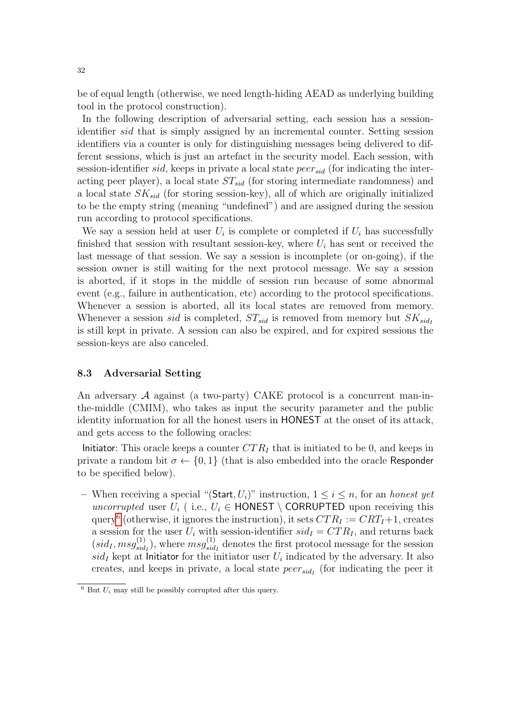be of equal length (otherwise, we need length-hiding AEAD as underlying building tool in the protocol construction).

In the following description of adversarial setting, each session has a sessionidentifier sid that is simply assigned by an incremental counter. Setting session identifiers via a counter is only for distinguishing messages being delivered to different sessions, which is just an artefact in the security model. Each session, with session-identifier sid, keeps in private a local state  $peer_{sid}$  (for indicating the interacting peer player), a local state  $ST_{sid}$  (for storing intermediate randomness) and a local state  $SK_{sid}$  (for storing session-key), all of which are originally initialized to be the empty string (meaning "undefined") and are assigned during the session run according to protocol specifications.

We say a session held at user  $U_i$  is complete or completed if  $U_i$  has successfully finished that session with resultant session-key, where  $U_i$  has sent or received the last message of that session. We say a session is incomplete (or on-going), if the session owner is still waiting for the next protocol message. We say a session is aborted, if it stops in the middle of session run because of some abnormal event (e.g., failure in authentication, etc) according to the protocol specifications. Whenever a session is aborted, all its local states are removed from memory. Whenever a session sid is completed,  $ST_{sid}$  is removed from memory but  $SK_{sid}$ is still kept in private. A session can also be expired, and for expired sessions the session-keys are also canceled.

### 8.3 Adversarial Setting

An adversary  $\mathcal A$  against (a two-party) CAKE protocol is a concurrent man-inthe-middle (CMIM), who takes as input the security parameter and the public identity information for all the honest users in HONEST at the onset of its attack, and gets access to the following oracles:

Initiator: This oracle keeps a counter  $CTR_I$  that is initiated to be 0, and keeps in private a random bit  $\sigma \leftarrow \{0, 1\}$  (that is also embedded into the oracle Responder to be specified below).

– When receiving a special "(Start,  $U_i$ )" instruction,  $1 \leq i \leq n$ , for an *honest yet* uncorrupted user  $U_i$  (i.e.,  $U_i \in$  HONEST \ CORRUPTED upon receiving this query<sup>[6](#page-31-0)</sup> (otherwise, it ignores the instruction), it sets  $CTR_I := CRT_I + 1$ , creates a session for the user  $U_i$  with session-identifier  $sid_I = CTR_I$ , and returns back  $(sid_I, msg_{sid}^{(1)})$  $\binom{(1)}{sid_I}$ , where  $msg_{sid}^{(1)}$  $\frac{S^{(1)}}{sid_I}$  denotes the first protocol message for the session  $sid_I$  kept at Initiator for the initiator user  $U_i$  indicated by the adversary. It also creates, and keeps in private, a local state  $peer_{sid}$  (for indicating the peer it

<span id="page-31-0"></span> $6$  But  $U_i$  may still be possibly corrupted after this query.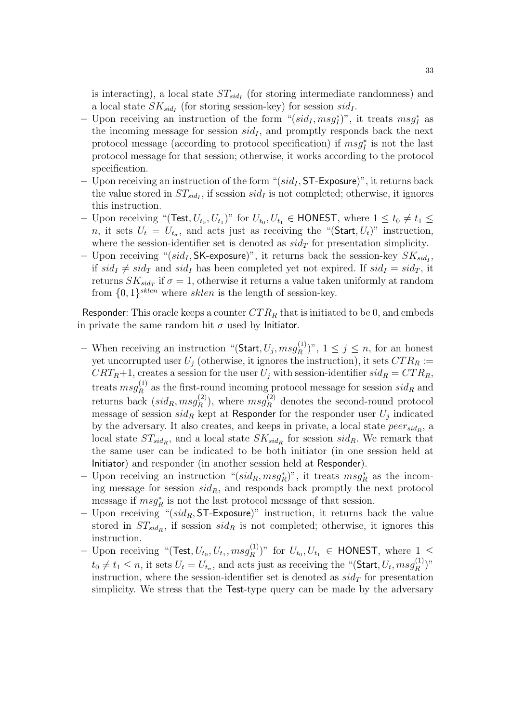is interacting), a local state  $ST_{sid_I}$  (for storing intermediate randomness) and a local state  $SK_{sid_I}$  (for storing session-key) for session  $sid_I$ .

- Upon receiving an instruction of the form " $(sid_I, msg_I^*)$ ", it treats  $msg_I^*$  as the incoming message for session  $sid<sub>I</sub>$ , and promptly responds back the next protocol message (according to protocol specification) if  $msg_I^*$  is not the last protocol message for that session; otherwise, it works according to the protocol specification.
- Upon receiving an instruction of the form " $(sid<sub>I</sub>, ST-Exposure)$ ", it returns back the value stored in  $ST_{sid_I}$ , if session  $sid_I$  is not completed; otherwise, it ignores this instruction.
- Upon receiving "(Test,  $U_{t_0}, U_{t_1}$ )" for  $U_{t_0}, U_{t_1} \in$  HONEST, where  $1 \le t_0 \ne t_1 \le$ *n*, it sets  $U_t = U_{t_\sigma}$ , and acts just as receiving the "(Start,  $U_t$ )" instruction, where the session-identifier set is denoted as  $sid_T$  for presentation simplicity.
- Upon receiving " $(sid_I, SK$ -exposure)", it returns back the session-key  $SK_{sid_I}$ , if  $sid_I \neq sid_T$  and  $sid_I$  has been completed yet not expired. If  $sid_I = sid_T$ , it returns  $SK_{sid_T}$  if  $\sigma = 1$ , otherwise it returns a value taken uniformly at random from  $\{0,1\}^{sken}$  where sklen is the length of session-key.

Responder: This oracle keeps a counter  $CTR_R$  that is initiated to be 0, and embeds in private the same random bit  $\sigma$  used by Initiator.

- When receiving an instruction "(Start,  $U_j$ ,  $msg_R^{(1)}$  $\binom{[1]}{R}$ ,  $1 \leq j \leq n$ , for an honest yet uncorrupted user  $U_j$  (otherwise, it ignores the instruction), it sets  $CTR_R :=$  $CRT_R+1$ , creates a session for the user  $U_j$  with session-identifier  $sid_R = CTR_R$ , treats  $msg_R^{(1)}$  $R^{(1)}$  as the first-round incoming protocol message for session  $sid_R$  and returns back  $(sid_R, msg_R^{(2)})$  $\binom{2}{R}$ , where  $msg_R^{(2)}$  denotes the second-round protocol message of session  $sid_R$  kept at Responder for the responder user  $U_j$  indicated by the adversary. It also creates, and keeps in private, a local state  $peer_{sid_R}$ , a local state  $ST_{sid_R}$ , and a local state  $SK_{sid_R}$  for session  $sid_R$ . We remark that the same user can be indicated to be both initiator (in one session held at Initiator) and responder (in another session held at Responder).
- Upon receiving an instruction " $(sid_R, msg_R^*)$ ", it treats  $msg_R^*$  as the incoming message for session  $sid_R$ , and responds back promptly the next protocol message if  $msg_R^*$  is not the last protocol message of that session.
- Upon receiving " $(sid_R, ST-Exposure)$ " instruction, it returns back the value stored in  $ST_{sid_R}$ , if session  $sid_R$  is not completed; otherwise, it ignores this instruction.
- Upon receiving "(Test,  $U_{t_0}, U_{t_1}, msg_R^{(1)}$  $(E_R^{(1)})$ " for  $U_{t_0}, U_{t_1} \in$  HONEST, where  $1 \leq$  $t_0 \neq t_1 \leq n$ , it sets  $U_t = U_{t_\sigma}$ , and acts just as receiving the "(Start,  $U_t$ ,  $msg_R^{(1)}$ )  $\binom{(1)}{R}$ " instruction, where the session-identifier set is denoted as  $sid<sub>T</sub>$  for presentation simplicity. We stress that the Test-type query can be made by the adversary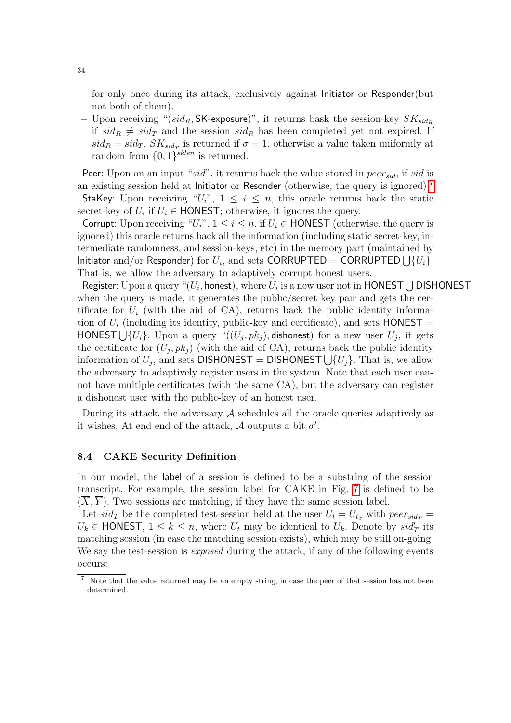for only once during its attack, exclusively against Initiator or Responder(but not both of them).

– Upon receiving "(sid<sub>R</sub>, SK-exposure)", it returns bask the session-key  $SK_{sid_R}$ if  $sid_R \neq sid_T$  and the session  $sid_R$  has been completed yet not expired. If  $sid_R = sid_T, SK_{sid_T}$  is returned if  $\sigma = 1$ , otherwise a value taken uniformly at random from  $\{0,1\}^{sklen}$  is returned.

Peer: Upon on an input " $sid$ ", it returns back the value stored in  $peer_{sid}$ , if sid is an existing session held at Initiator or Resonder (otherwise, the query is ignored).[7](#page-33-0) StaKey: Upon receiving " $U_i$ ",  $1 \leq i \leq n$ , this oracle returns back the static secret-key of  $U_i$  if  $U_i \in \text{HONEST}$ ; otherwise, it ignores the query.

Corrupt: Upon receiving " $U_i$ ",  $1 \leq i \leq n$ , if  $U_i \in$  HONEST (otherwise, the query is ignored) this oracle returns back all the information (including static secret-key, intermediate randomness, and session-keys, etc) in the memory part (maintained by Initiator and/or Responder) for  $U_i$ , and sets CORRUPTED = CORRUPTED  $\bigcup \{U_i\}$ . That is, we allow the adversary to adaptively corrupt honest users.

Register: Upon a query "( $U_i,$  honest), where  $U_i$  is a new user not in <code>HONEST</code>  $\bigcup$  <code>DISHONEST</code> when the query is made, it generates the public/secret key pair and gets the certificate for  $U_i$  (with the aid of CA), returns back the public identity information of  $U_i$  (including its identity, public-key and certificate), and sets  $HONEST =$ HONEST  $\bigcup \{U_i\}$ . Upon a query " $((U_j, pk_j)$ , dishonest) for a new user  $U_j$ , it gets the certificate for  $(U_j, pk_j)$  (with the aid of CA), returns back the public identity information of  $U_j$ , and sets DISHONEST = DISHONEST  $\bigcup \{U_j\}$ . That is, we allow the adversary to adaptively register users in the system. Note that each user cannot have multiple certificates (with the same CA), but the adversary can register a dishonest user with the public-key of an honest user.

During its attack, the adversary  $A$  schedules all the oracle queries adaptively as it wishes. At end end of the attack,  $A$  outputs a bit  $\sigma'$ .

### 8.4 CAKE Security Definition

In our model, the label of a session is defined to be a substring of the session transcript. For example, the session label for CAKE in Fig. [7](#page-47-0) is defined to be  $(X, Y)$ . Two sessions are matching, if they have the same session label.

Let  $sid_T$  be the completed test-session held at the user  $U_t = U_{t_\sigma}$  with  $peer_{sid_T}$  $U_k \in \text{HONEST}, 1 \leq k \leq n$ , where  $U_t$  may be identical to  $U_k$ . Denote by  $sid'_T$  its matching session (in case the matching session exists), which may be still on-going. We say the test-session is *exposed* during the attack, if any of the following events occurs:

<span id="page-33-0"></span>Note that the value returned may be an empty string, in case the peer of that session has not been determined.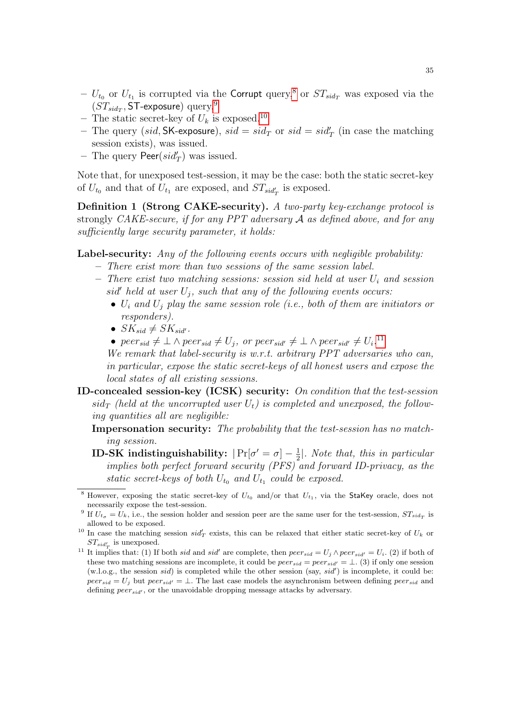- $U_{t_0}$  or  $U_{t_1}$  is corrupted via the Corrupt query,<sup>[8](#page-34-0)</sup> or  $ST_{sid_T}$  was exposed via the  $(ST_{sid_T}, \textsf{ST-exposure})$  query.<sup>[9](#page-34-1)</sup>
- The static secret-key of  $U_k$  is exposed.<sup>[10](#page-34-2)</sup>
- The query (sid, SK-exposure),  $sid = sid_T$  or  $sid = sid'_T$  (in case the matching session exists), was issued.
- The query  $\text{Peer}(sid'_T)$  was issued.

Note that, for unexposed test-session, it may be the case: both the static secret-key of  $U_{t_0}$  and that of  $U_{t_1}$  are exposed, and  $ST_{sid'_{T}}$  is exposed.

Definition 1 (Strong CAKE-security). A two-party key-exchange protocol is strongly CAKE-secure, if for any PPT adversary A as defined above, and for any sufficiently large security parameter, it holds:

Label-security: Any of the following events occurs with negligible probability:

- <span id="page-34-4"></span>– There exist more than two sessions of the same session label.
- There exist two matching sessions: session sid held at user  $U_i$  and session sid' held at user  $U_j$ , such that any of the following events occurs:
	- $U_i$  and  $U_j$  play the same session role (i.e., both of them are initiators or responders).
	- $SK_{sid} \neq SK_{sid'}$ .
	- peer<sub>sid</sub>  $\neq \bot \land peer_{sid} \neq U_j$ , or peer<sub>sid'</sub>  $\neq \bot \land peer_{sid'} \neq U_i$ .<sup>[11](#page-34-3)</sup>

We remark that label-security is w.r.t. arbitrary PPT adversaries who can, in particular, expose the static secret-keys of all honest users and expose the local states of all existing sessions.

- ID-concealed session-key (ICSK) security: On condition that the test-session  $sid_T$  (held at the uncorrupted user  $U_t$ ) is completed and unexposed, the following quantities all are negligible:
	- Impersonation security: The probability that the test-session has no matching session.
	- **ID-SK** indistinguishability:  $|\Pr[\sigma' = \sigma] \frac{1}{2}$  $\frac{1}{2}$ . Note that, this in particular implies both perfect forward security (PFS) and forward ID-privacy, as the static secret-keys of both  $U_{t_0}$  and  $U_{t_1}$  could be exposed.

<span id="page-34-0"></span><sup>&</sup>lt;sup>8</sup> However, exposing the static secret-key of  $U_{t_0}$  and/or that  $U_{t_1}$ , via the StaKey oracle, does not necessarily expose the test-session.

<span id="page-34-1"></span><sup>&</sup>lt;sup>9</sup> If  $U_{t_{\sigma}} = U_k$ , i.e., the session holder and session peer are the same user for the test-session,  $ST_{sid_T}$  is allowed to be exposed.

<span id="page-34-2"></span><sup>&</sup>lt;sup>10</sup> In case the matching session  $sid'_T$  exists, this can be relaxed that either static secret-key of  $U_k$  or  $ST_{sid'_{T}}$  is unexposed.

<span id="page-34-3"></span><sup>&</sup>lt;sup>11</sup> It implies that: (1) If both sid and sid' are complete, then  $peer_{sid} = U_j \wedge peer_{sid'} = U_i$ . (2) if both of these two matching sessions are incomplete, it could be  $peer_{sid} = peer_{sid'} = \bot$ . (3) if only one session  $(w.l.o.g., the session *sid*)$  is completed while the other session  $(say, sid')$  is incomplete, it could be:  $peer_{sid} = U_i$  but  $peer_{sid} = \perp$ . The last case models the asynchronism between defining peer<sub>sid</sub> and defining  $peer_{sid'}$ , or the unavoidable dropping message attacks by adversary.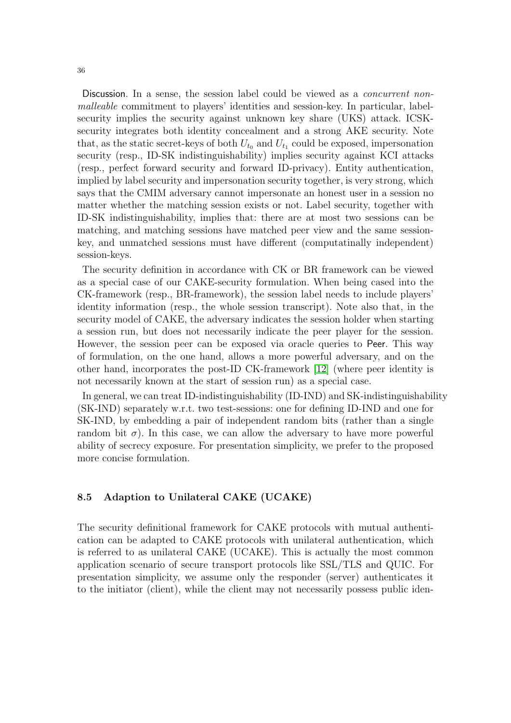Discussion. In a sense, the session label could be viewed as a *concurrent non*malleable commitment to players' identities and session-key. In particular, labelsecurity implies the security against unknown key share (UKS) attack. ICSKsecurity integrates both identity concealment and a strong AKE security. Note that, as the static secret-keys of both  $U_{t_0}$  and  $U_{t_1}$  could be exposed, impersonation security (resp., ID-SK indistinguishability) implies security against KCI attacks (resp., perfect forward security and forward ID-privacy). Entity authentication, implied by label security and impersonation security together, is very strong, which says that the CMIM adversary cannot impersonate an honest user in a session no matter whether the matching session exists or not. Label security, together with ID-SK indistinguishability, implies that: there are at most two sessions can be matching, and matching sessions have matched peer view and the same sessionkey, and unmatched sessions must have different (computatinally independent) session-keys.

The security definition in accordance with CK or BR framework can be viewed as a special case of our CAKE-security formulation. When being cased into the CK-framework (resp., BR-framework), the session label needs to include players' identity information (resp., the whole session transcript). Note also that, in the security model of CAKE, the adversary indicates the session holder when starting a session run, but does not necessarily indicate the peer player for the session. However, the session peer can be exposed via oracle queries to Peer. This way of formulation, on the one hand, allows a more powerful adversary, and on the other hand, incorporates the post-ID CK-framework [\[12\]](#page-56-25) (where peer identity is not necessarily known at the start of session run) as a special case.

In general, we can treat ID-indistinguishability (ID-IND) and SK-indistinguishability (SK-IND) separately w.r.t. two test-sessions: one for defining ID-IND and one for SK-IND, by embedding a pair of independent random bits (rather than a single random bit  $\sigma$ ). In this case, we can allow the adversary to have more powerful ability of secrecy exposure. For presentation simplicity, we prefer to the proposed more concise formulation.

### 8.5 Adaption to Unilateral CAKE (UCAKE)

The security definitional framework for CAKE protocols with mutual authentication can be adapted to CAKE protocols with unilateral authentication, which is referred to as unilateral CAKE (UCAKE). This is actually the most common application scenario of secure transport protocols like SSL/TLS and QUIC. For presentation simplicity, we assume only the responder (server) authenticates it to the initiator (client), while the client may not necessarily possess public iden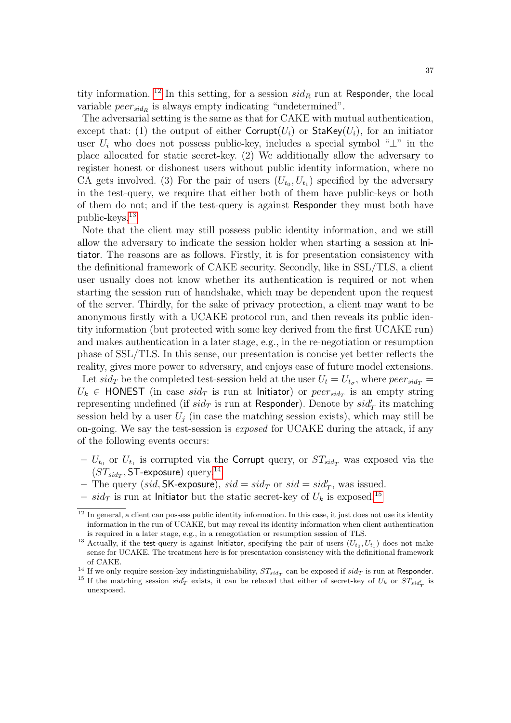tity information. <sup>[12](#page-36-0)</sup> In this setting, for a session  $sid_R$  run at Responder, the local variable  $peer_{sid_R}$  is always empty indicating "undetermined".

The adversarial setting is the same as that for CAKE with mutual authentication, except that: (1) the output of either Corrupt( $U_i$ ) or StaKey( $U_i$ ), for an initiator user  $U_i$  who does not possess public-key, includes a special symbol " $\perp$ " in the place allocated for static secret-key. (2) We additionally allow the adversary to register honest or dishonest users without public identity information, where no CA gets involved. (3) For the pair of users  $(U_{t_0}, U_{t_1})$  specified by the adversary in the test-query, we require that either both of them have public-keys or both of them do not; and if the test-query is against Responder they must both have public-keys.[13](#page-36-1)

Note that the client may still possess public identity information, and we still allow the adversary to indicate the session holder when starting a session at Initiator. The reasons are as follows. Firstly, it is for presentation consistency with the definitional framework of CAKE security. Secondly, like in SSL/TLS, a client user usually does not know whether its authentication is required or not when starting the session run of handshake, which may be dependent upon the request of the server. Thirdly, for the sake of privacy protection, a client may want to be anonymous firstly with a UCAKE protocol run, and then reveals its public identity information (but protected with some key derived from the first UCAKE run) and makes authentication in a later stage, e.g., in the re-negotiation or resumption phase of SSL/TLS. In this sense, our presentation is concise yet better reflects the reality, gives more power to adversary, and enjoys ease of future model extensions. Let  $sid_T$  be the completed test-session held at the user  $U_t = U_{t_{\sigma}}$ , where  $peer_{sid_T}$  $U_k \in \text{HONEST}$  (in case  $sid_T$  is run at Initiator) or  $peer_{sid_T}$  is an empty string representing undefined (if  $sid_T$  is run at Responder). Denote by  $sid_T'$  its matching session held by a user  $U_i$  (in case the matching session exists), which may still be on-going. We say the test-session is exposed for UCAKE during the attack, if any of the following events occurs:

- $U_{t_0}$  or  $U_{t_1}$  is corrupted via the Corrupt query, or  $ST_{sid_T}$  was exposed via the  $(ST_{sidT}, ST$ -exposure) query.<sup>[14](#page-36-2)</sup>
- The query (sid, SK-exposure),  $sid = sid_T$  or  $sid = sid'_T$ , was issued.
- $sid_T$  is run at Initiator but the static secret-key of  $U_k$  is exposed.<sup>[15](#page-36-3)</sup>

<span id="page-36-0"></span><sup>&</sup>lt;sup>12</sup> In general, a client can possess public identity information. In this case, it just does not use its identity information in the run of UCAKE, but may reveal its identity information when client authentication is required in a later stage, e.g., in a renegotiation or resumption session of TLS.

<span id="page-36-1"></span><sup>&</sup>lt;sup>13</sup> Actually, if the test-query is against lnitiator, specifying the pair of users  $(U_{t_0}, U_{t_1})$  does not make sense for UCAKE. The treatment here is for presentation consistency with the definitional framework of CAKE.

<span id="page-36-2"></span><sup>&</sup>lt;sup>14</sup> If we only require session-key indistinguishability,  $ST_{sid_T}$  can be exposed if  $sid_T$  is run at Responder.

<span id="page-36-3"></span><sup>&</sup>lt;sup>15</sup> If the matching session  $sid'_T$  exists, it can be relaxed that either of secret-key of  $U_k$  or  $ST_{sid'_T}$  is unexposed.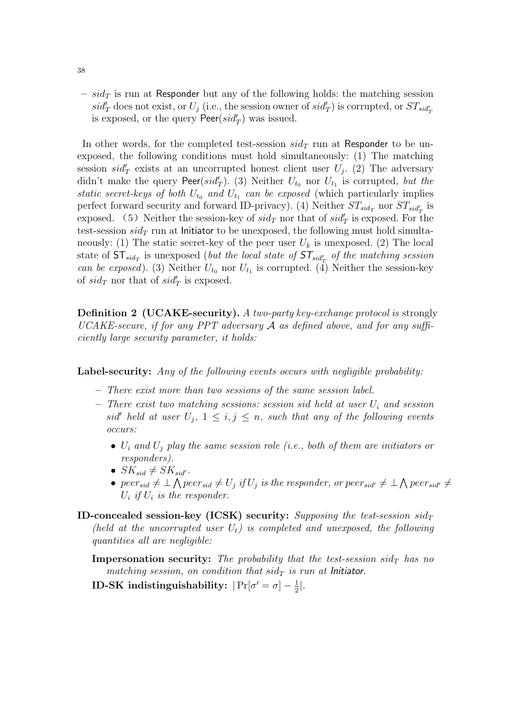–  $sid_T$  is run at Responder but any of the following holds: the matching session  $sid'_T$  does not exist, or  $U_j$  (i.e., the session owner of  $sid'_T$ ) is corrupted, or  $ST_{sid'_T}$ is exposed, or the query  $\text{Peer}(sid'_T)$  was issued.

In other words, for the completed test-session  $sid_T$  run at Responder to be unexposed, the following conditions must hold simultaneously: (1) The matching session  $sid'_T$  exists at an uncorrupted honest client user  $U_j$ . (2) The adversary didn't make the query  $\text{Peer}(sid'_T)$ . (3) Neither  $U_{t_0}$  nor  $U_{t_1}$  is corrupted, but the static secret-keys of both  $U_{t_0}$  and  $U_{t_1}$  can be exposed (which particularly implies perfect forward security and forward ID-privacy). (4) Neither  $ST_{sid_T}$  nor  $ST_{sid_T}$  is exposed. (5) Neither the session-key of  $sid_T$  nor that of  $sid'_T$  is exposed. For the test-session  $sid_T$  run at Initiator to be unexposed, the following must hold simultaneously: (1) The static secret-key of the peer user  $U_k$  is unexposed. (2) The local state of  $\text{ST}_{sid_T}$  is unexposed (but the local state of  $\text{ST}_{sid_T'}$  of the matching session can be exposed). (3) Neither  $U_{t_0}$  nor  $U_{t_1}$  is corrupted. (4) Neither the session-key of  $sid_T$  nor that of  $sid'_T$  is exposed.

<span id="page-37-0"></span>Definition 2 (UCAKE-security). A two-party key-exchange protocol is strongly UCAKE-secure, if for any PPT adversary  $\mathcal A$  as defined above, and for any sufficiently large security parameter, it holds:

Label-security: Any of the following events occurs with negligible probability:

- There exist more than two sessions of the same session label.
- There exist two matching sessions: session sid held at user  $U_i$  and session sid' held at user  $U_j$ ,  $1 \leq i, j \leq n$ , such that any of the following events occurs:
	- $U_i$  and  $U_j$  play the same session role (i.e., both of them are initiators or responders).
	- $SK_{sid} \neq SK_{sid'}$ .
	- peer<sub>sid</sub>  $\neq \bot \bigwedge per_{sid} \neq U_j$  if  $U_j$  is the responder, or peer<sub>sid'</sub>  $\neq \bot \bigwedge per_{sid'} \neq$  $U_i$  if  $U_i$  is the responder.
- ID-concealed session-key (ICSK) security: Supposing the test-session  $sid<sub>T</sub>$ (held at the uncorrupted user  $U_t$ ) is completed and unexposed, the following quantities all are negligible:

**Impersonation security:** The probability that the test-session sid<sub>T</sub> has no matching session, on condition that  $sid_T$  is run at Initiator.

**ID-SK** indistinguishability:  $|\Pr[\sigma' = \sigma] - \frac{1}{2}$  $\frac{1}{2}$ .

38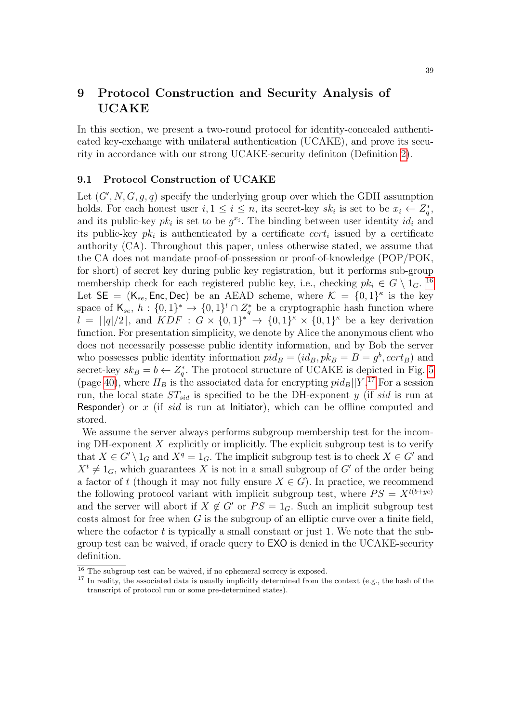## 9 Protocol Construction and Security Analysis of UCAKE

In this section, we present a two-round protocol for identity-concealed authenticated key-exchange with unilateral authentication (UCAKE), and prove its security in accordance with our strong UCAKE-security definiton (Definition [2\)](#page-37-0).

#### 9.1 Protocol Construction of UCAKE

Let  $(G', N, G, g, q)$  specify the underlying group over which the GDH assumption holds. For each honest user  $i, 1 \leq i \leq n$ , its secret-key  $sk_i$  is set to be  $x_i \leftarrow Z_q^*$ , and its public-key  $pk_i$  is set to be  $g^{x_i}$ . The binding between user identity  $id_i$  and its public-key  $pk_i$  is authenticated by a certificate  $cert_i$  issued by a certificate authority (CA). Throughout this paper, unless otherwise stated, we assume that the CA does not mandate proof-of-possession or proof-of-knowledge (POP/POK, for short) of secret key during public key registration, but it performs sub-group membership check for each registered public key, i.e., checking  $pk_i \in G \setminus 1_G$ . <sup>[16](#page-38-0)</sup> Let  $SE = (K_{se}, Enc, Dec)$  be an AEAD scheme, where  $K = \{0, 1\}^{\kappa}$  is the key space of  $\mathsf{K}_{se}, h: \{0,1\}^* \to \{0,1\}^l \cap Z_q^*$  be a cryptographic hash function where  $l = \lfloor |q|/2 \rfloor$ , and  $KDF : G \times \{0,1\}^* \rightarrow \{0,1\}^{\kappa} \times \{0,1\}^{\kappa}$  be a key derivation function. For presentation simplicity, we denote by Alice the anonymous client who does not necessarily possesse public identity information, and by Bob the server who possesses public identity information  $pid_B = (id_B, pk_B = B = g^b, cert_B)$  and secret-key  $sk_B = b \leftarrow Z_q^*$ . The protocol structure of UCAKE is depicted in Fig. [5](#page-39-0) (page [40\)](#page-39-0), where  $H_B$  is the associated data for encrypting  $pid_B||Y$ .<sup>[17](#page-38-1)</sup> For a session run, the local state  $ST_{sid}$  is specified to be the DH-exponent y (if sid is run at Responder) or x (if sid is run at Initiator), which can be offline computed and stored.

We assume the server always performs subgroup membership test for the incoming DH-exponent  $X$  explicitly or implicitly. The explicit subgroup test is to verify that  $X \in G' \setminus 1_G$  and  $X^q = 1_G$ . The implicit subgroup test is to check  $X \in G'$  and  $X^t \neq 1_G$ , which guarantees X is not in a small subgroup of G' of the order being a factor of t (though it may not fully ensure  $X \in G$ ). In practice, we recommend the following protocol variant with implicit subgroup test, where  $PS = X^{t(b+ye)}$ and the server will abort if  $X \notin G'$  or  $PS = 1_G$ . Such an implicit subgroup test costs almost for free when  $G$  is the subgroup of an elliptic curve over a finite field, where the cofactor  $t$  is typically a small constant or just 1. We note that the subgroup test can be waived, if oracle query to EXO is denied in the UCAKE-security definition.

<span id="page-38-0"></span><sup>&</sup>lt;sup>16</sup> The subgroup test can be waived, if no ephemeral secrecy is exposed.

<span id="page-38-1"></span> $17$  In reality, the associated data is usually implicitly determined from the context (e.g., the hash of the transcript of protocol run or some pre-determined states).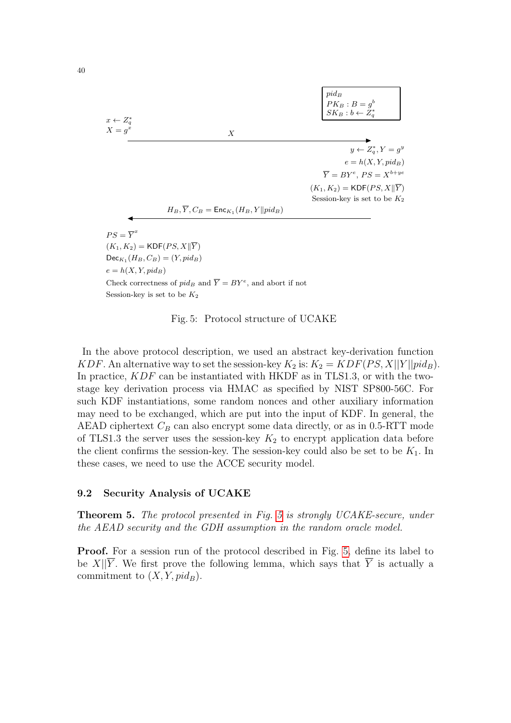

<span id="page-39-0"></span>Session-key is set to be  $K_2$ 

Fig. 5: Protocol structure of UCAKE

In the above protocol description, we used an abstract key-derivation function KDF. An alternative way to set the session-key  $K_2$  is:  $K_2 = KDF(PS, X||Y||pid_B)$ . In practice,  $KDF$  can be instantiated with HKDF as in TLS1.3, or with the twostage key derivation process via HMAC as specified by NIST SP800-56C. For such KDF instantiations, some random nonces and other auxiliary information may need to be exchanged, which are put into the input of KDF. In general, the AEAD ciphertext  $C_B$  can also encrypt some data directly, or as in 0.5-RTT mode of TLS1.3 the server uses the session-key  $K_2$  to encrypt application data before the client confirms the session-key. The session-key could also be set to be  $K_1$ . In these cases, we need to use the ACCE security model.

### 9.2 Security Analysis of UCAKE

<span id="page-39-2"></span>Theorem 5. The protocol presented in Fig. [5](#page-39-0) is strongly UCAKE-secure, under the AEAD security and the GDH assumption in the random oracle model.

<span id="page-39-1"></span>Proof. For a session run of the protocol described in Fig. [5,](#page-39-0) define its label to be X|| $\overline{Y}$ . We first prove the following lemma, which says that  $\overline{Y}$  is actually a commitment to  $(X, Y, pid_B)$ .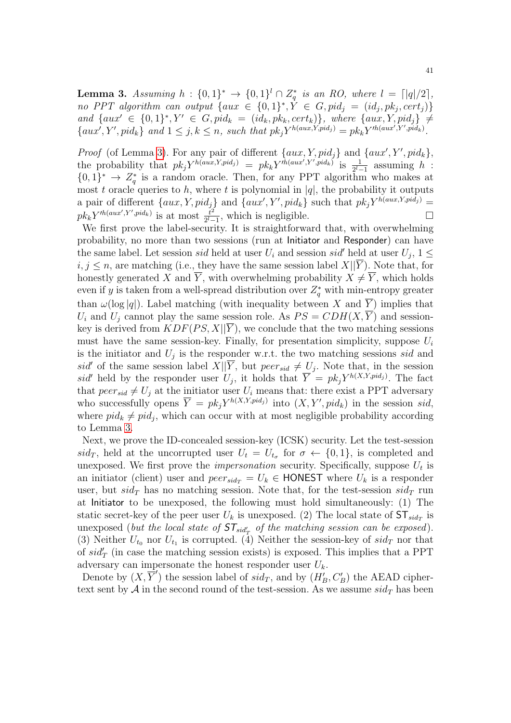**Lemma 3.** Assuming  $h: \{0,1\}^* \to \{0,1\}^l \cap Z_q^*$  is an RO, where  $l = \lceil |q|/2 \rceil$ , no PPT algorithm can output  $\{aux \in \{0,1\}^*, \dot{Y} \in G, pid_j = (id_j, pk_j, cert_j)\}\$ and  $\{aux' \in \{0,1\}^*, Y' \in G, pid_k = (id_k, pk_k, cert_k)\}\$ , where  $\{aux, Y, pid_j\} \neq$  $\{aux', Y', pid_k\}$  and  $1 \leq j, k \leq n$ , such that  $pk_jY^{h(aux,Y,pid_j)} = pk_kY^{th(aux',Y',pid_k)}$ .

*Proof* (of Lemma [3\)](#page-39-1). For any pair of different  $\{aux, Y, pid_j\}$  and  $\{aux', Y', pid_k\}$ , the probability that  $pk_jY^{h(aux,Y,pid_j)} = pk_kY^{h(aux',Y',pid_k)}$  is  $\frac{1}{2^{l-1}}$  assuming h:  ${0,1}^* \rightarrow Z_q^*$  is a random oracle. Then, for any PPT algorithm who makes at most t oracle queries to h, where t is polynomial in  $|q|$ , the probability it outputs a pair of different  $\{aux, Y, pid_j\}$  and  $\{aux', Y', pid_k\}$  such that  $pk_jY^{h(aux,Y,pid_j)}$  $pk_kY^{th(aux',Y',pid_k)}$  is at most  $\frac{t^2}{2^l-1}$  $\frac{t^2}{2^l-1}$ , which is negligible.

We first prove the label-security. It is straightforward that, with overwhelming probability, no more than two sessions (run at Initiator and Responder) can have the same label. Let session *sid* held at user  $U_i$  and session *sid*' held at user  $U_j$ ,  $1 \leq$  $i, j \leq n$ , are matching (i.e., they have the same session label  $X||Y$ ). Note that, for honestly generated X and  $\overline{Y}$ , with overwhelming probability  $X \neq \overline{Y}$ , which holds even if y is taken from a well-spread distribution over  $Z_q^*$  with min-entropy greater than  $\omega(\log|q|)$ . Label matching (with inequality between X and Y) implies that  $U_i$  and  $U_j$  cannot play the same session role. As  $PS = CDH(X, \overline{Y})$  and sessionkey is derived from  $KDF(PS, X||\overline{Y})$ , we conclude that the two matching sessions must have the same session-key. Finally, for presentation simplicity, suppose  $U_i$ is the initiator and  $U_j$  is the responder w.r.t. the two matching sessions sid and sid' of the same session label  $X||\overline{Y}$ , but  $peer_{sid} \neq U_j$ . Note that, in the session sid' held by the responder user  $U_j$ , it holds that  $\overline{Y} = pk_jY^{h(X,Y,pid_j)}$ . The fact that  $peer_{sid} \neq U_i$  at the initiator user  $U_i$  means that: there exist a PPT adversary who successfully opens  $\overline{Y} = pk_j Y^{h(X,Y,pid_j)}$  into  $(X, Y', pid_k)$  in the session sid, where  $pid_k \neq pid_j$ , which can occur with at most negligible probability according to Lemma [3.](#page-39-1)

Next, we prove the ID-concealed session-key (ICSK) security. Let the test-session sid<sub>T</sub>, held at the uncorrupted user  $U_t = U_{t_\sigma}$  for  $\sigma \leftarrow \{0, 1\}$ , is completed and unexposed. We first prove the *impersonation* security. Specifically, suppose  $U_t$  is an initiator (client) user and  $peer_{sid_T} = U_k \in \text{HONEST}$  where  $U_k$  is a responder user, but  $sid_T$  has no matching session. Note that, for the test-session  $sid_T$  run at Initiator to be unexposed, the following must hold simultaneously: (1) The static secret-key of the peer user  $U_k$  is unexposed. (2) The local state of  $ST_{sid_T}$  is unexposed (but the local state of  $ST_{sid'_{T}}$  of the matching session can be exposed). (3) Neither  $U_{t_0}$  nor  $U_{t_1}$  is corrupted. (4) Neither the session-key of  $sid_T$  nor that of  $sid'_T$  (in case the matching session exists) is exposed. This implies that a PPT adversary can impersonate the honest responder user  $U_k$ .

Denote by  $(X, \overline{Y}')$  the session label of  $sid_T$ , and by  $(H'_B, C'_B)$  the AEAD ciphertext sent by  $A$  in the second round of the test-session. As we assume  $sid_T$  has been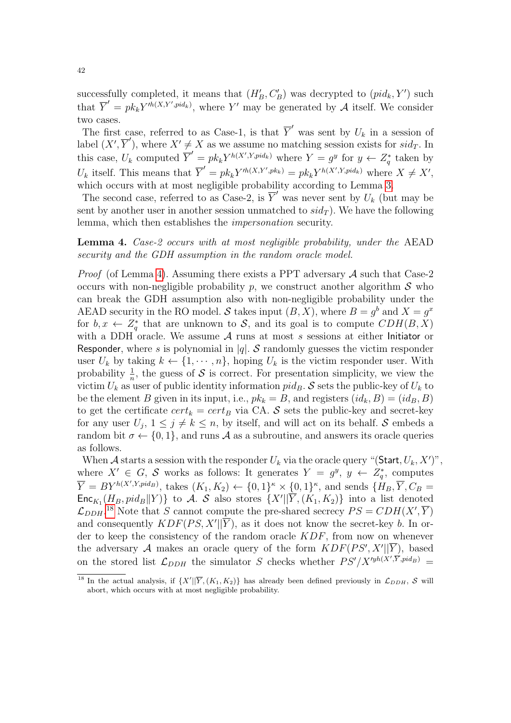successfully completed, it means that  $(H'_B, C'_B)$  was decrypted to  $(pid_k, Y')$  such that  $\overline{Y}' = pk_k Y^{th(X,Y',pid_k)}$ , where Y' may be generated by A itself. We consider two cases.

The first case, referred to as Case-1, is that  $\overline{Y}'$  was sent by  $U_k$  in a session of label  $(X', \overline{Y}')$ , where  $X' \neq X$  as we assume no matching session exists for  $sid_T$ . In this case,  $U_k$  computed  $\overline{Y}' = p k_k Y^{h(X',Y,pid_k)}$  where  $Y = g^y$  for  $y \leftarrow Z_q^*$  taken by  $U_k$  itself. This means that  $\overline{Y}' = pk_k Y'^{h(X,Y',pk_k)} = pk_k Y^{h(X',Y,pid_k)}$  where  $X \neq X'$ , which occurs with at most negligible probability according to Lemma [3.](#page-39-1)

The second case, referred to as Case-2, is  $\overline{Y}'$  was never sent by  $U_k$  (but may be sent by another user in another session unmatched to  $sid_T$ ). We have the following lemma, which then establishes the impersonation security.

<span id="page-41-0"></span>Lemma 4. Case-2 occurs with at most negligible probability, under the AEAD security and the GDH assumption in the random oracle model.

*Proof* (of Lemma [4\)](#page-41-0). Assuming there exists a PPT adversary  $A$  such that Case-2 occurs with non-negligible probability p, we construct another algorithm  $\mathcal S$  who can break the GDH assumption also with non-negligible probability under the AEAD security in the RO model. S takes input  $(B, X)$ , where  $B = g^b$  and  $X = g^x$ for  $b, x \leftarrow Z_q^*$  that are unknown to S, and its goal is to compute  $CDH(B, X)$ with a DDH oracle. We assume  $A$  runs at most  $s$  sessions at either Initiator or Responder, where s is polynomial in |q|. S randomly guesses the victim responder user  $U_k$  by taking  $k \leftarrow \{1, \dots, n\}$ , hoping  $U_k$  is the victim responder user. With probability  $\frac{1}{n}$ , the guess of S is correct. For presentation simplicity, we view the victim  $U_k$  as user of public identity information pid<sub>B</sub>. S sets the public-key of  $U_k$  to be the element B given in its input, i.e.,  $pk_k = B$ , and registers  $(id_k, B) = (id_B, B)$ to get the certificate  $cert_k = cert_B$  via CA. S sets the public-key and secret-key for any user  $U_j$ ,  $1 \leq j \neq k \leq n$ , by itself, and will act on its behalf. S embeds a random bit  $\sigma \leftarrow \{0, 1\}$ , and runs A as a subroutine, and answers its oracle queries as follows.

When A starts a session with the responder  $U_k$  via the oracle query "(Start,  $U_k$ , X')", where  $X' \in G$ , S works as follows: It generates  $Y = g^y$ ,  $y \leftarrow Z_q^*$ , computes  $\overline{Y} = BY^{h(X',Y,pid_B)}$ , takes  $(K_1, K_2) \leftarrow \{0,1\}^{\kappa} \times \{0,1\}^{\kappa}$ , and sends  $\{H_B, \overline{Y}, C_B =$  $\mathsf{Enc}_{K_1}(H_B, pid_B||Y)$  to A. S also stores  $\{X'|\overline{Y},(K_1, K_2)\}\$  into a list denoted  $\mathcal{L}_{DDH}$ <sup>[18](#page-41-1)</sup> Note that S cannot compute the pre-shared secrecy  $PS = CDH(X', \overline{Y})$ and consequently  $KDF(PS, X'||\overline{Y})$ , as it does not know the secret-key b. In order to keep the consistency of the random oracle  $KDF$ , from now on whenever the adversary A makes an oracle query of the form  $KDF(PS', X'||\overline{Y})$ , based on the stored list  $\mathcal{L}_{DDH}$  the simulator S checks whether  $PS'/X'^{yh(X',\overline{Y},pid_B)}$  =

<span id="page-41-1"></span><sup>&</sup>lt;sup>18</sup> In the actual analysis, if  $\{X'|\overline{Y}, (K_1, K_2)\}$  has already been defined previously in  $\mathcal{L}_{DDH}$ , S will abort, which occurs with at most negligible probability.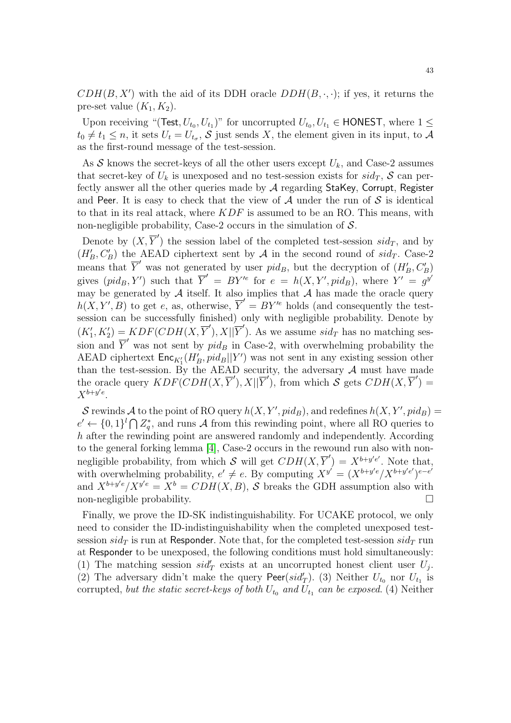$CDH(B, X')$  with the aid of its DDH oracle  $DDH(B, \cdot, \cdot)$ ; if yes, it returns the pre-set value  $(K_1, K_2)$ .

Upon receiving "(Test,  $U_{t_0}, U_{t_1}$ )" for uncorrupted  $U_{t_0}, U_{t_1} \in \text{HONEST}$ , where  $1 \leq$  $t_0 \neq t_1 \leq n$ , it sets  $U_t = U_{t_\sigma}$ , S just sends X, the element given in its input, to A as the first-round message of the test-session.

As S knows the secret-keys of all the other users except  $U_k$ , and Case-2 assumes that secret-key of  $U_k$  is unexposed and no test-session exists for  $sid_T$ , S can perfectly answer all the other queries made by  $A$  regarding StaKey, Corrupt, Register and Peer. It is easy to check that the view of  $A$  under the run of  $S$  is identical to that in its real attack, where  $KDF$  is assumed to be an RO. This means, with non-negligible probability, Case-2 occurs in the simulation of  $S$ .

Denote by  $(X, \overline{Y}')$  the session label of the completed test-session  $sid_T$ , and by  $(H'_B, C'_B)$  the AEAD ciphertext sent by A in the second round of  $sid_T$ . Case-2 means that  $\overline{Y}'$  was not generated by user pid<sub>B</sub>, but the decryption of  $(H'_{B}, C'_{B})$ gives  $(pid_B, Y')$  such that  $\overline{Y}' = BY'^e$  for  $e = h(X, Y', pid_B)$ , where  $Y' = g^{y'}$ may be generated by  $A$  itself. It also implies that  $A$  has made the oracle query  $h(X, Y', B)$  to get e, as, otherwise,  $\overline{Y}' = BY'^e$  holds (and consequently the testsession can be successfully finished) only with negligible probability. Denote by  $(K'_1, K'_2) = KDF(CDH(X, \overline{Y}'), X||\overline{Y}').$  As we assume  $sid_T$  has no matching session and  $\overline{Y}'$  was not sent by  $pid_B$  in Case-2, with overwhelming probability the AEAD ciphertext  $\mathsf{Enc}_{K_1'}(H'_B, pid_B||Y')$  was not sent in any existing session other than the test-session. By the AEAD security, the adversary  $\mathcal A$  must have made the oracle query  $KDF(CDH(X, \overline{Y}'), X||\overline{Y}')$ , from which  $S$  gets  $CDH(X, \overline{Y}') =$  $X^{b+y'e}.$ 

S rewinds A to the point of RO query  $h(X, Y', pid_B)$ , and redefines  $h(X, Y', pid_B) =$  $e' \leftarrow \{0,1\}^l \bigcap Z_q^*$ , and runs A from this rewinding point, where all RO queries to h after the rewinding point are answered randomly and independently. According to the general forking lemma [\[4\]](#page-55-5), Case-2 occurs in the rewound run also with nonnegligible probability, from which S will get  $CDH(X, \overline{Y}') = X^{b+y'e'}$ . Note that, with overwhelming probability,  $e' \neq e$ . By computing  $X^{y'} = (X^{b+y'e}/X^{b+y'e})^{e-e'}$ and  $X^{b+y'e}/X^{y'e} = X^b = CDH(X, B)$ , S breaks the GDH assumption also with non-negligible probability.

Finally, we prove the ID-SK indistinguishability. For UCAKE protocol, we only need to consider the ID-indistinguishability when the completed unexposed testsession  $sid_T$  is run at Responder. Note that, for the completed test-session  $sid_T$  run at Responder to be unexposed, the following conditions must hold simultaneously: (1) The matching session  $sid'_T$  exists at an uncorrupted honest client user  $U_j$ . (2) The adversary didn't make the query Peer( $sid'_T$ ). (3) Neither  $U_{t_0}$  nor  $U_{t_1}$  is corrupted, but the static secret-keys of both  $U_{t_0}$  and  $U_{t_1}$  can be exposed. (4) Neither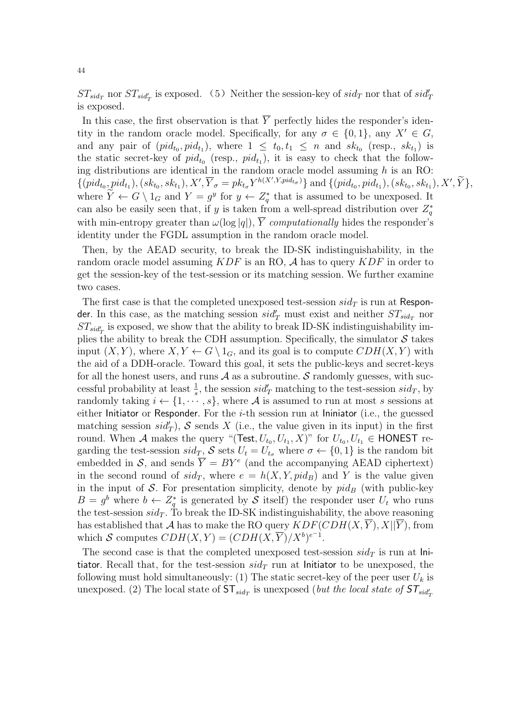$ST_{sid_T}$  nor  $ST_{sid_T}$  is exposed. (5) Neither the session-key of  $sid_T$  nor that of  $sid_T'$ is exposed.

In this case, the first observation is that  $\overline{Y}$  perfectly hides the responder's identity in the random oracle model. Specifically, for any  $\sigma \in \{0,1\}$ , any  $X' \in G$ , and any pair of  $(pid_{t_0}, pid_{t_1})$ , where  $1 \leq t_0, t_1 \leq n$  and  $sk_{t_0}$  (resp.,  $sk_{t_1}$ ) is the static secret-key of  $pid_{t_0}$  (resp.,  $pid_{t_1}$ ), it is easy to check that the following distributions are identical in the random oracle model assuming  $h$  is an RO:  $\{ (pid_{t_0}, pid_{t_1}), (sk_{t_0}, sk_{t_1}), X', \overline{Y}_{\sigma} = pk_{t_{\sigma}} Y^{h(X',Y,pid_{t_{\sigma}})} \}$  and  $\{ (pid_{t_0}, pid_{t_1}), (sk_{t_0}, sk_{t_1}), X', \widetilde{Y} \},$ where  $Y \leftarrow G \setminus 1_G$  and  $Y = g^y$  for  $y \leftarrow Z_q^*$  that is assumed to be unexposed. It can also be easily seen that, if y is taken from a well-spread distribution over  $Z_q^*$ with min-entropy greater than  $\omega(\log|q|), \overline{Y}$  computationally hides the responder's identity under the FGDL assumption in the random oracle model.

Then, by the AEAD security, to break the ID-SK indistinguishability, in the random oracle model assuming  $KDF$  is an RO, A has to query  $KDF$  in order to get the session-key of the test-session or its matching session. We further examine two cases.

The first case is that the completed unexposed test-session  $sid_T$  is run at Responder. In this case, as the matching session  $sid'_T$  must exist and neither  $ST_{sid_T}$  nor  $ST_{sid'_{T}}$  is exposed, we show that the ability to break ID-SK indistinguishability implies the ability to break the CDH assumption. Specifically, the simulator  $\mathcal S$  takes input  $(X, Y)$ , where  $X, Y \leftarrow G \setminus 1_G$ , and its goal is to compute  $CDH(X, Y)$  with the aid of a DDH-oracle. Toward this goal, it sets the public-keys and secret-keys for all the honest users, and runs  $A$  as a subroutine.  $S$  randomly guesses, with successful probability at least  $\frac{1}{s}$ , the session  $sid_T$  matching to the test-session  $sid_T$ , by randomly taking  $i \leftarrow \{1, \dots, s\}$ , where A is assumed to run at most s sessions at either Initiator or Responder. For the *i*-th session run at Ininiator (i.e., the guessed matching session  $sid'_T$ ), S sends X (i.e., the value given in its input) in the first round. When A makes the query "(Test,  $U_{t_0}, U_{t_1}, X$ )" for  $U_{t_0}, U_{t_1} \in$  HONEST regarding the test-session  $sid_T$ , S sets  $U_t = U_{t_\sigma}$  where  $\sigma \leftarrow \{0, 1\}$  is the random bit embedded in S, and sends  $\overline{Y} = BY^e$  (and the accompanying AEAD ciphertext) in the second round of  $sid_T$ , where  $e = h(X, Y, pid_B)$  and Y is the value given in the input of S. For presentation simplicity, denote by  $pid_B$  (with public-key  $B = g^b$  where  $b \leftarrow Z_q^*$  is generated by S itself) the responder user  $U_t$  who runs the test-session  $sid_T$ . To break the ID-SK indistinguishability, the above reasoning has established that A has to make the RO query  $KDF(CDH(X, \overline{Y}), X||\overline{Y})$ , from which S computes  $CDH(X,Y) = (CDH(X,\overline{Y})/X^b)^{e^{-1}}$ .

The second case is that the completed unexposed test-session  $sid_T$  is run at Initiator. Recall that, for the test-session  $sid_T$  run at Initiator to be unexposed, the following must hold simultaneously: (1) The static secret-key of the peer user  $U_k$  is unexposed. (2) The local state of  $ST_{sid_T}$  is unexposed (but the local state of  $ST_{sid_T'}$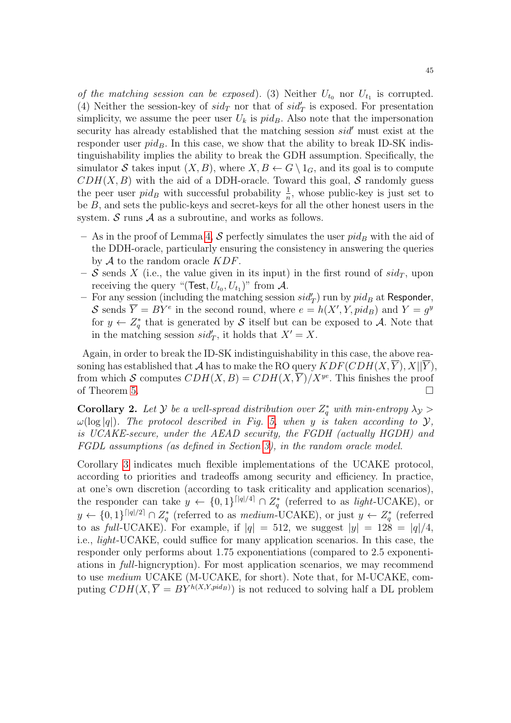of the matching session can be exposed). (3) Neither  $U_{t_0}$  nor  $U_{t_1}$  is corrupted. (4) Neither the session-key of  $sid_T$  nor that of  $sid_T'$  is exposed. For presentation simplicity, we assume the peer user  $U_k$  is  $pid_B$ . Also note that the impersonation security has already established that the matching session  $sid'$  must exist at the responder user  $pid_B$ . In this case, we show that the ability to break ID-SK indistinguishability implies the ability to break the GDH assumption. Specifically, the simulator S takes input  $(X, B)$ , where  $X, B \leftarrow G \setminus 1_G$ , and its goal is to compute  $CDH(X, B)$  with the aid of a DDH-oracle. Toward this goal, S randomly guess the peer user  $pid_B$  with successful probability  $\frac{1}{n}$ , whose public-key is just set to be B, and sets the public-keys and secret-keys for all the other honest users in the system.  $S$  runs  $A$  as a subroutine, and works as follows.

- As in the proof of Lemma [4,](#page-41-0) S perfectly simulates the user  $pid_B$  with the aid of the DDH-oracle, particularly ensuring the consistency in answering the queries by  $A$  to the random oracle  $KDF$ .
- S sends X (i.e., the value given in its input) in the first round of  $sid_T$ , upon receiving the query "(Test,  $U_{t_0}, U_{t_1}$ )" from  $\mathcal{A}$ .
- For any session (including the matching session  $sid'_T$ ) run by  $pid_B$  at Responder, S sends  $\overline{Y} = BY^e$  in the second round, where  $e = h(X', Y, pid_B)$  and  $Y = g^y$ for  $y \leftarrow Z_q^*$  that is generated by S itself but can be exposed to A. Note that in the matching session  $sid'_T$ , it holds that  $X' = X$ .

Again, in order to break the ID-SK indistinguishability in this case, the above reasoning has established that A has to make the RO query  $KDF(CDH(X, \overline{Y}), X||\overline{Y})$ , from which S computes  $CDH(X, B) = CDH(X, \overline{Y})/X^{ye}$ . This finishes the proof of Theorem [5.](#page-39-2)  $\Box$ 

**Corollary 2.** Let Y be a well-spread distribution over  $Z_q^*$  with min-entropy  $\lambda_y$  $\omega(\log|q|)$ . The protocol described in Fig. [5,](#page-39-0) when y is taken according to  $\mathcal{Y}$ , is UCAKE-secure, under the AEAD security, the FGDH (actually HGDH) and FGDL assumptions (as defined in Section [3\)](#page-7-1), in the random oracle model.

Corollary [3](#page-54-0) indicates much flexible implementations of the UCAKE protocol, according to priorities and tradeoffs among security and efficiency. In practice, at one's own discretion (according to task criticality and application scenarios), the responder can take  $y \leftarrow \{0,1\}^{\lceil |q|/4 \rceil} \cap Z_q^*$  (referred to as light-UCAKE), or  $y \leftarrow \{0,1\}^{\lceil |q|/2 \rceil} \cap Z_q^*$  (referred to as medium-UCAKE), or just  $y \leftarrow Z_q^*$  (referred to as full-UCAKE). For example, if  $|q| = 512$ , we suggest  $|y| = 128 = |q|/4$ , i.e., light-UCAKE, could suffice for many application scenarios. In this case, the responder only performs about 1.75 exponentiations (compared to 2.5 exponentiations in full-higncryption). For most application scenarios, we may recommend to use medium UCAKE (M-UCAKE, for short). Note that, for M-UCAKE, computing  $CDH(X, \overline{Y} = BY^{h(X,Y,pid_B)})$  is not reduced to solving half a DL problem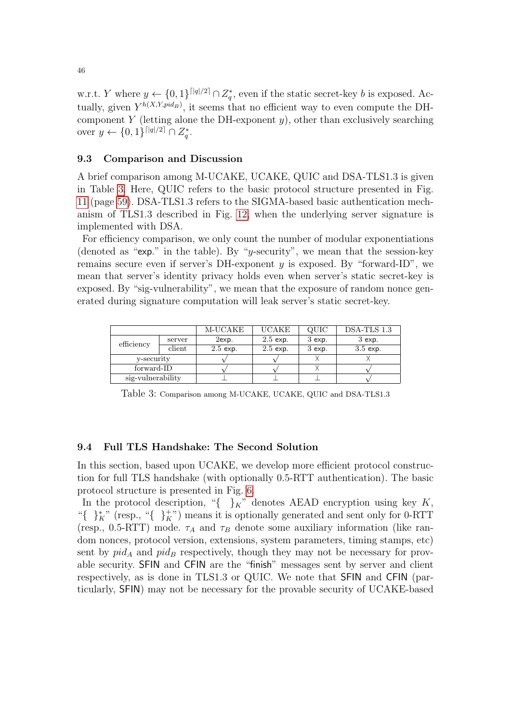w.r.t. Y where  $y \leftarrow \{0,1\}^{\lceil |q|/2 \rceil} \cap Z_q^*$ , even if the static secret-key b is exposed. Actually, given  $Y^{h(X,Y,pid_B)}$ , it seems that no efficient way to even compute the DHcomponent Y (letting alone the DH-exponent  $y$ ), other than exclusively searching over  $y \leftarrow \{0, 1\}^{\lceil |q|/2 \rceil} \cap Z_q^*$ .

#### 9.3 Comparison and Discussion

A brief comparison among M-UCAKE, UCAKE, QUIC and DSA-TLS1.3 is given in Table [3.](#page-45-0) Here, QUIC refers to the basic protocol structure presented in Fig. [11](#page-58-0) (page [59\)](#page-58-0). DSA-TLS1.3 refers to the SIGMA-based basic authentication mechanism of TLS1.3 described in Fig. [12,](#page-59-0) when the underlying server signature is implemented with DSA.

For efficiency comparison, we only count the number of modular exponentiations (denoted as "exp." in the table). By "y-security", we mean that the session-key remains secure even if server's DH-exponent  $y$  is exposed. By "forward-ID", we mean that server's identity privacy holds even when server's static secret-key is exposed. By "sig-vulnerability", we mean that the exposure of random nonce generated during signature computation will leak server's static secret-key.

|                   |        | M-UCAKE    | <b>UCAKE</b> | QUIC     | DSA-TLS 1.3 |
|-------------------|--------|------------|--------------|----------|-------------|
| efficiency        | server | $2$ exp.   | $2.5$ exp.   | $3$ exp. | $3$ exp.    |
|                   | client | $2.5$ exp. | $2.5$ exp.   | $3$ exp. | $3.5$ exp.  |
| y-security        |        |            |              |          |             |
| forward-ID        |        |            |              |          |             |
| sig-vulnerability |        |            |              |          |             |

<span id="page-45-0"></span>Table 3: Comparison among M-UCAKE, UCAKE, QUIC and DSA-TLS1.3

### 9.4 Full TLS Handshake: The Second Solution

In this section, based upon UCAKE, we develop more efficient protocol construction for full TLS handshake (with optionally 0.5-RTT authentication). The basic protocol structure is presented in Fig. [6.](#page-46-0)

In the protocol description, "{ $\}_K$ " denotes AEAD encryption using key K, "{ }<sup>\*</sup><sub>K</sub>" (resp., "{ }<sup>+</sup><sub>K</sub>") means it is optionally generated and sent only for 0-RTT (resp., 0.5-RTT) mode.  $\tau_A$  and  $\tau_B$  denote some auxiliary information (like random nonces, protocol version, extensions, system parameters, timing stamps, etc) sent by  $pid_A$  and  $pid_B$  respectively, though they may not be necessary for provable security. SFIN and CFIN are the "finish" messages sent by server and client respectively, as is done in TLS1.3 or QUIC. We note that SFIN and CFIN (particularly, SFIN) may not be necessary for the provable security of UCAKE-based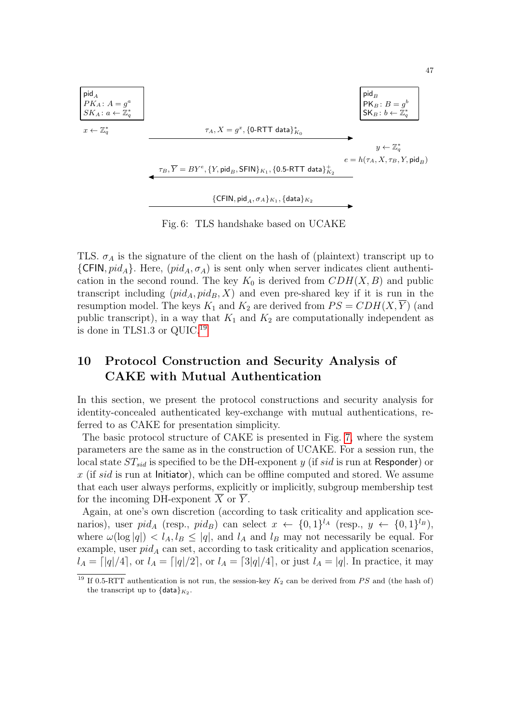

Fig. 6: TLS handshake based on UCAKE

<span id="page-46-0"></span>TLS.  $\sigma_A$  is the signature of the client on the hash of (plaintext) transcript up to  ${CFIN, pid_A}.$  Here,  $(pid_A, \sigma_A)$  is sent only when server indicates client authentication in the second round. The key  $K_0$  is derived from  $CDH(X, B)$  and public transcript including  $(pid_A, pid_B, X)$  and even pre-shared key if it is run in the resumption model. The keys  $K_1$  and  $K_2$  are derived from  $PS = CDH(X, \overline{Y})$  (and public transcript), in a way that  $K_1$  and  $K_2$  are computationally independent as is done in TLS1.3 or QUIC.[19](#page-46-1)

## 10 Protocol Construction and Security Analysis of CAKE with Mutual Authentication

In this section, we present the protocol constructions and security analysis for identity-concealed authenticated key-exchange with mutual authentications, referred to as CAKE for presentation simplicity.

The basic protocol structure of CAKE is presented in Fig. [7,](#page-47-0) where the system parameters are the same as in the construction of UCAKE. For a session run, the local state  $ST_{sid}$  is specified to be the DH-exponent y (if sid is run at Responder) or  $x$  (if sid is run at Initiator), which can be offline computed and stored. We assume that each user always performs, explicitly or implicitly, subgroup membership test for the incoming DH-exponent  $X$  or  $Y$ .

Again, at one's own discretion (according to task criticality and application scenarios), user  $pid_A$  (resp.,  $pid_B$ ) can select  $x \leftarrow \{0,1\}^{l_A}$  (resp.,  $y \leftarrow \{0,1\}^{l_B}$ ), where  $\omega(\log|q|) < l_A, l_B \leq |q|$ , and  $l_A$  and  $l_B$  may not necessarily be equal. For example, user  $pid_A$  can set, according to task criticality and application scenarios,  $l_A = [q]/4$ , or  $l_A = [q]/2$ , or  $l_A = [3]q/4$ , or just  $l_A = |q|$ . In practice, it may

<span id="page-46-1"></span> $\frac{19 \text{ H } 0.5\text{-RTT}}{19 \text{ H } 0.5\text{-RTT}}$  authentication is not run, the session-key  $K_2$  can be derived from PS and (the hash of) the transcript up to  $\{\textsf{data}\}_{K_2}$ .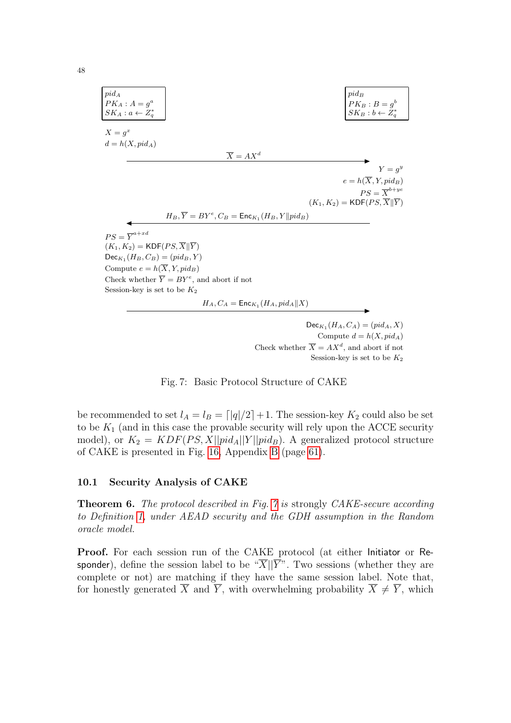| $pid_A$                                                             | $pid_B$                                                     |           |
|---------------------------------------------------------------------|-------------------------------------------------------------|-----------|
| $PK_A: A = g^a$                                                     | $PK_B: B = g^b$                                             |           |
| $SK_A: a \leftarrow Z_q^*$                                          | $SK_B: b \leftarrow Z_q^*$                                  |           |
| $X = g^x$                                                           | $Y = g^y$                                                   |           |
| $d = h(X, pid_A)$                                                   | $\overline{X} = AX^d$                                       | $Y = g^y$ |
| $e = h(\overline{X}, Y, pid_B)$                                     | $PS = \overline{X}^{b+ye}$                                  |           |
| $H_B, \overline{Y} = BY^e, C_B = \text{Enc}_{K_1}(H_B, Y    pid_B)$ | $PS = \overline{X}^{b+ye}$                                  |           |
| $PS = \overline{Y}^{a+xd}$                                          | $(K_1, K_2) = \text{KDF}(PS, \overline{X}    \overline{Y})$ |           |
| $Dec_{K_1}(H_B, C_B) = (\text{pid}_B, Y)$                           |                                                             |           |
| $Compute = h(\overline{X}, Y, pid_B)$                               |                                                             |           |
| $Check whether \overline{Y} = BY^e, and abort if not$               |                                                             |           |
| $H_A, C_A = \text{Enc}_{K_1}(H_A, pid_A    X)$                      |                                                             |           |

 $\mathsf{Dec}_{K_1}(H_A, C_A) = (pid_A, X)$ Compute  $d = h(X, pid_A)$ Check whether  $\overline{X} = AX^d$ , and abort if not Session-key is set to be  $K_2$ 

Fig. 7: Basic Protocol Structure of CAKE

<span id="page-47-0"></span>be recommended to set  $l_A = l_B = \lfloor |q|/2 \rfloor + 1$ . The session-key  $K_2$  could also be set to be  $K_1$  (and in this case the provable security will rely upon the ACCE security model), or  $K_2 = KDF(PS, X||pid_A||Y||pid_B)$ . A generalized protocol structure of CAKE is presented in Fig. [16,](#page-62-0) Appendix [B](#page-60-0) (page [61\)](#page-60-0).

### 10.1 Security Analysis of CAKE

Theorem 6. The protocol described in Fig. [7](#page-47-0) is strongly CAKE-secure according to Definition [1,](#page-34-4) under AEAD security and the GDH assumption in the Random oracle model.

Proof. For each session run of the CAKE protocol (at either Initiator or Responder), define the session label to be " $\overline{X}$ || $\overline{Y}$ ". Two sessions (whether they are complete or not) are matching if they have the same session label. Note that, for honestly generated  $\overline{X}$  and  $\overline{Y}$ , with overwhelming probability  $\overline{X} \neq \overline{Y}$ , which

48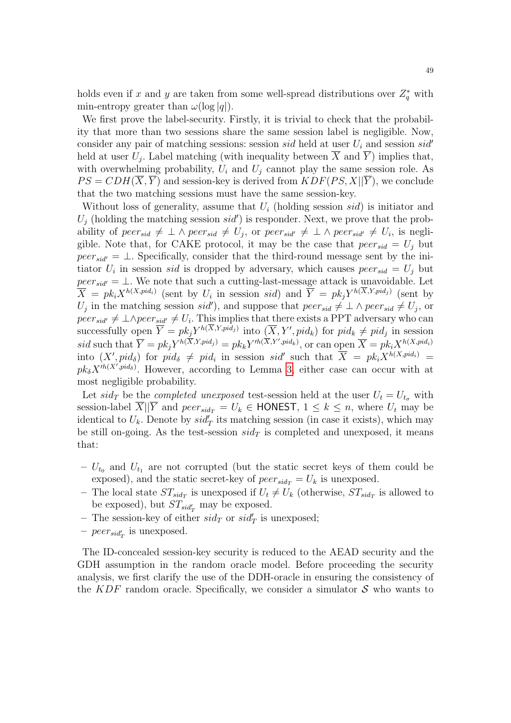holds even if x and y are taken from some well-spread distributions over  $Z_q^*$  with min-entropy greater than  $\omega(\log|q|)$ .

We first prove the label-security. Firstly, it is trivial to check that the probability that more than two sessions share the same session label is negligible. Now, consider any pair of matching sessions: session sid held at user  $U_i$  and session sid' held at user  $U_j$ . Label matching (with inequality between X and Y) implies that, with overwhelming probability,  $U_i$  and  $U_j$  cannot play the same session role. As  $PS = CDH(X, Y)$  and session-key is derived from  $KDF(PS, X||Y)$ , we conclude that the two matching sessions must have the same session-key.

Without loss of generality, assume that  $U_i$  (holding session sid) is initiator and  $U_j$  (holding the matching session sid') is responder. Next, we prove that the probability of peer<sub>sid</sub>  $\neq \perp \wedge$  peer<sub>sid</sub>  $\neq U_j$ , or peer<sub>sid'</sub>  $\neq \perp \wedge$  peer<sub>sid'</sub>  $\neq U_i$ , is negligible. Note that, for CAKE protocol, it may be the case that  $peer_{sid} = U_i$  but  $peer_{sid'} = \bot$ . Specifically, consider that the third-round message sent by the initiator  $U_i$  in session sid is dropped by adversary, which causes  $peer_{sid} = U_j$  but  $peer_{sid'} = \bot$ . We note that such a cutting-last-message attack is unavoidable. Let  $\overline{X} = pk_iX^{h(X,pid_i)}$  (sent by  $U_i$  in session sid) and  $\overline{Y} = pk_jY^{h(X,Y,pid_j)}$  (sent by  $U_j$  in the matching session *sid'*), and suppose that  $peer_{sid} \neq \bot \land peer_{sid} \neq U_j$ , or  $peer_{sid'} \neq \perp \wedge peer_{sid'} \neq U_i$ . This implies that there exists a PPT adversary who can successfully open  $\overline{Y} = pk_j Y^{h(\overline{X}, Y, pid_j)}$  into  $(\overline{X}, Y', pid_k)$  for  $pid_k \neq pid_j$  in session sid such that  $\overline{Y} = pk_j Y^{h(\overline{X}, Y, pid_j)} = pk_k Y^{th(\overline{X}, Y',pid_k)}$ , or can open  $\overline{X} = pk_i X^{h(X,pid_i)}$ into  $(X', pid_\delta)$  for  $pid_\delta \neq pid_i$  in session sid<sup>t</sup> such that  $\overline{X} = pk_iX^{h(X,pid_i)}$  $pk_{\delta}X^{ih(X',pid_{\delta})}$ . However, according to Lemma [3,](#page-39-1) either case can occur with at most negligible probability.

Let  $sid_T$  be the *completed unexposed* test-session held at the user  $U_t = U_{t_{\sigma}}$  with session-label X||Y and  $peer_{sid_T} = U_k \in \text{HONEST}, 1 \leq k \leq n$ , where  $U_t$  may be identical to  $U_k$ . Denote by  $sid'_T$  its matching session (in case it exists), which may be still on-going. As the test-session  $sid_T$  is completed and unexposed, it means that:

- $U_{t_0}$  and  $U_{t_1}$  are not corrupted (but the static secret keys of them could be exposed), and the static secret-key of  $peer_{sid_T} = U_k$  is unexposed.
- The local state  $ST_{sid_T}$  is unexposed if  $U_t \neq U_k$  (otherwise,  $ST_{sid_T}$  is allowed to be exposed), but  $ST_{sid'_T}$  may be exposed.
- The session-key of either  $sid_T$  or  $sid'_T$  is unexposed;
- $peer_{sid'_{T}}$  is unexposed.

The ID-concealed session-key security is reduced to the AEAD security and the GDH assumption in the random oracle model. Before proceeding the security analysis, we first clarify the use of the DDH-oracle in ensuring the consistency of the KDF random oracle. Specifically, we consider a simulator  $S$  who wants to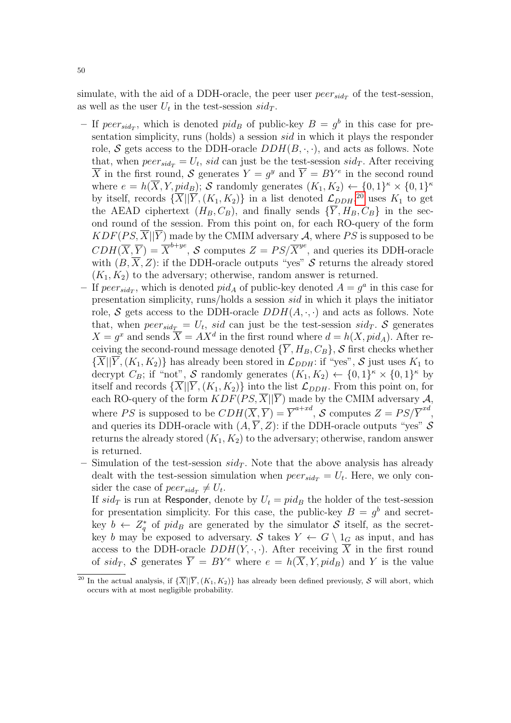simulate, with the aid of a DDH-oracle, the peer user  $peer_{sid_T}$  of the test-session, as well as the user  $U_t$  in the test-session  $sid_T$ .

- If  $peer_{sid_T}$ , which is denoted  $pid_B$  of public-key  $B = g^b$  in this case for presentation simplicity, runs (holds) a session sid in which it plays the responder role, S gets access to the DDH-oracle  $DDH(B, \cdot, \cdot)$ , and acts as follows. Note that, when  $peer_{sid_T} = U_t$ , sid can just be the test-session  $sid_T$ . After receiving  $\overline{X}$  in the first round, S generates  $Y = g^y$  and  $\overline{Y} = BY^e$  in the second round where  $e = h(\overline{X}, Y, pid_B)$ ; S randomly generates  $(K_1, K_2) \leftarrow \{0,1\}^{\kappa} \times \{0,1\}^{\kappa}$ by itself, records  $\{\overline{X} \mid \overline{Y}, (K_1, K_2)\}$  in a list denoted  $\mathcal{L}_{DDH}$ , <sup>[20](#page-49-0)</sup> uses  $K_1$  to get the AEAD ciphertext  $(H_B, C_B)$ , and finally sends  $\{\overline{Y}, H_B, C_B\}$  in the second round of the session. From this point on, for each RO-query of the form  $KDF(PS, \overline{X}||\overline{Y})$  made by the CMIM adversary A, where PS is supposed to be  $CDH(\overline{X}, \overline{Y}) = \overline{X}^{b+ye},$  S computes  $Z = PS/\overline{X}^{ye}$ , and queries its DDH-oracle with  $(B, X, Z)$ : if the DDH-oracle outputs "yes" S returns the already stored  $(K_1, K_2)$  to the adversary; otherwise, random answer is returned.
- If  $peer_{sid_T}$ , which is denoted  $pid_A$  of public-key denoted  $A = g^a$  in this case for presentation simplicity, runs/holds a session sid in which it plays the initiator role, S gets access to the DDH-oracle  $DDH(A, \cdot, \cdot)$  and acts as follows. Note that, when  $peer_{sid_T} = U_t$ , sid can just be the test-session sid<sub>T</sub>. S generates  $X = g^x$  and sends  $\overline{X} = AX^d$  in the first round where  $d = h(X, pid_A)$ . After receiving the second-round message denoted  ${\{\overline{Y}, H_B, C_B\}}$ , S first checks whether  ${\{\overline{X}\vert \vert \overline{Y},(K_1,K_2)\}}$  has already been stored in  $\mathcal{L}_{DDH}$ : if "yes",  $\mathcal S$  just uses  $K_1$  to decrypt  $C_B$ ; if "not", S randomly generates  $(K_1, K_2) \leftarrow \{0, 1\}^{\kappa} \times \{0, 1\}^{\kappa}$  by itself and records  $\{X||Y, (K_1, K_2)\}\$ into the list  $\mathcal{L}_{DDH}$ . From this point on, for each RO-query of the form  $KDF(PS, \overline{X} || \overline{Y})$  made by the CMIM adversary A, where PS is supposed to be  $CDH(\overline{X}, \overline{Y}) = \overline{Y}^{a+xd}$ , S computes  $Z = PS/\overline{Y}^{xd}$ , and queries its DDH-oracle with  $(A, \overline{Y}, Z)$ : if the DDH-oracle outputs "yes" S returns the already stored  $(K_1, K_2)$  to the adversary; otherwise, random answer is returned.
- Simulation of the test-session  $sid_T$ . Note that the above analysis has already dealt with the test-session simulation when  $peer_{sid_T} = U_t$ . Here, we only consider the case of  $peer_{sid_T} \neq U_t$ .

If  $sid_T$  is run at Responder, denote by  $U_t = pid_B$  the holder of the test-session for presentation simplicity. For this case, the public-key  $B = g<sup>b</sup>$  and secretkey  $b \leftarrow Z_q^*$  of pid<sub>B</sub> are generated by the simulator S itself, as the secretkey b may be exposed to adversary. S takes  $Y \leftarrow G \setminus 1_G$  as input, and has access to the DDH-oracle  $DDH(Y, \cdot, \cdot)$ . After receiving  $\overline{X}$  in the first round of  $sid_T$ , S generates  $\overline{Y} = BY^e$  where  $e = h(\overline{X}, Y, pid_B)$  and Y is the value

<span id="page-49-0"></span><sup>&</sup>lt;sup>20</sup> In the actual analysis, if  $\{\overline{X}$ || $\overline{Y}$ ,  $(K_1, K_2)$ } has already been defined previously, S will abort, which occurs with at most negligible probability.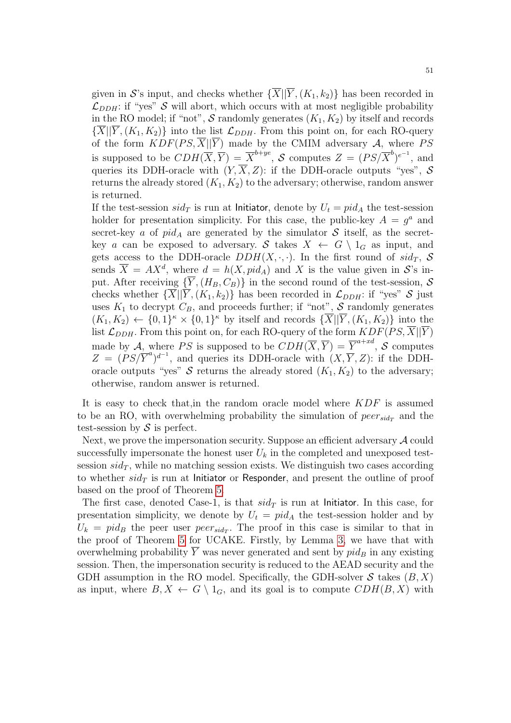given in S's input, and checks whether  $\{\overline{X} | |\overline{Y}, (K_1, k_2)\}\$  has been recorded in  $\mathcal{L}_{DDH}$ : if "yes" S will abort, which occurs with at most negligible probability in the RO model; if "not",  $S$  randomly generates  $(K_1, K_2)$  by itself and records  $\{X||Y, (K_1, K_2)\}\$ into the list  $\mathcal{L}_{DDH}$ . From this point on, for each RO-query of the form  $KDF(PS, \overline{X} || \overline{Y})$  made by the CMIM adversary A, where PS is supposed to be  $CDH(\overline{X}, \overline{Y}) = \overline{X}^{b+ye}$ , S computes  $Z = (PS/\overline{X}^b)^{e^{-1}}$ , and queries its DDH-oracle with  $(Y,\overline{X},Z)$ : if the DDH-oracle outputs "yes", S returns the already stored  $(K_1, K_2)$  to the adversary; otherwise, random answer is returned.

If the test-session  $sid_T$  is run at Initiator, denote by  $U_t = pid_A$  the test-session holder for presentation simplicity. For this case, the public-key  $A = g^a$  and secret-key a of  $pid_A$  are generated by the simulator S itself, as the secretkey a can be exposed to adversary. S takes  $X \leftarrow G \setminus 1_G$  as input, and gets access to the DDH-oracle  $DDH(X, \cdot, \cdot)$ . In the first round of  $sid_T$ , S sends  $\overline{X} = AX^d$ , where  $d = h(X, pid_A)$  and X is the value given in S's input. After receiving  $\{\overline{Y}, (H_B, C_B)\}\$ in the second round of the test-session, S checks whether  $\{\overline{X} | |\overline{Y}, (K_1, k_2)\}\$  has been recorded in  $\mathcal{L}_{DDH}$ : if "yes"  $\mathcal S$  just uses  $K_1$  to decrypt  $C_B$ , and proceeds further; if "not", S randomly generates  $(K_1, K_2) \leftarrow \{0,1\}^{\kappa} \times \{0,1\}^{\kappa}$  by itself and records  $\{\overline{X} | |\overline{Y}, (K_1, K_2)\}\$  into the list  $\mathcal{L}_{DDH}$ . From this point on, for each RO-query of the form  $KDF(PS, \overline{X}||\overline{Y})$ made by A, where PS is supposed to be  $CDH(\overline{X}, \overline{Y}) = \overline{Y}^{a+xd}$ , S computes  $Z = (PS/\overline{Y}^{a})^{d^{-1}}$ , and queries its DDH-oracle with  $(X, \overline{Y}, Z)$ : if the DDHoracle outputs "yes" S returns the already stored  $(K_1, K_2)$  to the adversary; otherwise, random answer is returned.

It is easy to check that, in the random oracle model where  $KDF$  is assumed to be an RO, with overwhelming probability the simulation of  $peer_{sid_T}$  and the test-session by  $\mathcal S$  is perfect.

Next, we prove the impersonation security. Suppose an efficient adversary  $A$  could successfully impersonate the honest user  $U_k$  in the completed and unexposed testsession  $sid_T$ , while no matching session exists. We distinguish two cases according to whether  $sid_T$  is run at Initiator or Responder, and present the outline of proof based on the proof of Theorem [5.](#page-39-2)

The first case, denoted Case-1, is that  $sid_T$  is run at Initiator. In this case, for presentation simplicity, we denote by  $U_t = pid_A$  the test-session holder and by  $U_k = pid_B$  the peer user peer<sub>sid<sub>T</sub></sub>. The proof in this case is similar to that in the proof of Theorem [5](#page-39-2) for UCAKE. Firstly, by Lemma [3,](#page-39-1) we have that with overwhelming probability  $\overline{Y}$  was never generated and sent by  $pid_B$  in any existing session. Then, the impersonation security is reduced to the AEAD security and the GDH assumption in the RO model. Specifically, the GDH-solver  $S$  takes  $(B, X)$ as input, where  $B, X \leftarrow G \setminus 1_G$ , and its goal is to compute  $CDH(B, X)$  with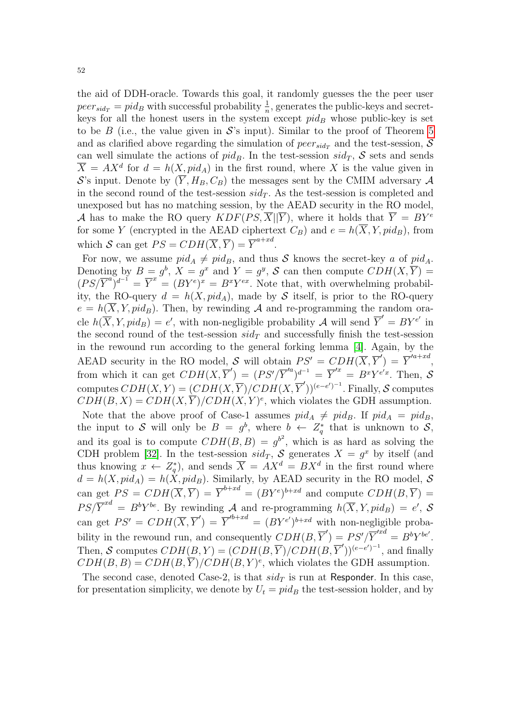the aid of DDH-oracle. Towards this goal, it randomly guesses the the peer user  $peer_{sid_T} = pid_B$  with successful probability  $\frac{1}{n}$ , generates the public-keys and secretkeys for all the honest users in the system except  $pid_B$  whose public-key is set to be B (i.e., the value given in  $\mathcal{S}'$ 's input). Similar to the proof of Theorem [5](#page-39-2) and as clarified above regarding the simulation of  $peer_{sid_T}$  and the test-session, S can well simulate the actions of  $pid_B$ . In the test-session  $sid_T$ , S sets and sends  $\overline{X} = AX^d$  for  $d = h(X, pid_A)$  in the first round, where X is the value given in S's input. Denote by  $(\overline{Y}, H_B, C_B)$  the messages sent by the CMIM adversary A in the second round of the test-session  $sid_T$ . As the test-session is completed and unexposed but has no matching session, by the AEAD security in the RO model, A has to make the RO query  $KDF(PS, \overline{X} || \overline{Y})$ , where it holds that  $\overline{Y} = BY^e$ for some Y (encrypted in the AEAD ciphertext  $C_B$ ) and  $e = h(\overline{X}, Y, pid_B)$ , from which S can get  $PS = CDH(\overline{X}, \overline{Y}) = \overline{Y}^{a+xd}$ .

For now, we assume  $pid_A \neq pid_B$ , and thus S knows the secret-key a of  $pid_A$ . Denoting by  $B = g^b$ ,  $X = g^x$  and  $Y = g^y$ , S can then compute  $CDH(X, \overline{Y}) =$  $(PS/\overline{Y}^a)^{d^{-1}} = \overline{Y}^x = (BY^e)^x = B^xY^{ex}$ . Note that, with overwhelming probability, the RO-query  $d = h(X, pid_A)$ , made by S itself, is prior to the RO-query  $e = h(\overline{X}, Y, pid_B)$ . Then, by rewinding A and re-programming the random oracle  $h(\overline{X}, Y, pid_B) = e'$ , with non-negligible probability A will send  $\overline{Y}' = BY^{e'}$  in the second round of the test-session  $sid_T$  and successfully finish the test-session in the rewound run according to the general forking lemma [\[4\]](#page-55-5). Again, by the AEAD security in the RO model, S will obtain  $PS' = CDH(\overline{X}, \overline{Y}') = \overline{Y}'^{a+xd}$ , from which it can get  $CDH(X, \overline{Y}') = (PS'/\overline{Y}'^a)^{d^{-1}} = \overline{Y}'^x = BY^{e'x}$ . Then, S computes  $CDH(X,Y) = (CDH(X,\overline{Y})/CDH(X,\overline{Y}'))^{(e-e')^{-1}}$ . Finally, S computes  $CDH(B, X) = CDH(X, \overline{Y})/CDH(X, Y)^e$ , which violates the GDH assumption. Note that the above proof of Case-1 assumes  $pid_A \neq pid_B$ . If  $pid_A = pid_B$ , the input to S will only be  $B = g^b$ , where  $b \leftarrow Z_q^*$  that is unknown to S, and its goal is to compute  $CDH(B, B) = g^{b^2}$ , which is as hard as solving the CDH problem [\[32\]](#page-56-24). In the test-session  $sid_T$ , S generates  $X = g^x$  by itself (and thus knowing  $x \leftarrow Z_q^*$ , and sends  $\overline{X} = AX^d = BX^d$  in the first round where  $d = h(X, pid_A) = h(X, pid_B)$ . Similarly, by AEAD security in the RO model, S can get  $PS = CDH(\overline{X}, \overline{Y}) = \overline{Y}^{b+xd} = (BY^e)^{b+xd}$  and compute  $CDH(B, \overline{Y}) =$  $PS/\overline{Y}^{xd} = B^b Y^{be}$ . By rewinding A and re-programming  $h(\overline{X}, Y, pid_B) = e'$ , S can get  $PS' = CDH(\overline{X}, \overline{Y}') = \overline{Y}'^{b+xd} = (BY^{e'})^{b+xd}$  with non-negligible probability in the rewound run, and consequently  $CDH(B, \overline{Y}') = PS'/\overline{Y}'^{xd} = B^b Y^{be'}$ . Then, S computes  $CDH(B, Y) = (CDH(B, \overline{Y})/CDH(B, \overline{Y}'))^{(e-e')^{-1}}$ , and finally  $CDH(B, B) = CDH(B, \overline{Y})/CDH(B, Y)^e$ , which violates the GDH assumption.

The second case, denoted Case-2, is that  $sid_T$  is run at Responder. In this case, for presentation simplicity, we denote by  $U_t = pid_B$  the test-session holder, and by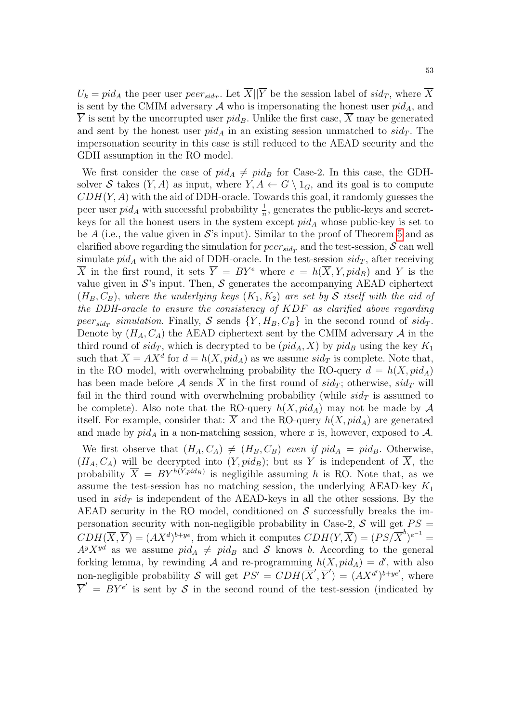$U_k = pid_A$  the peer user  $peer_{sid_T}$ . Let  $X||Y$  be the session label of  $sid_T$ , where X is sent by the CMIM adversary  $A$  who is impersonating the honest user  $pid_A$ , and  $\overline{Y}$  is sent by the uncorrupted user pid<sub>B</sub>. Unlike the first case,  $\overline{X}$  may be generated and sent by the honest user  $pid_A$  in an existing session unmatched to  $sid_T$ . The impersonation security in this case is still reduced to the AEAD security and the GDH assumption in the RO model.

We first consider the case of  $pid_A \neq pid_B$  for Case-2. In this case, the GDHsolver S takes  $(Y, A)$  as input, where  $Y, A \leftarrow G \setminus 1_G$ , and its goal is to compute  $CDH(Y, A)$  with the aid of DDH-oracle. Towards this goal, it randomly guesses the peer user  $pid_A$  with successful probability  $\frac{1}{n}$ , generates the public-keys and secretkeys for all the honest users in the system except  $pid_A$  whose public-key is set to be A (i.e., the value given in  $\mathcal{S}'s$  input). Similar to the proof of Theorem [5](#page-39-2) and as clarified above regarding the simulation for  $peer_{sid_T}$  and the test-session,  $S$  can well simulate  $pid_A$  with the aid of DDH-oracle. In the test-session  $sid_T$ , after receiving  $\overline{X}$  in the first round, it sets  $\overline{Y} = BY^e$  where  $e = h(\overline{X}, Y, pid_B)$  and Y is the value given in  $\mathcal{S}'$ 's input. Then,  $\mathcal{S}$  generates the accompanying AEAD ciphertext  $(H_B, C_B)$ , where the underlying keys  $(K_1, K_2)$  are set by S itself with the aid of the DDH-oracle to ensure the consistency of KDF as clarified above regarding peer<sub>sid<sub>T</sub></sub> simulation. Finally, S sends  $\{Y, H_B, C_B\}$  in the second round of sid<sub>T</sub>. Denote by  $(H_A, C_A)$  the AEAD ciphertext sent by the CMIM adversary A in the third round of  $sid_T$ , which is decrypted to be  $(pid_A, X)$  by  $pid_B$  using the key  $K_1$ such that  $\overline{X} = AX^d$  for  $d = h(X, pid_A)$  as we assume  $sid_T$  is complete. Note that, in the RO model, with overwhelming probability the RO-query  $d = h(X, pid_A)$ has been made before A sends  $\overline{X}$  in the first round of  $sid_T$ ; otherwise,  $sid_T$  will fail in the third round with overwhelming probability (while  $sid_T$  is assumed to be complete). Also note that the RO-query  $h(X, pid_A)$  may not be made by A itself. For example, consider that:  $\overline{X}$  and the RO-query  $h(X,pid_A)$  are generated and made by  $pid_A$  in a non-matching session, where x is, however, exposed to A.

We first observe that  $(H_A, C_A) \neq (H_B, C_B)$  even if  $pid_A = pid_B$ . Otherwise,  $(H_A, C_A)$  will be decrypted into  $(Y, pid_B)$ ; but as Y is independent of  $\overline{X}$ , the probability  $\overline{X} = BY^{h(Y,pid_B)}$  is negligible assuming h is RO. Note that, as we assume the test-session has no matching session, the underlying AEAD-key  $K_1$ used in  $sid_T$  is independent of the AEAD-keys in all the other sessions. By the AEAD security in the RO model, conditioned on  $S$  successfully breaks the impersonation security with non-negligible probability in Case-2,  $\mathcal S$  will get  $PS =$  $CDH(\overline{X}, \overline{Y}) = (AX^d)^{b+ye}$ , from which it computes  $CDH(Y, \overline{X}) = (PS/\overline{X}^b)^{e^{-1}} =$  $A^y X^{yd}$  as we assume  $pid_A \neq pid_B$  and S knows b. According to the general forking lemma, by rewinding A and re-programming  $h(X, pid_A) = d'$ , with also non-negligible probability S will get  $PS' = CDH(\overline{X}', \overline{Y}') = (AX^{d'})^{b+ye'}$ , where  $\overline{Y}' = BY^{e'}$  is sent by S in the second round of the test-session (indicated by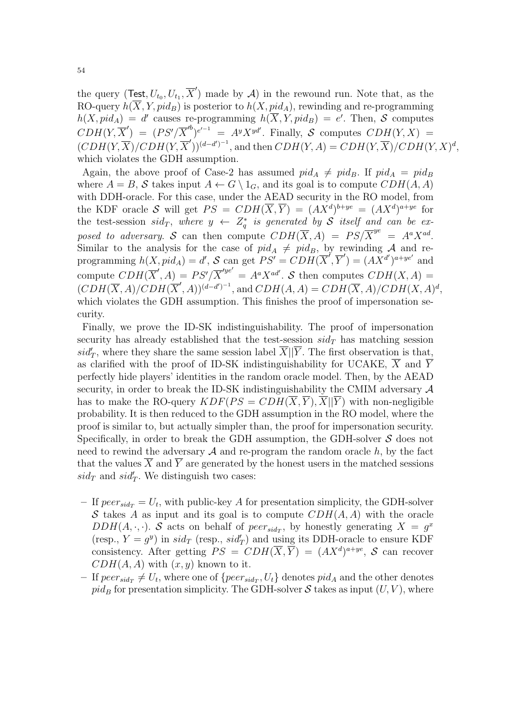the query (Test,  $U_{t_0}, U_{t_1}, \overline{X}'$ ) made by A) in the rewound run. Note that, as the RO-query  $h(\overline{X}, Y, pid_B)$  is posterior to  $h(X, pid_A)$ , rewinding and re-programming  $h(X, pid_A) = d'$  causes re-programming  $h(\overline{X}, Y, pid_B) = e'.$  Then, S computes  $CDH(Y, \overline{X}') = (PS'/\overline{X}^{b})^{e^{-1}} = A^{y}X^{yd'}$ . Finally, S computes  $CDH(Y, X) =$  $(CDH(Y, \overline{X})/CDH(Y, \overline{X}'))^{(d-d')^{-1}}$ , and then  $CDH(Y, A) = CDH(Y, \overline{X})/CDH(Y, X)^{d}$ , which violates the GDH assumption.

Again, the above proof of Case-2 has assumed  $pid_A \neq pid_B$ . If  $pid_A = pid_B$ where  $A = B$ , S takes input  $A \leftarrow G \setminus 1_G$ , and its goal is to compute  $CDH(A, A)$ with DDH-oracle. For this case, under the AEAD security in the RO model, from the KDF oracle S will get  $PS = CDH(\overline{X}, \overline{Y}) = (AX^d)^{b+ye} = (AX^d)^{a+ye}$  for the test-session  $sid_T$ , where  $y \leftarrow Z_q^*$  is generated by S itself and can be exposed to adversary. S can then compute  $CDH(\overline{X}, A) = PS/\overline{X}^{ye} = A^a X^{ad}$ . Similar to the analysis for the case of  $pid_A \neq pid_B$ , by rewinding A and reprogramming  $h(X, \text{pid}_A) = d'$ , S can get  $PS' = CDH(\overline{X}', \overline{Y}') = (AX^{d'})^{a+ye'}$  and compute  $CDH(\overline{X}', A) = PS'/\overline{X}'^{ye'} = A^a X^{ad'}$ . S then computes  $CDH(X, A) =$  $(CDH(\overline{X}, A)/CDH(\overline{X}', A))^{(d-d')^{-1}}$ , and  $CDH(A, A) = CDH(\overline{X}, A)/CDH(X, A)^d$ , which violates the GDH assumption. This finishes the proof of impersonation security.

Finally, we prove the ID-SK indistinguishability. The proof of impersonation security has already established that the test-session  $sid_T$  has matching session  $sid'_T$ , where they share the same session label  $\overline{X}$ || $\overline{Y}$ . The first observation is that, as clarified with the proof of ID-SK indistinguishability for UCAKE,  $\overline{X}$  and  $\overline{Y}$ perfectly hide players' identities in the random oracle model. Then, by the AEAD security, in order to break the ID-SK indistinguishability the CMIM adversary A has to make the RO-query  $KDF(PS = CDH(\overline{X}, \overline{Y}), \overline{X} | \overline{Y})$  with non-negligible probability. It is then reduced to the GDH assumption in the RO model, where the proof is similar to, but actually simpler than, the proof for impersonation security. Specifically, in order to break the GDH assumption, the GDH-solver  $S$  does not need to rewind the adversary  $A$  and re-program the random oracle  $h$ , by the fact that the values  $\overline{X}$  and  $\overline{Y}$  are generated by the honest users in the matched sessions  $sid_T$  and  $sid'_T$ . We distinguish two cases:

- If  $peer_{sid_T} = U_t$ , with public-key A for presentation simplicity, the GDH-solver S takes A as input and its goal is to compute  $CDH(A, A)$  with the oracle  $DDH(A,\cdot,\cdot)$ . S acts on behalf of  $peer_{sid_T}$ , by honestly generating  $X = g^x$ (resp.,  $Y = g^y$ ) in  $sid_T$  (resp.,  $sid'_T$ ) and using its DDH-oracle to ensure KDF consistency. After getting  $PS = CDH(\overline{X}, \overline{Y}) = (AX^d)^{a+ye}$ , S can recover  $CDH(A, A)$  with  $(x, y)$  known to it.
- If  $peer_{sid_T} \neq U_t$ , where one of  $\{peer_{sid_T}, U_t\}$  denotes  $pid_A$  and the other denotes  $pid_B$  for presentation simplicity. The GDH-solver S takes as input  $(U, V)$ , where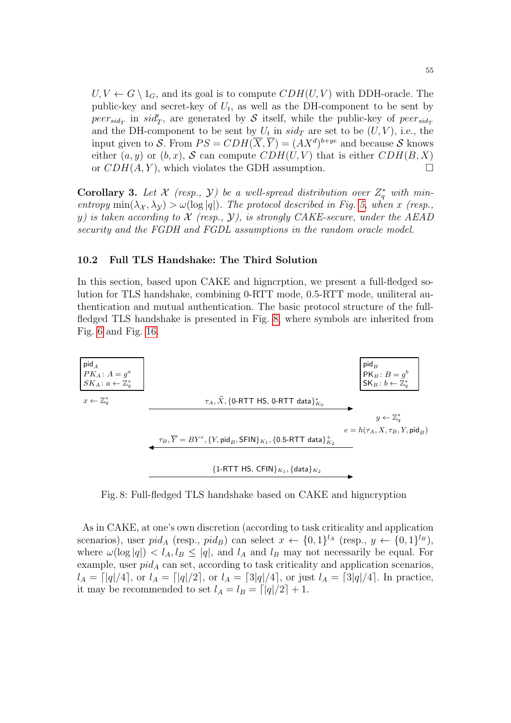$U, V \leftarrow G \setminus 1_G$ , and its goal is to compute  $CDH(U, V)$  with DDH-oracle. The public-key and secret-key of  $U_t$ , as well as the DH-component to be sent by  $peer_{sid_T}$  in  $sid'_T$ , are generated by S itself, while the public-key of  $peer_{sid_T}$ and the DH-component to be sent by  $U_t$  in  $sid_T$  are set to be  $(U, V)$ , i.e., the input given to S. From  $PS = CDH(\overline{X}, \overline{Y}) = (AX^d)^{b+ye}$  and because S knows either  $(a, y)$  or  $(b, x)$ , S can compute  $CDH(U, V)$  that is either  $CDH(B, X)$ or  $CDH(A, Y)$ , which violates the GDH assumption.

<span id="page-54-0"></span>**Corollary 3.** Let X (resp.,  $\mathcal{Y}$ ) be a well-spread distribution over  $Z_q^*$  with minentropy  $\min(\lambda_X, \lambda_Y) > \omega(\log |q|)$ . The protocol described in Fig. [5,](#page-39-0) when x (resp., y) is taken according to  $\mathcal X$  (resp.,  $\mathcal Y$ ), is strongly CAKE-secure, under the AEAD security and the FGDH and FGDL assumptions in the random oracle model.

### 10.2 Full TLS Handshake: The Third Solution

In this section, based upon CAKE and higncrption, we present a full-fledged solution for TLS handshake, combining 0-RTT mode, 0.5-RTT mode, uniliteral authentication and mutual authentication. The basic protocol structure of the fullfledged TLS handshake is presented in Fig. [8,](#page-54-1) where symbols are inherited from Fig. [6](#page-46-0) and Fig. [16.](#page-62-0)



<span id="page-54-1"></span>Fig. 8: Full-fledged TLS handshake based on CAKE and higncryption

As in CAKE, at one's own discretion (according to task criticality and application scenarios), user  $pid_A$  (resp.,  $pid_B$ ) can select  $x \leftarrow \{0,1\}^{l_A}$  (resp.,  $y \leftarrow \{0,1\}^{l_B}$ ), where  $\omega(\log|q|) < l_A, l_B \leq |q|$ , and  $l_A$  and  $l_B$  may not necessarily be equal. For example, user  $pid_A$  can set, according to task criticality and application scenarios,  $l_A = \frac{q}{4}$ , or  $l_A = \frac{q}{2}$ , or  $l_A = \frac{3|q|}{4}$ , or just  $l_A = \frac{3|q|}{4}$ . In practice, it may be recommended to set  $l_A = l_B = \lfloor |q|/2 \rfloor + 1$ .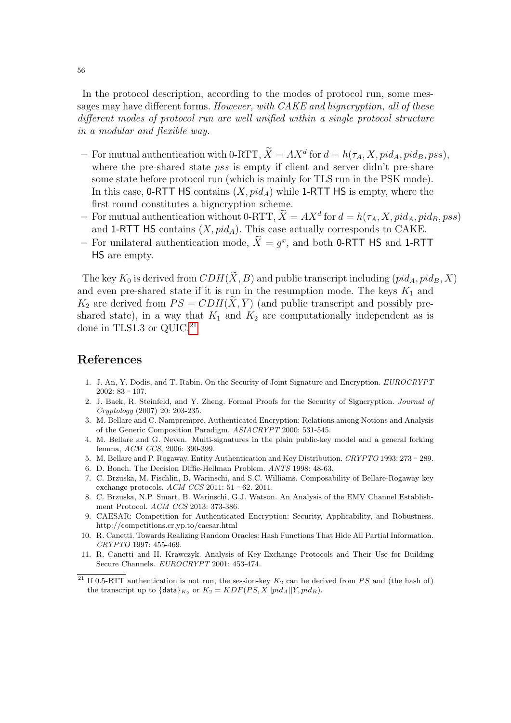In the protocol description, according to the modes of protocol run, some messages may have different forms. However, with CAKE and higncryption, all of these different modes of protocol run are well unified within a single protocol structure in a modular and flexible way.

- For mutual authentication with 0-RTT,  $\overline{X} = AX^d$  for  $d = h(\tau_A, X, pid_A, pid_B, pss)$ , where the pre-shared state *pss* is empty if client and server didn't pre-share some state before protocol run (which is mainly for TLS run in the PSK mode). In this case, 0-RTT HS contains  $(X, pid_A)$  while 1-RTT HS is empty, where the first round constitutes a higncryption scheme.
- For mutual authentication without 0-RTT,  $\tilde{X} = AX^d$  for  $d = h(\tau_A, X, pid_A, pid_B, pss)$ and 1-RTT HS contains  $(X, pid_A)$ . This case actually corresponds to CAKE.
- For unilateral authentication mode,  $\tilde{X} = g^x$ , and both 0-RTT HS and 1-RTT HS are empty.

The key  $K_0$  is derived from  $CDH(\widetilde{X}, B)$  and public transcript including  $(pid_A, pid_B, X)$ and even pre-shared state if it is run in the resumption mode. The keys  $K_1$  and  $K_2$  are derived from  $PS = CDH(\widetilde{X}, \overline{Y})$  (and public transcript and possibly preshared state), in a way that  $K_1$  and  $K_2$  are computationally independent as is done in TLS1.3 or QUIC.<sup>[21](#page-55-10)</sup>

## References

- <span id="page-55-2"></span>1. J. An, Y. Dodis, and T. Rabin. On the Security of Joint Signature and Encryption. EUROCRYPT  $2002: 83 - 107.$
- <span id="page-55-3"></span>2. J. Baek, R. Steinfeld, and Y. Zheng. Formal Proofs for the Security of Signcryption. Journal of Cryptology (2007) 20: 203-235.
- <span id="page-55-4"></span>3. M. Bellare and C. Namprempre. Authenticated Encryption: Relations among Notions and Analysis of the Generic Composition Paradigm. ASIACRYPT 2000: 531-545.
- <span id="page-55-5"></span>4. M. Bellare and G. Neven. Multi-signatures in the plain public-key model and a general forking lemma, ACM CCS, 2006: 390-399.
- <span id="page-55-9"></span>5. M. Bellare and P. Rogaway. Entity Authentication and Key Distribution. CRYPTO 1993: 273 - 289.
- 6. D. Boneh. The Decision Diffie-Hellman Problem. ANTS 1998: 48-63.
- <span id="page-55-8"></span>7. C. Brzuska, M. Fischlin, B. Warinschi, and S.C. Williams. Composability of Bellare-Rogaway key exchange protocols.  $ACM$   $CCS$  2011: 51 - 62. 2011.
- <span id="page-55-0"></span>8. C. Brzuska, N.P. Smart, B. Warinschi, G.J. Watson. An Analysis of the EMV Channel Establishment Protocol. ACM CCS 2013: 373-386.
- <span id="page-55-1"></span>9. CAESAR: Competition for Authenticated Encryption: Security, Applicability, and Robustness. http://competitions.cr.yp.to/caesar.html
- <span id="page-55-6"></span>10. R. Canetti. Towards Realizing Random Oracles: Hash Functions That Hide All Partial Information. CRYPTO 1997: 455-469.
- <span id="page-55-7"></span>11. R. Canetti and H. Krawczyk. Analysis of Key-Exchange Protocols and Their Use for Building Secure Channels. EUROCRYPT 2001: 453-474.

<span id="page-55-10"></span><sup>&</sup>lt;sup>21</sup> If 0.5-RTT authentication is not run, the session-key  $K_2$  can be derived from PS and (the hash of) the transcript up to  $\{\text{data}\}_{K_2}$  or  $K_2 = KDF(PS, X||pid_A||Y, pid_B)$ .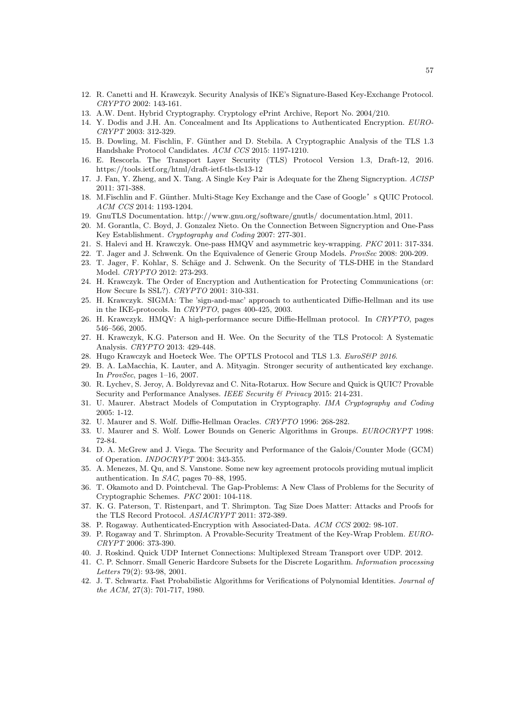- <span id="page-56-25"></span>12. R. Canetti and H. Krawczyk. Security Analysis of IKE's Signature-Based Key-Exchange Protocol. CRYPTO 2002: 143-161.
- <span id="page-56-7"></span>13. A.W. Dent. Hybrid Cryptography. Cryptology ePrint Archive, Report No. 2004/210.
- <span id="page-56-3"></span>14. Y. Dodis and J.H. An. Concealment and Its Applications to Authenticated Encryption. EURO-CRYPT 2003: 312-329.
- <span id="page-56-28"></span>15. B. Dowling, M. Fischlin, F. Günther and D. Stebila. A Cryptographic Analysis of the TLS 1.3 Handshake Protocol Candidates. ACM CCS 2015: 1197-1210.
- <span id="page-56-0"></span>16. E. Rescorla. The Transport Layer Security (TLS) Protocol Version 1.3, Draft-12, 2016. https://tools.ietf.org/html/draft-ietf-tls-tls13-12
- <span id="page-56-8"></span>17. J. Fan, Y. Zheng, and X. Tang. A Single Key Pair is Adequate for the Zheng Signcryption. ACISP 2011: 371-388.
- <span id="page-56-27"></span>18. M.Fischlin and F. Günther. Multi-Stage Key Exchange and the Case of Google's QUIC Protocol. ACM CCS 2014: 1193-1204.
- 19. GnuTLS Documentation. http://www.gnu.org/software/gnutls/ documentation.html, 2011.
- <span id="page-56-4"></span>20. M. Gorantla, C. Boyd, J. Gonzalez Nieto. On the Connection Between Signcryption and One-Pass Key Establishment. Cryptography and Coding 2007: 277-301.
- <span id="page-56-5"></span>21. S. Halevi and H. Krawczyk. One-pass HMQV and asymmetric key-wrapping. PKC 2011: 317-334.
- <span id="page-56-23"></span>22. T. Jager and J. Schwenk. On the Equivalence of Generic Group Models. *ProvSec* 2008: 200-209.
- 23. T. Jager, F. Kohlar, S. Schäge and J. Schwenk. On the Security of TLS-DHE in the Standard Model. CRYPTO 2012: 273-293.
- <span id="page-56-9"></span>24. H. Krawczyk. The Order of Encryption and Authentication for Protecting Communications (or: How Secure Is SSL?). CRYPTO 2001: 310-331.
- <span id="page-56-11"></span>25. H. Krawczyk. SIGMA: The 'sign-and-mac' approach to authenticated Diffie-Hellman and its use in the IKE-protocols. In CRYPTO, pages 400-425, 2003.
- <span id="page-56-10"></span>26. H. Krawczyk. HMQV: A high-performance secure Diffie-Hellman protocol. In CRYPTO, pages 546–566, 2005.
- <span id="page-56-13"></span>27. H. Krawczyk, K.G. Paterson and H. Wee. On the Security of the TLS Protocol: A Systematic Analysis. CRYPTO 2013: 429-448.
- <span id="page-56-12"></span>28. Hugo Krawczyk and Hoeteck Wee. The OPTLS Protocol and TLS 1.3. EuroS&P 2016.
- <span id="page-56-26"></span>29. B. A. LaMacchia, K. Lauter, and A. Mityagin. Stronger security of authenticated key exchange. In ProvSec, pages 1–16, 2007.
- <span id="page-56-2"></span>30. R. Lychev, S. Jeroy, A. Boldyrevaz and C. Nita-Rotarux. How Secure and Quick is QUIC? Provable Security and Performance Analyses. IEEE Security & Privacy 2015: 214-231.
- <span id="page-56-21"></span>31. U. Maurer. Abstract Models of Computation in Cryptography. IMA Cryptography and Coding 2005: 1-12.
- <span id="page-56-24"></span>32. U. Maurer and S. Wolf. Diffie-Hellman Oracles. CRYPTO 1996: 268-282.
- <span id="page-56-20"></span>33. U. Maurer and S. Wolf. Lower Bounds on Generic Algorithms in Groups. EUROCRYPT 1998: 72-84.
- <span id="page-56-18"></span>34. D. A. McGrew and J. Viega. The Security and Performance of the Galois/Counter Mode (GCM) of Operation. INDOCRYPT 2004: 343-355.
- <span id="page-56-6"></span>35. A. Menezes, M. Qu, and S. Vanstone. Some new key agreement protocols providing mutual implicit authentication. In SAC, pages 70–88, 1995.
- <span id="page-56-14"></span>36. T. Okamoto and D. Pointcheval. The Gap-Problems: A New Class of Problems for the Security of Cryptographic Schemes. PKC 2001: 104-118.
- <span id="page-56-17"></span>37. K. G. Paterson, T. Ristenpart, and T. Shrimpton. Tag Size Does Matter: Attacks and Proofs for the TLS Record Protocol. ASIACRYPT 2011: 372-389.
- <span id="page-56-15"></span>38. P. Rogaway. Authenticated-Encryption with Associated-Data. ACM CCS 2002: 98-107.
- <span id="page-56-16"></span>39. P. Rogaway and T. Shrimpton. A Provable-Security Treatment of the Key-Wrap Problem. EURO-CRYPT 2006: 373-390.
- <span id="page-56-1"></span>40. J. Roskind. Quick UDP Internet Connections: Multiplexed Stream Transport over UDP. 2012.
- <span id="page-56-22"></span>41. C. P. Schnorr. Small Generic Hardcore Subsets for the Discrete Logarithm. Information processing Letters 79(2): 93-98, 2001.
- <span id="page-56-19"></span>42. J. T. Schwartz. Fast Probabilistic Algorithms for Verifications of Polynomial Identities. Journal of the ACM, 27(3): 701-717, 1980.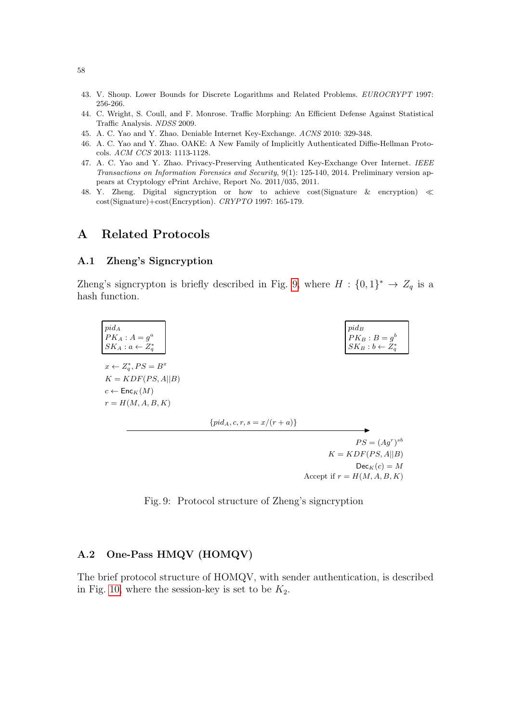- <span id="page-57-5"></span>43. V. Shoup. Lower Bounds for Discrete Logarithms and Related Problems. EUROCRYPT 1997: 256-266.
- 44. C. Wright, S. Coull, and F. Monrose. Traffic Morphing: An Efficient Defense Against Statistical Traffic Analysis. NDSS 2009.
- <span id="page-57-3"></span>45. A. C. Yao and Y. Zhao. Deniable Internet Key-Exchange. ACNS 2010: 329-348.
- <span id="page-57-2"></span>46. A. C. Yao and Y. Zhao. OAKE: A New Family of Implicitly Authenticated Diffie-Hellman Protocols. ACM CCS 2013: 1113-1128.
- <span id="page-57-4"></span>47. A. C. Yao and Y. Zhao. Privacy-Preserving Authenticated Key-Exchange Over Internet. IEEE Transactions on Information Forensics and Security, 9(1): 125-140, 2014. Preliminary version appears at Cryptology ePrint Archive, Report No. 2011/035, 2011.
- <span id="page-57-0"></span>48. Y. Zheng. Digital signcryption or how to achieve cost(Signature & encryption) cost(Signature)+cost(Encryption). CRYPTO 1997: 165-179.

## <span id="page-57-1"></span>A Related Protocols

### A.1 Zheng's Signcryption

Zheng's signcrypton is briefly described in Fig. [9,](#page-57-6) where  $H : \{0,1\}^* \to Z_q$  is a hash function.

| $pid_A$<br>$PK_A$ : $A = g^a$<br>$SK_A : a \leftarrow Z_a^*$                                                     |                                   | $pid_B$<br>$PK_B: B = g^b$<br>$SK_B: b \leftarrow Z^*_g$ |
|------------------------------------------------------------------------------------------------------------------|-----------------------------------|----------------------------------------------------------|
| $x \leftarrow Z_a^*, PS = B^x$<br>$K = KDF(PS, A  B)$<br>$c \leftarrow \mathsf{Enc}_K(M)$<br>$r = H(M, A, B, K)$ |                                   |                                                          |
|                                                                                                                  | $\{pid_A, c, r, s = x/(r + a)\}\$ |                                                          |
|                                                                                                                  |                                   | $PS = (Agr)sb$                                           |
|                                                                                                                  |                                   | $K = KDF(PS, A  B)$                                      |
|                                                                                                                  |                                   | $Dec_K(c) = M$                                           |

Fig. 9: Protocol structure of Zheng's signcryption

Accept if  $r = H(M, A, B, K)$ 

### <span id="page-57-6"></span>A.2 One-Pass HMQV (HOMQV)

The brief protocol structure of HOMQV, with sender authentication, is described in Fig. [10,](#page-58-1) where the session-key is set to be  $K_2$ .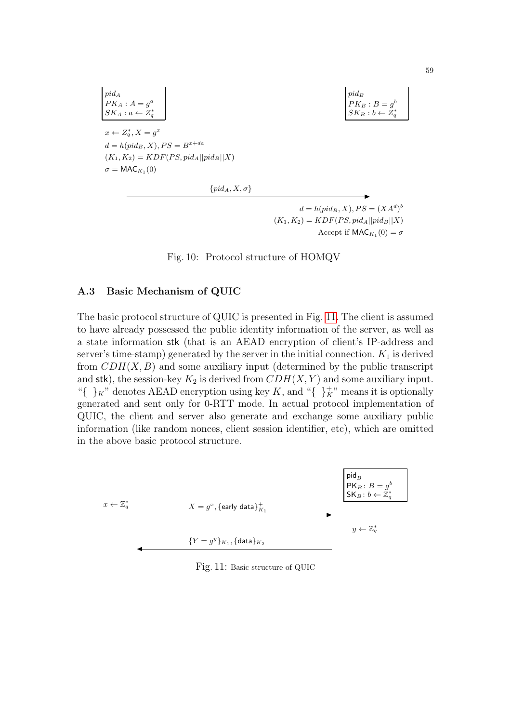$$
pid_A
$$
  
\n
$$
PK_A: A = g^a
$$
  
\n
$$
SK_A: a \leftarrow Z_q^*
$$
  
\n
$$
x \leftarrow Z_q^*, X = g^x
$$
  
\n
$$
d = h(pid_B, X), PS = B^{x + da}
$$
  
\n
$$
(K_1, K_2) = KDF(PS, pid_A||pid_B||X)
$$
  
\n
$$
\sigma = MAC_{K_1}(0)
$$
  
\n
$$
\{pid_A, X, \sigma\}
$$

 $d = h(pid_B, X), PS = (XA^d)^b$  $(K_1, K_2) = KDF(PS, pid_A||pid_B||X)$ Accept if  $\mathsf{MAC}_{K_1}(0) = \sigma$ 

Fig. 10: Protocol structure of HOMQV

### <span id="page-58-1"></span>A.3 Basic Mechanism of QUIC

The basic protocol structure of QUIC is presented in Fig. [11.](#page-58-0) The client is assumed to have already possessed the public identity information of the server, as well as a state information stk (that is an AEAD encryption of client's IP-address and server's time-stamp) generated by the server in the initial connection.  $K_1$  is derived from  $CDH(X, B)$  and some auxiliary input (determined by the public transcript and stk), the session-key  $K_2$  is derived from  $CDH(X, Y)$  and some auxiliary input. "{  $\}$ <sub>K</sub>" denotes AEAD encryption using key K, and "{  $\}$ <sub>K</sub>" means it is optionally generated and sent only for 0-RTT mode. In actual protocol implementation of QUIC, the client and server also generate and exchange some auxiliary public information (like random nonces, client session identifier, etc), which are omitted in the above basic protocol structure.



<span id="page-58-0"></span>Fig. 11: Basic structure of QUIC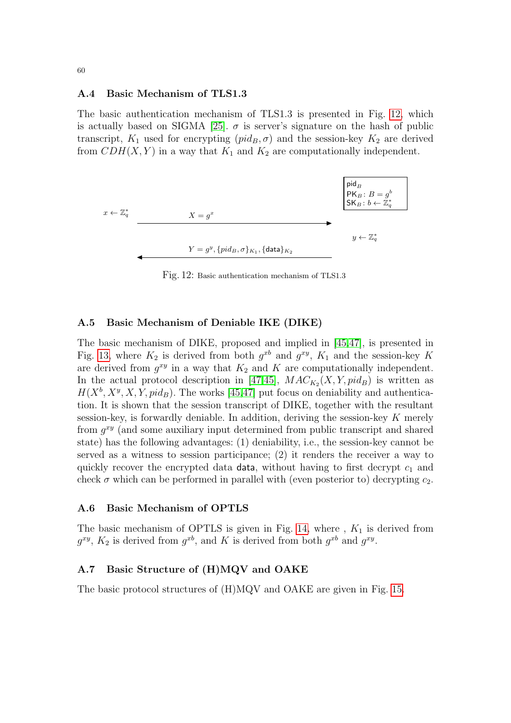#### A.4 Basic Mechanism of TLS1.3

The basic authentication mechanism of TLS1.3 is presented in Fig. [12,](#page-59-0) which is actually based on SIGMA [\[25\]](#page-56-11).  $\sigma$  is server's signature on the hash of public transcript,  $K_1$  used for encrypting  $(pid_B, \sigma)$  and the session-key  $K_2$  are derived from  $CDH(X, Y)$  in a way that  $K_1$  and  $K_2$  are computationally independent.



<span id="page-59-0"></span>Fig. 12: Basic authentication mechanism of TLS1.3

### A.5 Basic Mechanism of Deniable IKE (DIKE)

The basic mechanism of DIKE, proposed and implied in [\[45,](#page-57-3)[47\]](#page-57-4), is presented in Fig. [13,](#page-60-1) where  $K_2$  is derived from both  $g^{xb}$  and  $g^{xy}$ ,  $K_1$  and the session-key K are derived from  $g^{xy}$  in a way that  $K_2$  and K are computationally independent. In the actual protocol description in [\[47,](#page-57-4)[45\]](#page-57-3),  $MAC_{K_2}(X, Y, pid_B)$  is written as  $H(X^b, X^y, X, Y, pid_B)$ . The works [\[45,](#page-57-3)[47\]](#page-57-4) put focus on deniability and authentication. It is shown that the session transcript of DIKE, together with the resultant session-key, is forwardly deniable. In addition, deriving the session-key K merely from  $g^{xy}$  (and some auxiliary input determined from public transcript and shared state) has the following advantages: (1) deniability, i.e., the session-key cannot be served as a witness to session participance; (2) it renders the receiver a way to quickly recover the encrypted data data, without having to first decrypt  $c_1$  and check  $\sigma$  which can be performed in parallel with (even posterior to) decrypting  $c_2$ .

### A.6 Basic Mechanism of OPTLS

The basic mechanism of OPTLS is given in Fig. [14,](#page-60-2) where ,  $K_1$  is derived from  $g^{xy}$ ,  $K_2$  is derived from  $g^{xb}$ , and K is derived from both  $g^{xb}$  and  $g^{xy}$ .

### A.7 Basic Structure of (H)MQV and OAKE

The basic protocol structures of (H)MQV and OAKE are given in Fig. [15.](#page-61-0)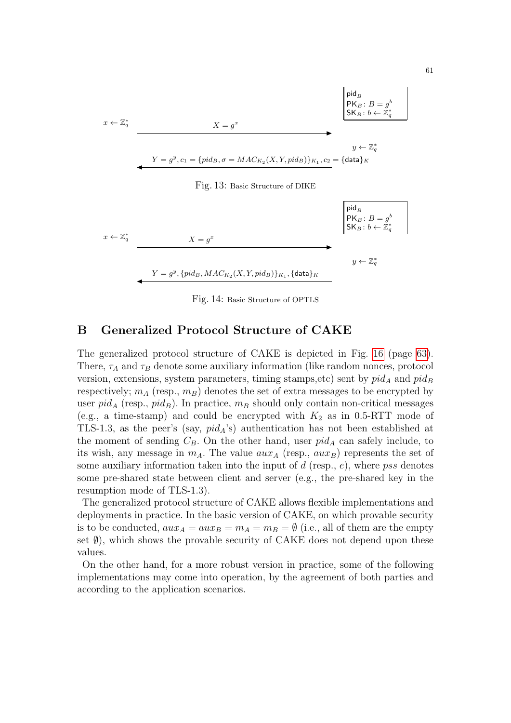

<span id="page-60-2"></span><span id="page-60-1"></span>Fig. 14: Basic Structure of OPTLS

## <span id="page-60-0"></span>B Generalized Protocol Structure of CAKE

The generalized protocol structure of CAKE is depicted in Fig. [16](#page-62-0) (page [63\)](#page-62-0). There,  $\tau_A$  and  $\tau_B$  denote some auxiliary information (like random nonces, protocol version, extensions, system parameters, timing stamps,etc) sent by  $pid_A$  and  $pid_B$ respectively;  $m_A$  (resp.,  $m_B$ ) denotes the set of extra messages to be encrypted by user  $pid_A$  (resp.,  $pid_B$ ). In practice,  $m_B$  should only contain non-critical messages (e.g., a time-stamp) and could be encrypted with  $K_2$  as in 0.5-RTT mode of TLS-1.3, as the peer's (say,  $pid_A$ 's) authentication has not been established at the moment of sending  $C_B$ . On the other hand, user  $pid_A$  can safely include, to its wish, any message in  $m_A$ . The value  $aux_A$  (resp.,  $aux_B$ ) represents the set of some auxiliary information taken into the input of  $d$  (resp.,  $e$ ), where pss denotes some pre-shared state between client and server (e.g., the pre-shared key in the resumption mode of TLS-1.3).

The generalized protocol structure of CAKE allows flexible implementations and deployments in practice. In the basic version of CAKE, on which provable security is to be conducted,  $aux_A = aux_B = m_A = m_B = \emptyset$  (i.e., all of them are the empty set  $\emptyset$ ), which shows the provable security of CAKE does not depend upon these values.

On the other hand, for a more robust version in practice, some of the following implementations may come into operation, by the agreement of both parties and according to the application scenarios.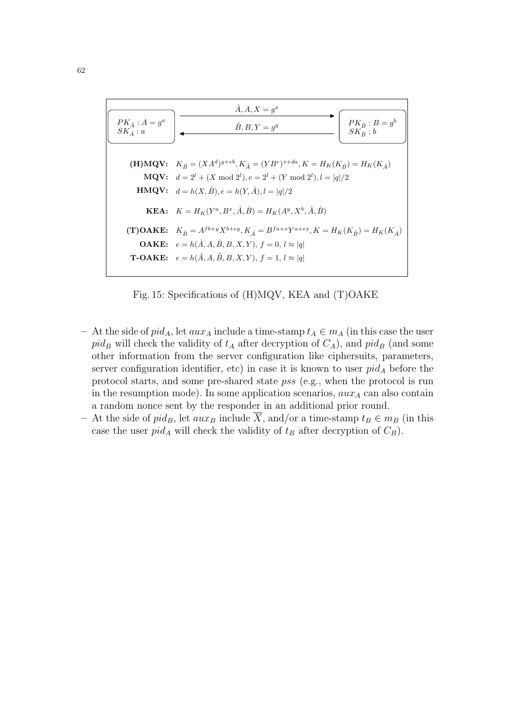

Fig. 15: Specifications of (H)MQV, KEA and (T)OAKE

- <span id="page-61-0"></span>– At the side of  $pid_A$ , let  $aux_A$  include a time-stamp  $t_A \in m_A$  (in this case the user  $pid_B$  will check the validity of  $t_A$  after decryption of  $C_A$ ), and  $pid_B$  (and some other information from the server configuration like ciphersuits, parameters, server configuration identifier, etc) in case it is known to user  $pid_A$  before the protocol starts, and some pre-shared state pss (e.g., when the protocol is run in the resumption mode). In some application scenarios,  $aux_A$  can also contain a random nonce sent by the responder in an additional prior round.
- At the side of pid<sub>B</sub>, let  $aux_B$  include  $\overline{X}$ , and/or a time-stamp  $t_B \in m_B$  (in this case the user  $pid_A$  will check the validity of  $t_B$  after decryption of  $C_B$ ).